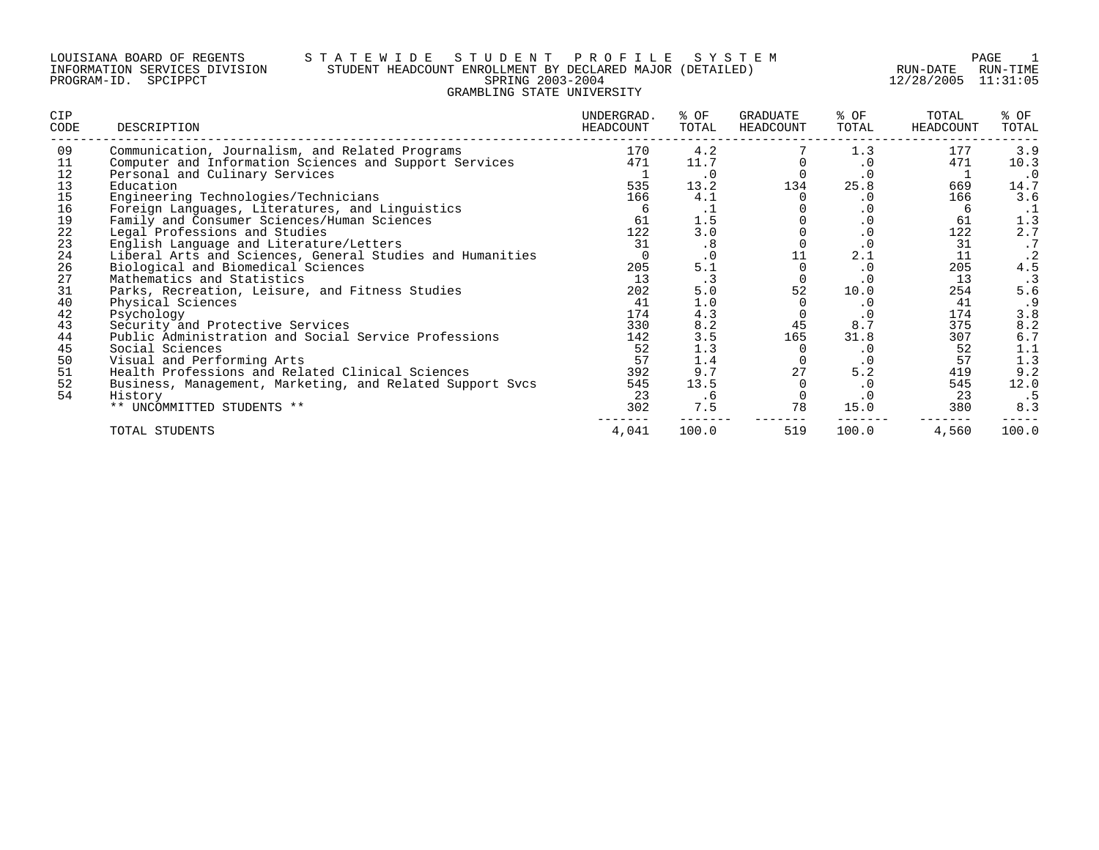#### LOUISIANA BOARD OF REGENTS S T A T E W I D E S T U D E N T P R O F I L E S Y S T E M PAGE 1 INFORMATION SERVICES DIVISION STUDENT HEADCOUNT ENROLLMENT BY DECLARED MAJOR (DETAILED) RUN-DATE RUN-TIME PROGRAM-ID. SPCIPPCT SPRING 2003-2004 12/28/2005 11:31:05 GRAMBLING STATE UNIVERSITY

| <b>CIP</b><br>CODE | DESCRIPTION                                               | UNDERGRAD.<br>HEADCOUNT | % OF<br>TOTAL | GRADUATE<br>HEADCOUNT | % OF<br>TOTAL | TOTAL<br>HEADCOUNT | % OF<br>TOTAL |
|--------------------|-----------------------------------------------------------|-------------------------|---------------|-----------------------|---------------|--------------------|---------------|
| 09                 | Communication, Journalism, and Related Programs           | 170                     | 4.2           |                       | 1.3           | 177                | 3.9           |
| 11                 | Computer and Information Sciences and Support Services    | 471                     | 11.7          |                       | $\cdot$ 0     | 471                | 10.3          |
| 12                 | Personal and Culinary Services                            |                         | $\cdot$ 0     |                       | $\cdot$ 0     |                    | $\cdot$ 0     |
| 13                 | Education                                                 | 535                     | 13.2          | 134                   | 25.8          | 669                | 14.7          |
| 15                 | Engineering Technologies/Technicians                      | 166                     | 4.1           |                       | $\cdot$ 0     | 166                | 3.6           |
| 16                 | Foreign Languages, Literatures, and Linguistics           | 6                       | ᆞ             |                       | $\cdot$ 0     | b                  | $\cdot$ 1     |
| 19                 | Family and Consumer Sciences/Human Sciences               | 61                      | 1.5           |                       |               | 61                 | 1.3           |
| $2\sqrt{2}$        | Legal Professions and Studies                             | 122                     | 3.0           |                       | $\cdot$ 0     | 122                | 2.7           |
| 23                 | English Language and Literature/Letters                   | 31                      | $\cdot$ 8     |                       | $\cdot$ 0     | 31                 |               |
| 24                 | Liberal Arts and Sciences, General Studies and Humanities |                         |               | 11                    | 2.1           | 11                 | . 2           |
| 26                 | Biological and Biomedical Sciences                        | 205                     | 5.1           |                       | $\cdot$ 0     | 205                | 4.5           |
| 27                 | Mathematics and Statistics                                | 13                      |               |                       | $\cdot$ 0     | 13                 |               |
| 31                 | Parks, Recreation, Leisure, and Fitness Studies           | 202                     | 5.0           | 52                    | 10.0          | 254                | 5.6           |
| 40                 | Physical Sciences                                         | 41                      | 1.0           |                       | $\cdot$ 0     | 41                 | .9            |
| 42                 | Psychology                                                | 174                     | 4.3           |                       | $\cdot$ 0     | 174                | 3.8           |
| 43                 | Security and Protective Services                          | 330                     | 8.2           | 45                    | 8.7           | 375                | 8.2           |
| 44                 | Public Administration and Social Service Professions      | 142                     | 3.5           | 165                   | 31.8          | 307                | 6.7           |
| 45                 | Social Sciences                                           | 52                      | 1.3           |                       | $\cdot$ 0     | 52                 | 1.1           |
| 50                 | Visual and Performing Arts                                | 57                      | 1.4           |                       | $\cdot$ 0     | 57                 | 1.3           |
| 51                 | Health Professions and Related Clinical Sciences          | 392                     | 9.7           | 27                    | 5.2           | 419                | 9.2           |
| 52                 | Business, Management, Marketing, and Related Support Svcs | 545                     | 13.5          |                       | $\cdot$ 0     | 545                | 12.0          |
| 54                 | History                                                   | 23                      | . 6           |                       | $\cdot$ 0     | 23                 | . 5           |
|                    | ** UNCOMMITTED STUDENTS **                                | 302                     | 7.5           | 78                    | 15.0          | 380                | 8.3           |
|                    | TOTAL STUDENTS                                            | 4,041                   | 100.0         | 519                   | 100.0         | 4,560              | 100.0         |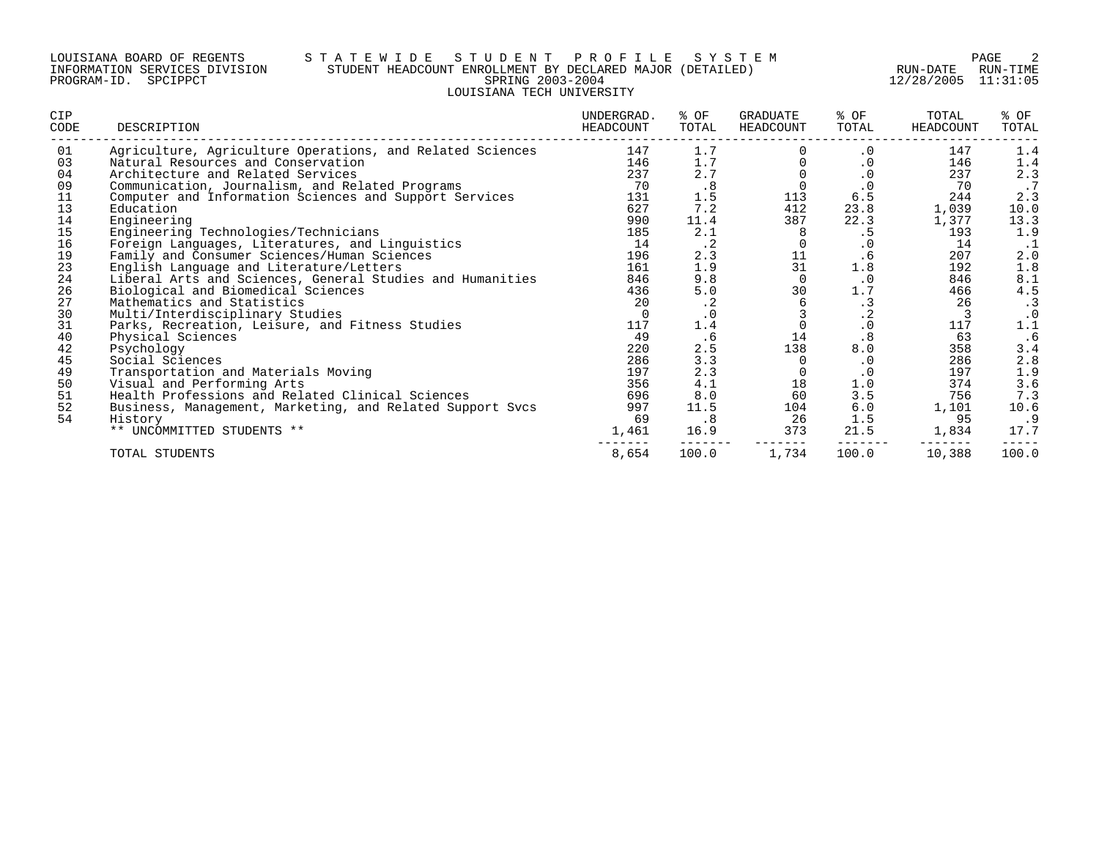#### LOUISIANA BOARD OF REGENTS S T A T E W I D E S T U D E N T P R O F I L E S Y S T E M PAGE 2 INFORMATION SERVICES DIVISION STUDENT HEADCOUNT ENROLLMENT BY DECLARED MAJOR (DETAILED) RUN-DATE RUN-TIME PROGRAM-ID. SPCIPPCT SPRING 2003-2004 12/28/2005 11:31:05 LOUISIANA TECH UNIVERSITY

| CIP<br>CODE | DESCRIPTION                                               | UNDERGRAD.<br>HEADCOUNT | % OF<br>TOTAL | GRADUATE<br>HEADCOUNT | % OF<br>TOTAL | TOTAL<br>HEADCOUNT | % OF<br>TOTAL |
|-------------|-----------------------------------------------------------|-------------------------|---------------|-----------------------|---------------|--------------------|---------------|
| 01          | Agriculture, Agriculture Operations, and Related Sciences | 147                     | 1.7           |                       | $\cdot$ 0     | 147                | 1.4           |
| 03          | Natural Resources and Conservation                        | 146                     | 1.7           |                       | $\cdot$ 0     | 146                | 1.4           |
| 04          | Architecture and Related Services                         | 237                     | 2.7           |                       | $\cdot$ 0     | 237                | 2.3           |
| 09          | Communication, Journalism, and Related Programs           | 70                      | .8            |                       | $\cdot$ 0     | 70                 | .7            |
| 11          | Computer and Information Sciences and Support Services    | 131                     | 1.5           | 113                   | 6.5           | 244                | 2.3           |
| 13          | Education                                                 | 627                     | 7.2           | 412                   | 23.8          | 1,039              | 10.0          |
| 14          | Engineering                                               | 990                     | 11.4          | 387                   | 22.3          | 1,377              | 13.3          |
| 15          | Engineering Technologies/Technicians                      | 185                     | 2.1           | 8                     | . 5           | 193                | 1.9           |
| 16          | Foreign Languages, Literatures, and Linguistics           | 14                      | $\cdot$ 2     |                       | $\cdot$ 0     | 14                 | $\cdot$ 1     |
| 19          | Family and Consumer Sciences/Human Sciences               | 196                     | 2.3           | 11                    | .6            | 207                | 2.0           |
| 23          | English Language and Literature/Letters                   | 161                     | 1.9           | 31                    | 1.8           | 192                | 1.8           |
| 24          | Liberal Arts and Sciences, General Studies and Humanities | 846                     | 9.8           | $\Omega$              | $\cdot$ 0     | 846                | 8.1           |
| 26          | Biological and Biomedical Sciences                        | 436                     | 5.0           | 30                    | 1.7           | 466                | 4.5           |
| 27          | Mathematics and Statistics                                | 20                      | $\cdot$ 2     | 6                     | $\cdot$ 3     | 26                 | $\cdot$ 3     |
| 30          | Multi/Interdisciplinary Studies                           | $\Omega$                | $\cdot$ 0     |                       | $\cdot$ 2     |                    | $\cdot$ 0     |
| 31          | Parks, Recreation, Leisure, and Fitness Studies           | 117                     | 1.4           |                       | $\cdot$ 0     | 117                | 1.1           |
| 40          | Physical Sciences                                         | 49                      | .6            | 14                    | .8            | 63                 | . 6           |
| 42          | Psychology                                                | 220                     | 2.5           | 138                   | 8.0           | 358                | 3.4           |
| 45          | Social Sciences                                           | 286                     | 3.3           | $\Omega$              | $\cdot$ 0     | 286                | 2.8           |
| 49          | Transportation and Materials Moving                       | 197                     | 2.3           |                       | $\cdot$ 0     | 197                | 1.9           |
| 50          | Visual and Performing Arts                                | 356                     | 4.1           | 18                    | 1.0           | 374                | 3.6           |
| 51          | Health Professions and Related Clinical Sciences          | 696                     | 8.0           | 60                    | 3.5           | 756                | 7.3           |
| 52          | Business, Management, Marketing, and Related Support Svcs | 997                     | 11.5          | 104                   | 6.0           | 1,101              | 10.6          |
| 54          | History                                                   | 69                      | .8            | 26                    | 1.5           | 95                 | . 9           |
|             | ** UNCOMMITTED STUDENTS **                                | 1,461                   | 16.9          | 373                   | 21.5          | 1,834              | 17.7          |
|             | TOTAL STUDENTS                                            | 8,654                   | 100.0         | 1,734                 | 100.0         | 10,388             | 100.0         |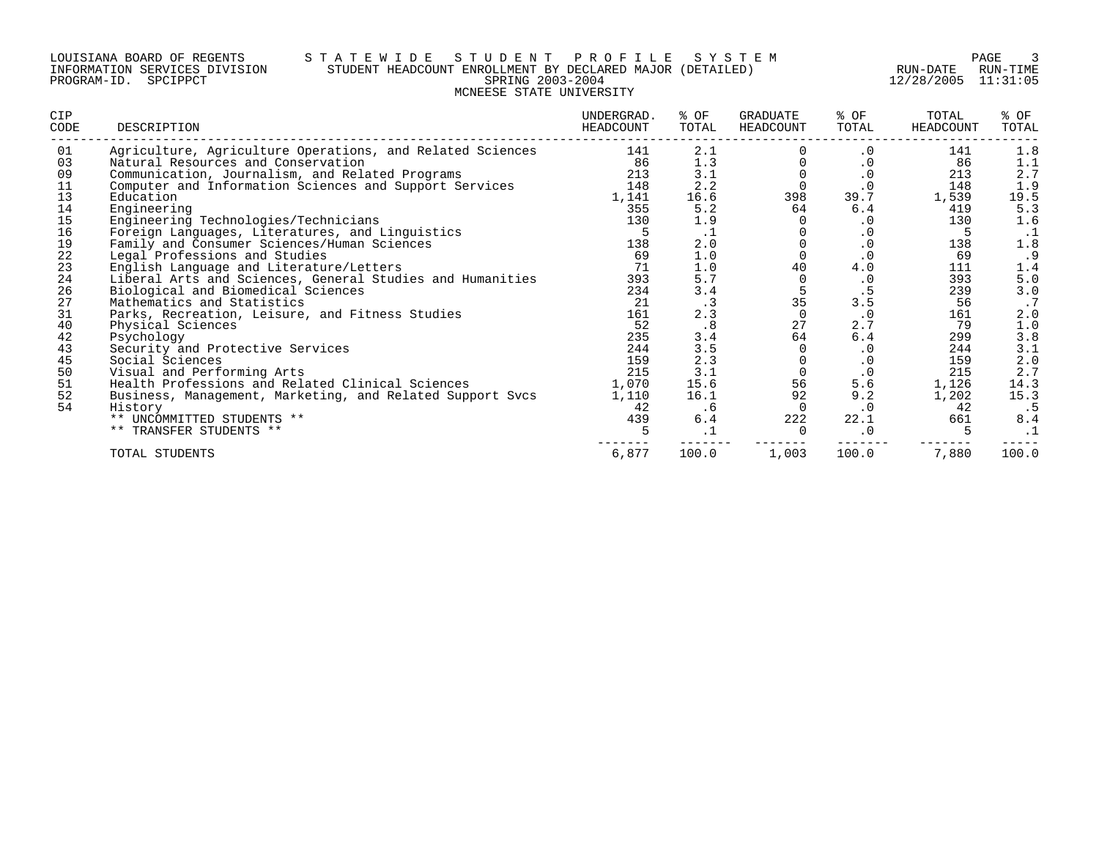### LOUISIANA BOARD OF REGENTS S T A T E W I D E S T U D E N T P R O F I L E S Y S T E M PAGE 3 INFORMATION SERVICES DIVISION STUDENT HEADCOUNT ENROLLMENT BY DECLARED MAJOR (DETAILED) RUN-DATE RUN-TIME PROGRAM-ID. SPCIPPCT SPRING 2003-2004 12/28/2005 11:31:05 MCNEESE STATE UNIVERSITY

| CIP<br>CODE | DESCRIPTION                                               | UNDERGRAD.<br>HEADCOUNT | % OF<br>TOTAL | GRADUATE<br>HEADCOUNT | % OF<br>TOTAL | TOTAL<br><b>HEADCOUNT</b> | % OF<br>TOTAL  |
|-------------|-----------------------------------------------------------|-------------------------|---------------|-----------------------|---------------|---------------------------|----------------|
| 01          | Agriculture, Agriculture Operations, and Related Sciences | 141                     | 2.1           |                       | . 0           | 141                       | 1.8            |
| 03          | Natural Resources and Conservation                        | 86                      | 1.3           |                       | $\cdot$ 0     | 86                        | 1.1            |
| 09          | Communication, Journalism, and Related Programs           | 213                     | 3.1           |                       | $\cdot$ 0     | 213                       | 2.7            |
| 11          | Computer and Information Sciences and Support Services    | 148                     | 2.2           | $\Omega$              | $\cdot$ 0     | 148                       | 1.9            |
| 13          | Education                                                 | 1,141                   | 16.6          | 398                   | 39.7          | 1,539                     | 19.5           |
| 14          | Engineering                                               | 355                     | 5.2           | 64                    | 6.4           | 419                       | 5.3            |
| 15          | Engineering Technologies/Technicians                      | 130                     | 1.9           |                       |               | 130                       | 1.6            |
| 16          | Foreign Languages, Literatures, and Linguistics           | 5                       | $\cdot$ 1     |                       | . 0           | 5                         | $\cdot$ 1      |
| 19          | Family and Consumer Sciences/Human Sciences               | 138                     | 2.0           |                       | $\cdot$ 0     | 138                       | 1.8            |
| 22          | Legal Professions and Studies                             | 69                      | 1.0           |                       | $\cdot$ 0     | 69                        | . 9            |
| 23          | English Language and Literature/Letters                   | 71                      | 1.0           | 40                    | 4.0           | 111                       | 1.4            |
| 24          | Liberal Arts and Sciences, General Studies and Humanities | 393                     | 5.7           |                       | $\cdot$ 0     | 393                       | 5.0            |
| 26          | Biological and Biomedical Sciences                        | 234                     | 3.4           |                       |               | 239                       | 3.0            |
| 27          | Mathematics and Statistics                                | 21                      | $\cdot$ 3     | 35                    | 3.5           | 56                        | $\cdot$ 7      |
| 31          | Parks, Recreation, Leisure, and Fitness Studies           | 161                     | 2.3           | $\cap$                | $\cdot$ 0     | 161                       | 2.0            |
| 40          | Physical Sciences                                         | 52                      | .8            | 27                    | 2.7           | 79                        | 1.0            |
| 42          | Psychology                                                | 235                     | 3.4           | 64                    | 6.4           | 299                       | 3.8            |
| 43          | Security and Protective Services                          | 244                     | 3.5           |                       | $\cdot$ 0     | 244                       |                |
| 45          | Social Sciences                                           | 159                     | 2.3           |                       | $\cdot$ 0     | 159                       | $3.1$<br>$2.0$ |
| 50          | Visual and Performing Arts                                | 215                     | 3.1           |                       | $\cdot$ 0     | 215                       | 2.7            |
| 51          | Health Professions and Related Clinical Sciences          | 1,070                   | 15.6          | 56                    | 5.6           | 1,126                     | 14.3           |
| 52          | Business, Management, Marketing, and Related Support Svcs | 1,110                   | 16.1          | 92                    | 9.2           | 1,202                     | 15.3           |
| 54          | History                                                   | 42                      | . 6           | 0                     | $\cdot$ 0     | 42                        | .5             |
|             | ** UNCOMMITTED STUDENTS **                                | 439                     | 6.4           | 222                   | 22.1          | 661                       | 8.4            |
|             | ** TRANSFER STUDENTS **                                   |                         | $\cdot$ 1     |                       | $\cdot$ 0     |                           | $\cdot$ 1      |
|             | TOTAL STUDENTS                                            | 6,877                   | 100.0         | 1,003                 | 100.0         | 7,880                     | 100.0          |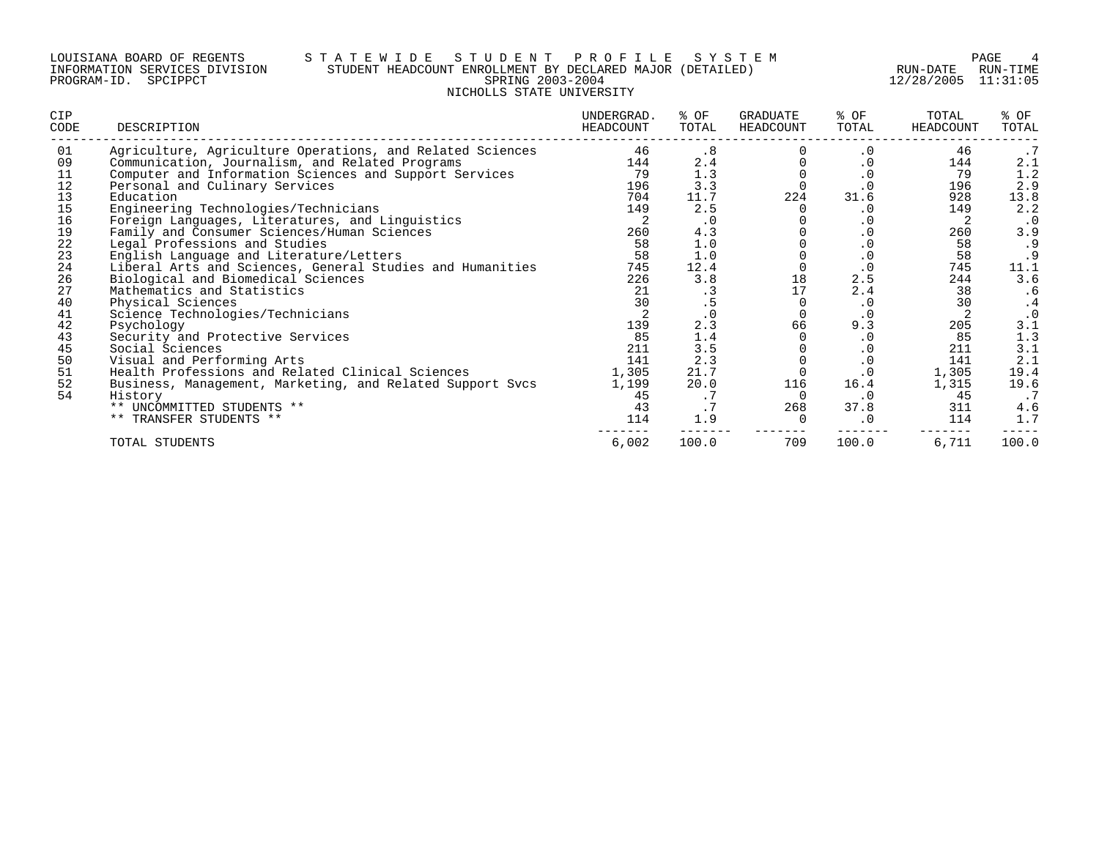#### LOUISIANA BOARD OF REGENTS S T A T E W I D E S T U D E N T P R O F I L E S Y S T E M PAGE 4 INFORMATION SERVICES DIVISION STUDENT HEADCOUNT ENROLLMENT BY DECLARED MAJOR (DETAILED) RUN-DATE RUN-TIME PROGRAM-ID. SPCIPPCT SPRING 2003-2004 12/28/2005 11:31:05 NICHOLLS STATE UNIVERSITY

| CIP<br>CODE | DESCRIPTION                                               | UNDERGRAD.<br>HEADCOUNT | % OF<br>TOTAL | GRADUATE<br>HEADCOUNT | % OF<br>TOTAL | TOTAL<br>HEADCOUNT | % OF<br>TOTAL |
|-------------|-----------------------------------------------------------|-------------------------|---------------|-----------------------|---------------|--------------------|---------------|
| 01          | Agriculture, Agriculture Operations, and Related Sciences | 46                      | . 8           |                       | $\cdot$ 0     | 46                 | .7            |
| 09          | Communication, Journalism, and Related Programs           | 144                     | 2.4           |                       | $\cdot$ 0     | 144                | 2.1           |
| 11          | Computer and Information Sciences and Support Services    | 79                      | 1.3           |                       | $\cdot$ 0     | 79                 | 1.2           |
| 12          | Personal and Culinary Services                            | 196                     | 3.3           |                       | $\cdot$ 0     | 196                | 2.9           |
| 13          | Education                                                 | 704                     | 11.7          | 224                   | 31.6          | 928                | 13.8          |
| 15          | Engineering Technologies/Technicians                      | 149                     | 2.5           |                       | $\cdot$ 0     | 149                | 2.2           |
| 16          | Foreign Languages, Literatures, and Linguistics           |                         | . 0           |                       | $\cdot$ 0     |                    | $\cdot$ 0     |
| 19          | Family and Consumer Sciences/Human Sciences               | 260                     | 4.3           |                       | $\cdot$ 0     | 260                | 3.9           |
| 22          | Legal Professions and Studies                             | 58                      | 1.0           |                       | $\cdot$ 0     | 58                 | .9            |
| 23          | English Language and Literature/Letters                   | 58                      | 1.0           |                       | $\cdot$ 0     | 58                 |               |
| 24          | Liberal Arts and Sciences, General Studies and Humanities | 745                     | 12.4          |                       | $\cdot$ 0     | 745                | 11.1          |
| 26          | Biological and Biomedical Sciences                        | 226                     | 3.8           | 18                    | 2.5           | 244                | 3.6           |
| 27          | Mathematics and Statistics                                | 21                      | .3            | 17                    | 2.4           | 38                 | . 6           |
| 40          | Physical Sciences                                         | 30                      | .5            |                       | $\cdot$ 0     | 30                 | . 4           |
| 41          | Science Technologies/Technicians                          |                         |               |                       | $\cdot$ 0     |                    | $\cdot$ 0     |
| 42          | Psychology                                                | 139                     | 2.3           | 66                    | 9.3           | 205                | 3.1           |
| 43          | Security and Protective Services                          | 85                      | 1.4           |                       | $\cdot$ 0     | 85                 | 1.3           |
| 45          | Social Sciences                                           | 211                     | 3.5           |                       | $\cdot$ 0     | 211                | 3.1           |
| 50          | Visual and Performing Arts                                | 141                     | 2.3           |                       | $\cdot$ 0     | 141                | 2.1           |
| 51          | Health Professions and Related Clinical Sciences          | 1,305                   | 21.7          |                       | $\cdot$ 0     | 1,305              | 19.4          |
| 52          | Business, Management, Marketing, and Related Support Svcs | 1,199                   | 20.0          | 116                   | 16.4          | 1,315              | 19.6          |
| 54          | History                                                   | 45                      | . 7           | $\Omega$              | $\cdot$ 0     | 45                 |               |
|             | ** UNCOMMITTED STUDENTS **                                | 43                      | .7            | 268                   | 37.8          | 311                | 4.6           |
|             | ** TRANSFER STUDENTS **                                   | 114                     | 1.9           | $\Omega$              | $\cdot$ 0     | 114                | 1.7           |
|             | TOTAL STUDENTS                                            | 6,002                   | 100.0         | 709                   | 100.0         | 6,711              | 100.0         |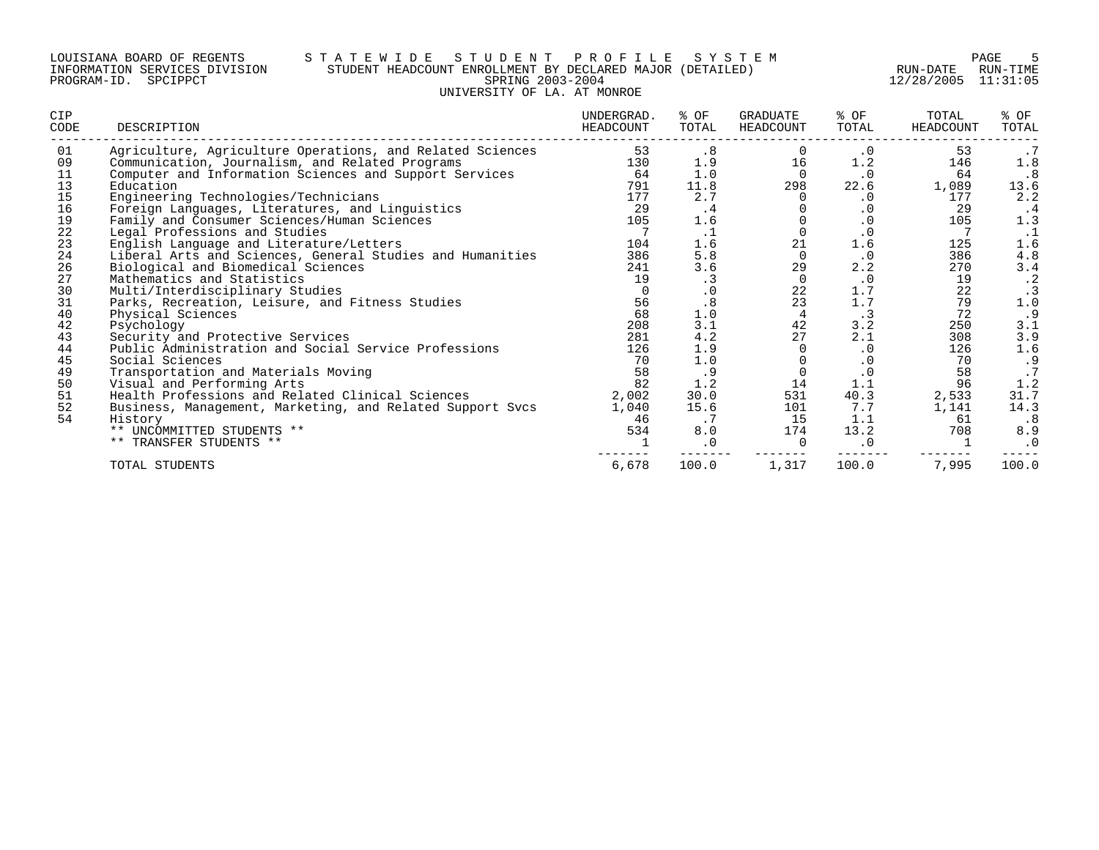#### LOUISIANA BOARD OF REGENTS S T A T E W I D E S T U D E N T P R O F I L E S Y S T E M PAGE 5 INFORMATION SERVICES DIVISION STUDENT HEADCOUNT ENROLLMENT BY DECLARED MAJOR (DETAILED) RUN-DATE RUN-TIME PROGRAM-ID. SPCIPPCT SPRING 2003-2004 12/28/2005 11:31:05 UNIVERSITY OF LA. AT MONROE

| CIP<br>CODE | DESCRIPTION                                               | UNDERGRAD.<br>HEADCOUNT | % OF<br>TOTAL | <b>GRADUATE</b><br>HEADCOUNT | % OF<br>TOTAL | TOTAL<br>HEADCOUNT | % OF<br>TOTAL |
|-------------|-----------------------------------------------------------|-------------------------|---------------|------------------------------|---------------|--------------------|---------------|
| 01          | Agriculture, Agriculture Operations, and Related Sciences | 53                      | .8            |                              | $\cdot$ 0     | 53                 | .7            |
| 09          | Communication, Journalism, and Related Programs           | 130                     | 1.9           | 16                           | 1.2           | 146                | 1.8           |
| 11          | Computer and Information Sciences and Support Services    | 64                      | 1.0           | $\Omega$                     | $\cdot$ 0     | 64                 | . 8           |
| 13          | Education                                                 | 791                     | 11.8          | 298                          | 22.6          | 1,089              | 13.6          |
| 15          | Engineering Technologies/Technicians                      | 177                     | 2.7           | 0                            | $\cdot$ 0     | 177                | 2.2           |
| 16          | Foreign Languages, Literatures, and Linguistics           | 29                      | $\cdot$ 4     |                              | . 0           | 29                 | . 4           |
| 19          | Family and Consumer Sciences/Human Sciences               | 105                     | 1.6           |                              | $\cdot$ 0     | 105                | 1.3           |
| 22          | Legal Professions and Studies                             |                         | $\cdot$ 1     | $\cap$                       | $\cdot$ 0     |                    | .1            |
| 23          | English Language and Literature/Letters                   | 104                     | 1.6           | 21                           | 1.6           | 125                | 1.6           |
| 24          | Liberal Arts and Sciences, General Studies and Humanities | 386                     | 5.8           | $\Omega$                     | $\cdot$ 0     | 386                | 4.8           |
| 26          | Biological and Biomedical Sciences                        | 241                     | 3.6           | 29                           | 2.2           | 270                | 3.4           |
| 27          | Mathematics and Statistics                                | 19                      | $\cdot$ 3     | 0                            | $\cdot$ 0     | 19                 | $\cdot$ 2     |
| 30          | Multi/Interdisciplinary Studies                           | $\Omega$                | $\cdot$ 0     | 22                           | 1.7           | 22                 | $\cdot$ 3     |
| 31          | Parks, Recreation, Leisure, and Fitness Studies           | 56                      | .8            | 23                           | $1.7$         | 79                 | 1.0           |
| 40          | Physical Sciences                                         | 68                      | 1.0           | 4                            | $\cdot$ 3     | 72                 | .9            |
| 42          | Psychology                                                | 208                     | 3.1           | 42                           | 3.2           | 250                | 3.1           |
| 43          | Security and Protective Services                          | 281                     | 4.2           | 27                           | 2.1           | 308                | 3.9           |
| 44          | Public Administration and Social Service Professions      | 126                     | 1.9           |                              | $\cdot$ 0     | 126                | 1.6           |
| 45          | Social Sciences                                           | 70                      | 1.0           |                              | $\cdot$ 0     | 70                 | .9            |
| 49          | Transportation and Materials Moving                       | 58                      | .9            |                              | $\cdot$ 0     | 58                 | .7            |
| 50          | Visual and Performing Arts                                | 82                      | 1.2           | 14                           | 1.1           | 96                 | 1.2           |
| 51          | Health Professions and Related Clinical Sciences          | 2,002                   | 30.0          | 531                          | 40.3          | 2,533              | 31.7          |
| 52          | Business, Management, Marketing, and Related Support Svcs | 1,040                   | 15.6          | 101                          | 7.7           | 1,141              | 14.3          |
| 54          | History                                                   | 46                      | $\cdot$ 7     | 15                           | 1.1           | 61                 | $\cdot$ 8     |
|             | ** UNCOMMITTED STUDENTS **                                | 534                     | 8.0           | 174                          | 13.2          | 708                | 8.9           |
|             | ** TRANSFER STUDENTS **                                   |                         | $\cdot$ 0     | $\Omega$                     | $\cdot$ 0     |                    | $\cdot$ 0     |
|             | TOTAL STUDENTS                                            | 6,678                   | 100.0         | 1,317                        | 100.0         | 7,995              | 100.0         |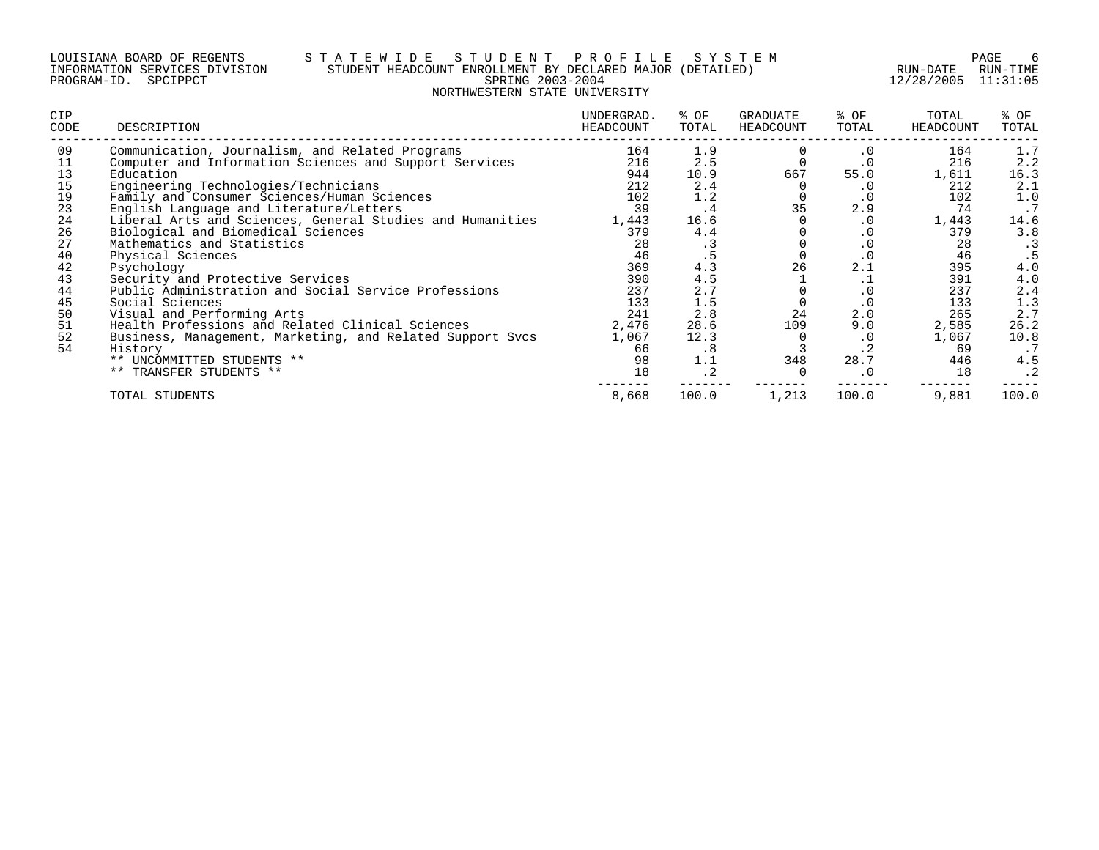#### LOUISIANA BOARD OF REGENTS S T A T E W I D E S T U D E N T P R O F I L E S Y S T E M PAGE 6 INFORMATION SERVICES DIVISION STUDENT HEADCOUNT ENROLLMENT BY DECLARED MAJOR (DETAILED) RUN-DATE RUN-TIME PROGRAM-ID. SPCIPPCT SPRING 2003-2004 12/28/2005 11:31:05 NORTHWESTERN STATE UNIVERSITY

| CIP<br>CODE | DESCRIPTION                                               | UNDERGRAD.<br>HEADCOUNT | % OF<br>TOTAL | GRADUATE<br>HEADCOUNT | % OF<br>TOTAL | TOTAL<br>HEADCOUNT | % OF<br>TOTAL |
|-------------|-----------------------------------------------------------|-------------------------|---------------|-----------------------|---------------|--------------------|---------------|
| 09          | Communication, Journalism, and Related Programs           | 164                     | 1.9           |                       | $\cdot$ 0     | 164                | 1.7           |
| 11          | Computer and Information Sciences and Support Services    | 216                     | 2.5           |                       | $\cdot$ 0     | 216                | 2.2           |
| 13          | Education                                                 | 944                     | 10.9          | 667                   | 55.0          | 1,611              | 16.3          |
| 15          | Engineering Technologies/Technicians                      | 212                     | 2.4           |                       | . 0           | 212                | 2.1           |
| 19          | Family and Consumer Sciences/Human Sciences               | 102                     | 1.2           |                       | $\cdot$ 0     | 102                | 1.0           |
| 23          | English Language and Literature/Letters                   | 39                      | . 4           | 35                    | 2.9           | 74                 | .7            |
| 24          | Liberal Arts and Sciences, General Studies and Humanities | 1,443                   | 16.6          |                       | $\cdot$ 0     | 1,443              | 14.6          |
| 26          | Biological and Biomedical Sciences                        | 379                     | 4.4           |                       | . 0           | 379                | 3.8           |
| 27          | Mathematics and Statistics                                | 28                      | . 3           |                       | $\cdot$ 0     | 28                 | $\cdot$ 3     |
| 40          | Physical Sciences                                         | 46                      |               |                       | . 0           | 46                 |               |
| 42          | Psychology                                                | 369                     | 4.3           | 26                    | 2.1           | 395                | 4.0           |
| 43          | Security and Protective Services                          | 390                     | 4.5           |                       | . ⊥           | 391                | 4.0           |
| 44          | Public Administration and Social Service Professions      | 237                     | 2.7           |                       | . 0           | 237                | 2.4           |
| 45          | Social Sciences                                           | 133                     | 1.5           |                       | $\cdot$ 0     | 133                | 1.3           |
| 50          | Visual and Performing Arts                                | 241                     | 2.8           | 24                    | 2.0           | 265                | 2.7           |
| 51          | Health Professions and Related Clinical Sciences          | 2,476                   | 28.6          | 109                   | 9.0           | 2,585              | 26.2          |
| 52          | Business, Management, Marketing, and Related Support Svcs | 1,067                   | 12.3          |                       | $\cdot$ 0     | 1,067              | 10.8          |
| 54          | History                                                   | 66                      | $\cdot$ 8     |                       | . 4           | -69                | .7            |
|             | ** UNCOMMITTED STUDENTS **                                | 98                      | 1.1           | 348                   | 28.7          | 446                | 4.5           |
|             | ** TRANSFER STUDENTS **                                   | 18                      | $\cdot$ 2     |                       | $\cdot$ 0     | 18                 | $\cdot$ 2     |
|             | TOTAL STUDENTS                                            | 8,668                   | 100.0         | 1,213                 | 100.0         | 9,881              | 100.0         |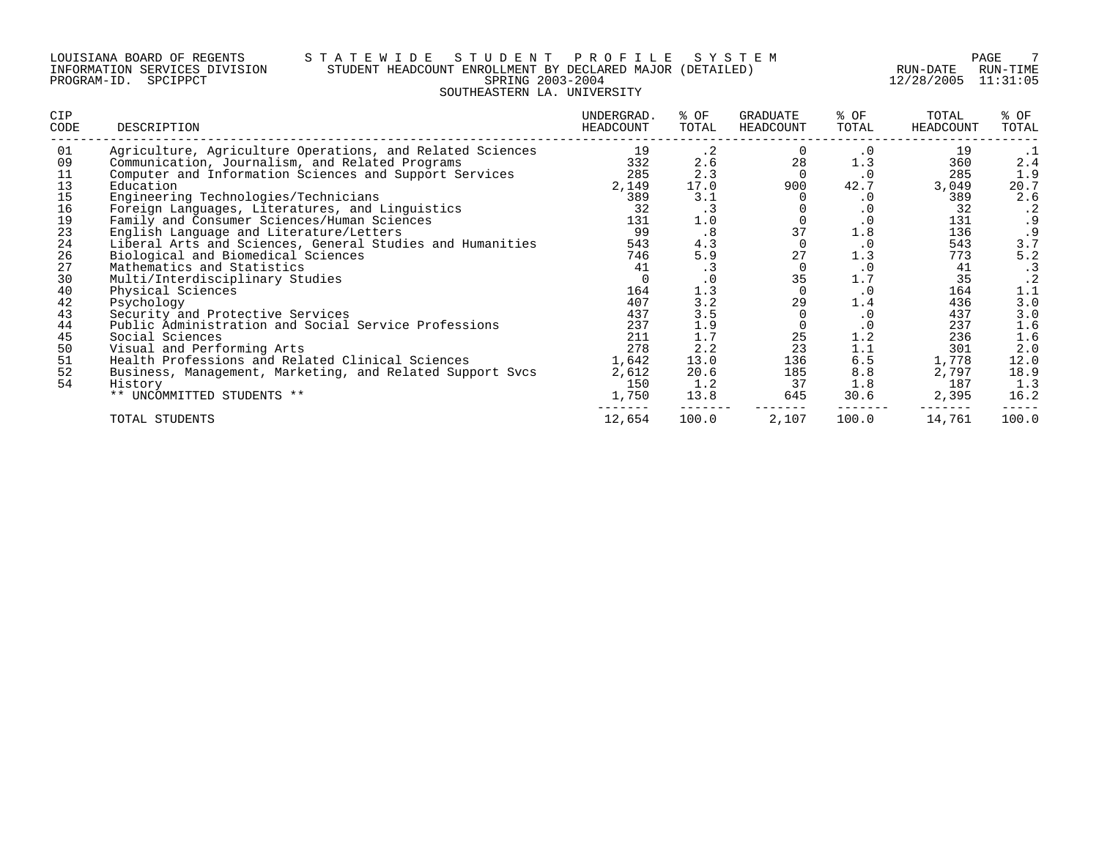#### LOUISIANA BOARD OF REGENTS S T A T E W I D E S T U D E N T P R O F I L E S Y S T E M PAGE 7 INFORMATION SERVICES DIVISION STUDENT HEADCOUNT ENROLLMENT BY DECLARED MAJOR (DETAILED) RUN-DATE RUN-TIME PROGRAM-ID. SPCIPPCT SPRING 2003-2004 12/28/2005 11:31:05 SOUTHEASTERN LA. UNIVERSITY

| <b>CIP</b><br>CODE | DESCRIPTION                                               | UNDERGRAD.<br>HEADCOUNT | % OF<br>TOTAL | GRADUATE<br>HEADCOUNT | % OF<br>TOTAL | TOTAL<br>HEADCOUNT | % OF<br>TOTAL |
|--------------------|-----------------------------------------------------------|-------------------------|---------------|-----------------------|---------------|--------------------|---------------|
| 01                 | Agriculture, Agriculture Operations, and Related Sciences | 19                      | $\cdot$ 2     |                       | $\cdot$ 0     | 19                 | $\cdot$ 1     |
| 09                 | Communication, Journalism, and Related Programs           | 332                     | 2.6           | 28                    | 1.3           | 360                | 2.4           |
| 11                 | Computer and Information Sciences and Support Services    | 285                     | 2.3           |                       | . 0           | 285                | 1.9           |
| 13                 | Education                                                 | 2,149                   | 17.0          | 900                   | 42.7          | 3,049              | 20.7          |
| 15                 | Engineering Technologies/Technicians                      | 389                     | 3.1           |                       | . 0           | 389                | 2.6           |
| 16                 | Foreign Languages, Literatures, and Linguistics           | 32                      | . 3           |                       | $\cdot$ 0     | 32                 | $\cdot$ 2     |
| 19                 | Family and Consumer Sciences/Human Sciences               | 131                     | 1.0           |                       | $\cdot$ 0     | 131                | . 9           |
| 23                 | English Language and Literature/Letters                   | 99                      | .8            | 37                    | 1.8           | 136                | . 9           |
| 24                 | Liberal Arts and Sciences, General Studies and Humanities | 543                     | 4.3           | $\Omega$              | $\cdot$ 0     | 543                | 3.7           |
| 26                 | Biological and Biomedical Sciences                        | 746                     | 5.9           | 27                    | 1.3           | 773                | 5.2           |
| 27                 | Mathematics and Statistics                                | 41                      | $\cdot$ 3     | $\Omega$              | $\cdot$ 0     | 41                 | . 3           |
| 30                 | Multi/Interdisciplinary Studies                           | $\Omega$                | .0            | 35                    | 1.7           | 35                 | $\cdot$ 2     |
| 40                 | Physical Sciences                                         | 164                     | 1.3           |                       | $\cdot$ 0     | 164                | 1.1           |
| 42                 | Psychology                                                | 407                     | 3.2           | 29                    | 1.4           | 436                | 3.0           |
| 43                 | Security and Protective Services                          | 437                     | 3.5           |                       | $\cdot$ 0     | 437                | 3.0           |
| 44                 | Public Administration and Social Service Professions      | 237                     | 1.9           |                       | $\cdot$ 0     | 237                | 1.6           |
| 45                 | Social Sciences                                           | 211                     | 1.7           | 25                    | 1.2           | 236                | 1.6           |
| 50                 | Visual and Performing Arts                                | 278                     | 2.2           | 23                    | 1.1           | 301                | 2.0           |
| 51                 | Health Professions and Related Clinical Sciences          | 1,642                   | 13.0          | 136                   | 6.5           | 1,778              | 12.0          |
| 52                 | Business, Management, Marketing, and Related Support Svcs | 2,612                   | 20.6          | 185                   | 8.8           | 2,797              | 18.9          |
| 54                 | History                                                   | 150                     | 1.2           | 37                    | 1.8           | 187                | 1.3           |
|                    | ** UNCOMMITTED STUDENTS **                                | 1,750                   | 13.8          | 645                   | 30.6          | 2,395              | 16.2          |
|                    | TOTAL STUDENTS                                            | 12,654                  | 100.0         | 2,107                 | 100.0         | 14,761             | 100.0         |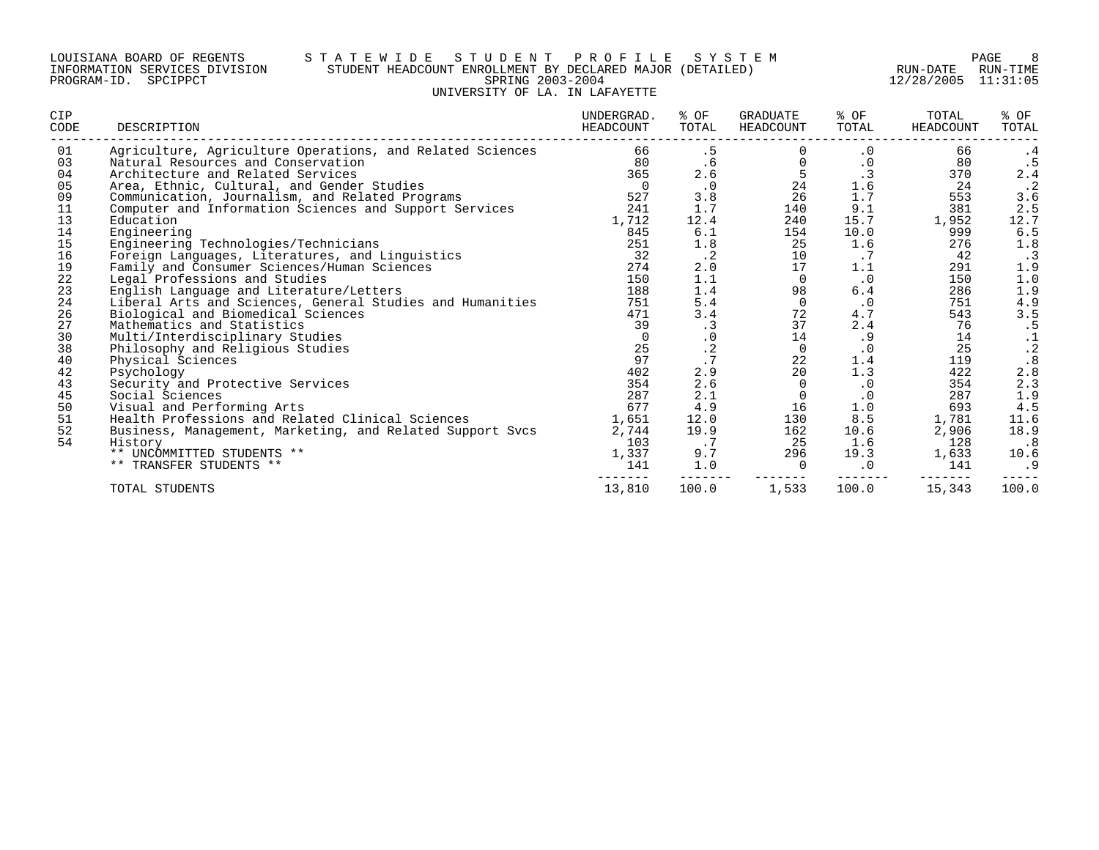#### LOUISIANA BOARD OF REGENTS S T A T E W I D E S T U D E N T P R O F I L E S Y S T E M PAGE 8 INFORMATION SERVICES DIVISION STUDENT HEADCOUNT ENROLLMENT BY DECLARED MAJOR (DETAILED) RUN-DATE RUN-TIME PROGRAM-ID. SPCIPPCT SPRING 2003-2004 12/28/2005 11:31:05 UNIVERSITY OF LA. IN LAFAYETTE

| CIP<br>CODE | DESCRIPTION                                               | UNDERGRAD.<br>HEADCOUNT | % OF<br>TOTAL | <b>GRADUATE</b><br>HEADCOUNT | % OF<br>TOTAL | TOTAL<br>HEADCOUNT | % OF<br>TOTAL |
|-------------|-----------------------------------------------------------|-------------------------|---------------|------------------------------|---------------|--------------------|---------------|
| 01          | Agriculture, Agriculture Operations, and Related Sciences | 66                      | .5            |                              | $\cdot$ 0     | 66                 | .4            |
| 03          | Natural Resources and Conservation                        | 80                      | .6            | $\Omega$                     | $\cdot$ 0     | 80                 |               |
| 04          | Architecture and Related Services                         | 365                     | 2.6           | 5                            | $\cdot$ 3     | 370                | 2.4           |
| 05          | Area, Ethnic, Cultural, and Gender Studies                | $\overline{0}$          | $\cdot$ 0     | 24                           | $1.6\,$       | 24                 | $\cdot$ 2     |
| 09          | Communication, Journalism, and Related Programs           | 527                     | 3.8           | 26                           | $1.7\,$       | 553                | 3.6           |
| 11          | Computer and Information Sciences and Support Services    | 241                     | 1.7           | 140                          | 9.1           | 381                | 2.5           |
| 13          | Education                                                 | 1,712                   | 12.4          | 240                          | 15.7          | 1,952              | 12.7          |
| 14          | Engineering                                               | 845                     | 6.1           | 154                          | 10.0          | 999                | 6.5           |
| 15          | Engineering Technologies/Technicians                      | 251                     | $1.8$         | 25                           | 1.6           | 276                | 1.8           |
| 16          | Foreign Languages, Literatures, and Linguistics           | 32                      | $\cdot$ 2     | 10                           | .7            | 42                 | $\cdot$ 3     |
| 19          | Family and Consumer Sciences/Human Sciences               | 274                     | 2.0           | 17                           | 1.1           | 291                | 1.9           |
| 22          | Legal Professions and Studies                             | 150                     | 1.1           | $\Omega$                     | $\cdot$ 0     | 150                | 1.0           |
| 23          | English Language and Literature/Letters                   | 188                     | 1.4           | 98                           | 6.4           | 286                | 1.9           |
| 24          | Liberal Arts and Sciences, General Studies and Humanities | 751                     | 5.4           | $\overline{0}$               | $\cdot$ 0     | 751                | 4.9           |
| 26          | Biological and Biomedical Sciences                        | 471                     | 3.4           | 72                           | 4.7           | 543                | 3.5           |
| 27          | Mathematics and Statistics                                | 39                      | $\cdot$ 3     | 37                           | 2.4           | 76                 | .5            |
| 30          | Multi/Interdisciplinary Studies                           | $\Omega$                | $\cdot$ 0     | 14                           | .9            | 14                 | $\frac{1}{2}$ |
| 38          | Philosophy and Religious Studies                          | 25                      | $\cdot$ 2     | $\mathbf 0$                  | $\cdot$ 0     | 25                 |               |
| 40          | Physical Sciences                                         | 97                      | .7            | 22                           | 1.4           | 119                | $.8 \, 2.8$   |
| 42          | Psychology                                                | 402                     | 2.9           | 20                           | 1.3           | 422                |               |
| 43          | Security and Protective Services                          | 354                     | 2.6           | $\Omega$                     | $\cdot$ 0     | 354                | 2.3           |
| 45          | Social Sciences                                           | 287                     | 2.1           | $\Omega$                     | $\cdot$ 0     | 287                | 1.9           |
| 50          | Visual and Performing Arts                                | 677                     | 4.9           | 16                           | 1.0           | 693                | 4.5           |
| 51          | Health Professions and Related Clinical Sciences          | 1,651                   | 12.0          | 130                          | 8.5           | 1,781              | 11.6          |
| 52          | Business, Management, Marketing, and Related Support Svcs | 2,744                   | 19.9          | 162                          | 10.6          | 2,906              | 18.9          |
| 54          | History                                                   | 103                     | .7            | 25                           | 1.6           | 128                | $\cdot$ 8     |
|             | ** UNCOMMITTED STUDENTS **                                | 1,337                   | 9.7           | 296                          | 19.3          | 1,633              | 10.6          |
|             | ** TRANSFER STUDENTS **                                   | 141                     | 1.0           |                              | $\cdot$ 0     | 141                | .9            |
|             | TOTAL STUDENTS                                            | 13,810                  | 100.0         | 1,533                        | 100.0         | 15,343             | 100.0         |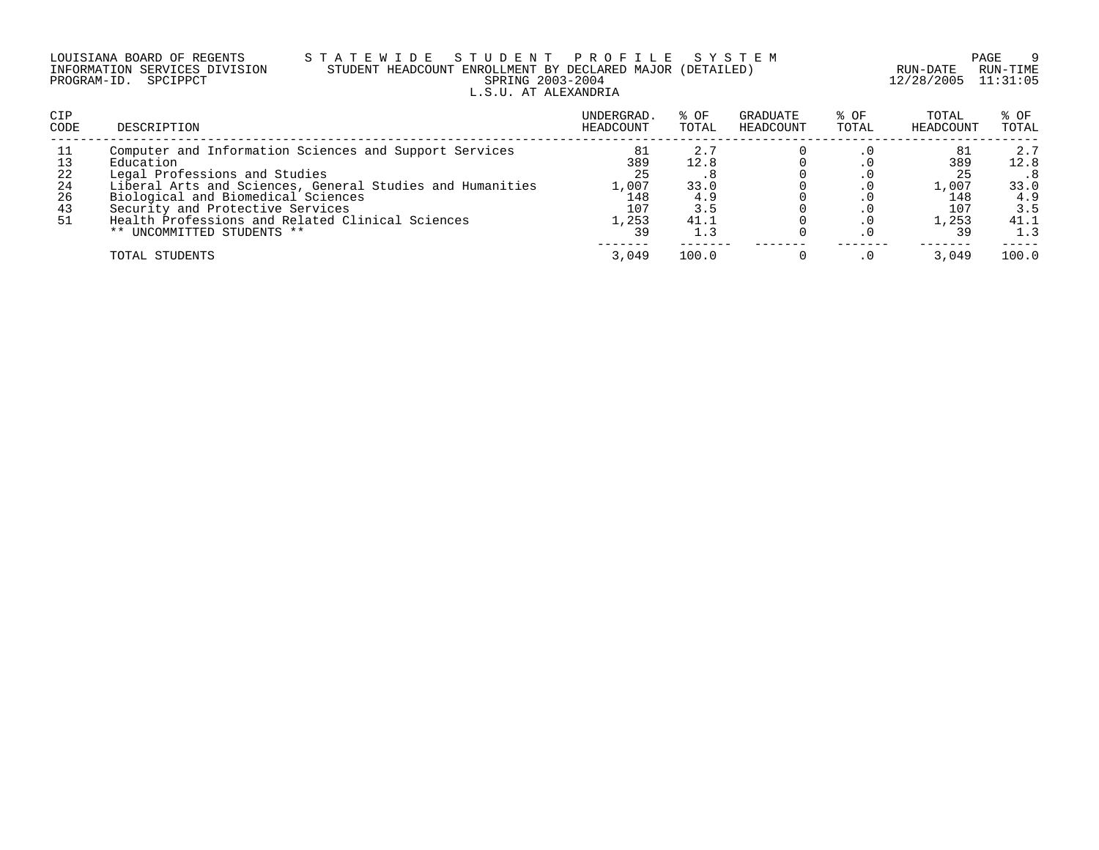| LOUISIANA BOARD OF REGENTS    |  |  | S ' |  |
|-------------------------------|--|--|-----|--|
| INFORMATION SERVICES DIVISION |  |  |     |  |
| PROGRAM-ID. SPCIPPCT          |  |  |     |  |

### LOUISIANA BOARD OF REGENTS S T A T E W I D E S T U D E N T P R O F I L E S Y S T E M PAGE 9 INFORMATION SERVICES DIVISION STUDENT HEADCOUNT ENROLLMENT BY DECLARED MAJOR (DETAILED) RUN-DATE RUN-TIME PRING 2003-2004 12/28/2005 11:31:05 L.S.U. AT ALEXANDRIA

| <b>CIP</b><br>CODE                     | DESCRIPTION                                                                                                                                                                                                                                                                                                                   | UNDERGRAD.<br>HEADCOUNT                               | % OF<br>TOTAL                             | GRADUATE<br>HEADCOUNT | % OF<br>TOTAL | TOTAL<br>HEADCOUNT                        | % OF<br>TOTAL                                    |
|----------------------------------------|-------------------------------------------------------------------------------------------------------------------------------------------------------------------------------------------------------------------------------------------------------------------------------------------------------------------------------|-------------------------------------------------------|-------------------------------------------|-----------------------|---------------|-------------------------------------------|--------------------------------------------------|
| 11<br>13<br>22<br>24<br>26<br>43<br>51 | Computer and Information Sciences and Support Services<br>Education<br>Legal Professions and Studies<br>Liberal Arts and Sciences, General Studies and Humanities<br>Biological and Biomedical Sciences<br>Security and Protective Services<br>Health Professions and Related Clinical Sciences<br>** UNCOMMITTED STUDENTS ** | 81<br>389<br>25<br>1,007<br>148<br>107<br>1,253<br>39 | 2.7<br>12.8<br>33.0<br>4.9<br>3.5<br>41.1 |                       | $\cdot$ 0     | 389<br>25<br>1,007<br>148<br>107<br>1,253 | 2.7<br>12.8<br>33.0<br>4.9<br>3.5<br>41.1<br>1.3 |
|                                        | TOTAL STUDENTS                                                                                                                                                                                                                                                                                                                | 3.049                                                 | 100.0                                     |                       |               | 3.049                                     | 100.0                                            |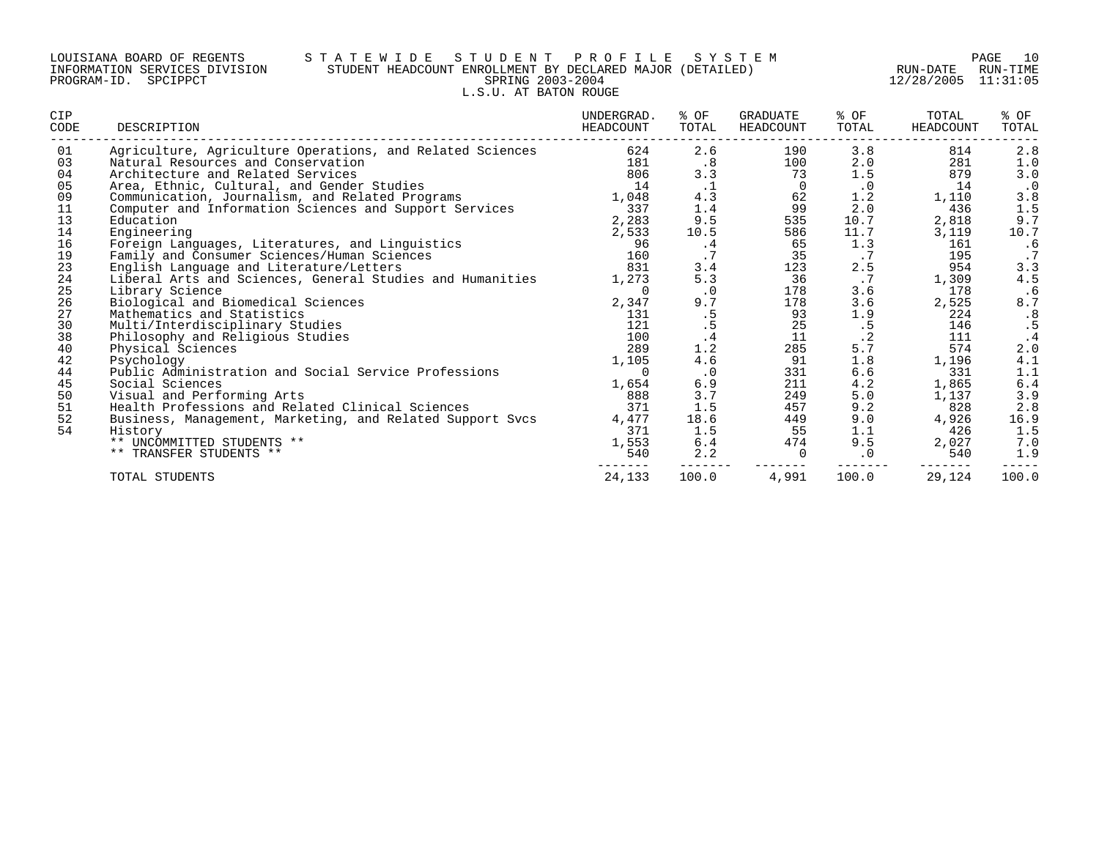#### LOUISIANA BOARD OF REGENTS S T A T E W I D E S T U D E N T P R O F I L E S Y S T E M PAGE 10 INFORMATION SERVICES DIVISION STUDENT HEADCOUNT ENROLLMENT BY DECLARED MAJOR (DETAILED) RUN-DATE RUN-TIME PROGRAM-ID. SPCIPPCT SPRING 2003-2004 12/28/2005 11:31:05 L.S.U. AT BATON ROUGE

| CIP<br>CODE | DESCRIPTION                                               | UNDERGRAD.<br>HEADCOUNT | % OF<br>TOTAL | GRADUATE<br>HEADCOUNT | % OF<br>TOTAL | TOTAL<br><b>HEADCOUNT</b> | % OF<br>TOTAL |
|-------------|-----------------------------------------------------------|-------------------------|---------------|-----------------------|---------------|---------------------------|---------------|
| 01          | Agriculture, Agriculture Operations, and Related Sciences | 624                     | 2.6           | 190                   | 3.8           | 814                       | 2.8           |
| 03          | Natural Resources and Conservation                        | 181                     | .8            | 100                   | 2.0           | 281                       | 1.0           |
| 04          | Architecture and Related Services                         | 806                     | 3.3           | 73                    | 1.5           | 879                       | 3.0           |
| 05          | Area, Ethnic, Cultural, and Gender Studies                | 14                      | $\cdot$ 1     | $\Omega$              | $\cdot$ 0     | 14                        | . 0           |
| 09          | Communication, Journalism, and Related Programs           | 1,048                   | 4.3           | 62                    | 1.2           | 1,110                     | 3.8           |
| 11          | Computer and Information Sciences and Support Services    | 337                     | 1.4           | 99                    | 2.0           | 436                       | 1.5           |
| 13          | Education                                                 | 2,283                   | 9.5           | 535                   | 10.7          | 2,818                     | 9.7           |
| 14          | Engineering                                               | 2,533                   | 10.5          | 586                   | 11.7          | 3,119                     | 10.7          |
| 16          | Foreign Languages, Literatures, and Linguistics           | 96                      | .4            | 65                    | 1.3           | 161                       | . 6           |
| 19          | Family and Consumer Sciences/Human Sciences               | 160                     | .7            | 35                    | .7            | 195                       | $\cdot$ 7     |
| 23          | English Language and Literature/Letters                   | 831                     | 3.4           | 123                   | 2.5           | 954                       | 3.3           |
| 24          | Liberal Arts and Sciences, General Studies and Humanities | 1,273                   | 5.3           | 36                    | $\cdot$ 7     | 1,309                     | 4.5           |
| 25          | Library Science                                           | 0                       | $\cdot$ 0     | 178                   | 3.6           | 178                       | .6            |
| 26          | Biological and Biomedical Sciences                        | 2,347                   | 9.7           | 178                   | 3.6           | 2,525                     | 8.7           |
| 27          | Mathematics and Statistics                                | 131                     | .5            | 93                    | 1.9           | 224                       | .8            |
| 30          | Multi/Interdisciplinary Studies                           | 121                     | .5            | 25                    | .5            | 146                       | .5            |
| 38          | Philosophy and Religious Studies                          | 100                     | $\cdot$ 4     | 11                    | $\cdot$ 2     | 111                       |               |
| 40          | Physical Sciences                                         | 289                     | 1.2           | 285                   | $5.7$         | 574                       | 2.0           |
| 42          | Psychology                                                | 1,105                   | 4.6           | 91                    | 1.8           | 1,196                     | 4.1           |
| 44          | Public Administration and Social Service Professions      | U                       | $\cdot$ 0     | 331                   | 6.6           | 331                       | 1.1           |
| 45          | Social Sciences                                           | 1,654                   | 6.9           | 211                   | 4.2           | 1,865                     | $6.4$         |
| 50          | Visual and Performing Arts                                | 888                     | 3.7           | 249                   | 5.0           | 1,137                     | 3.9           |
| 51          | Health Professions and Related Clinical Sciences          | 371                     | 1.5           | 457                   | 9.2           | 828                       | 2.8           |
| 52          | Business, Management, Marketing, and Related Support Svcs | 4,477                   | 18.6          | 449                   | 9.0           | 4,926                     | 16.9          |
| 54          | History                                                   | 371                     | 1.5           | 55                    | 1.1           | 426                       | 1.5           |
|             | ** UNCOMMITTED STUDENTS **                                | 1,553                   | 6.4           | 474                   | 9.5           | 2,027                     | 7.0           |
|             | TRANSFER STUDENTS **                                      | 540                     | 2.2           | $\Omega$              | $\cdot$ 0     | 540                       | 1.9           |
|             | TOTAL STUDENTS                                            | 24,133                  | 100.0         | 4,991                 | 100.0         | 29,124                    | 100.0         |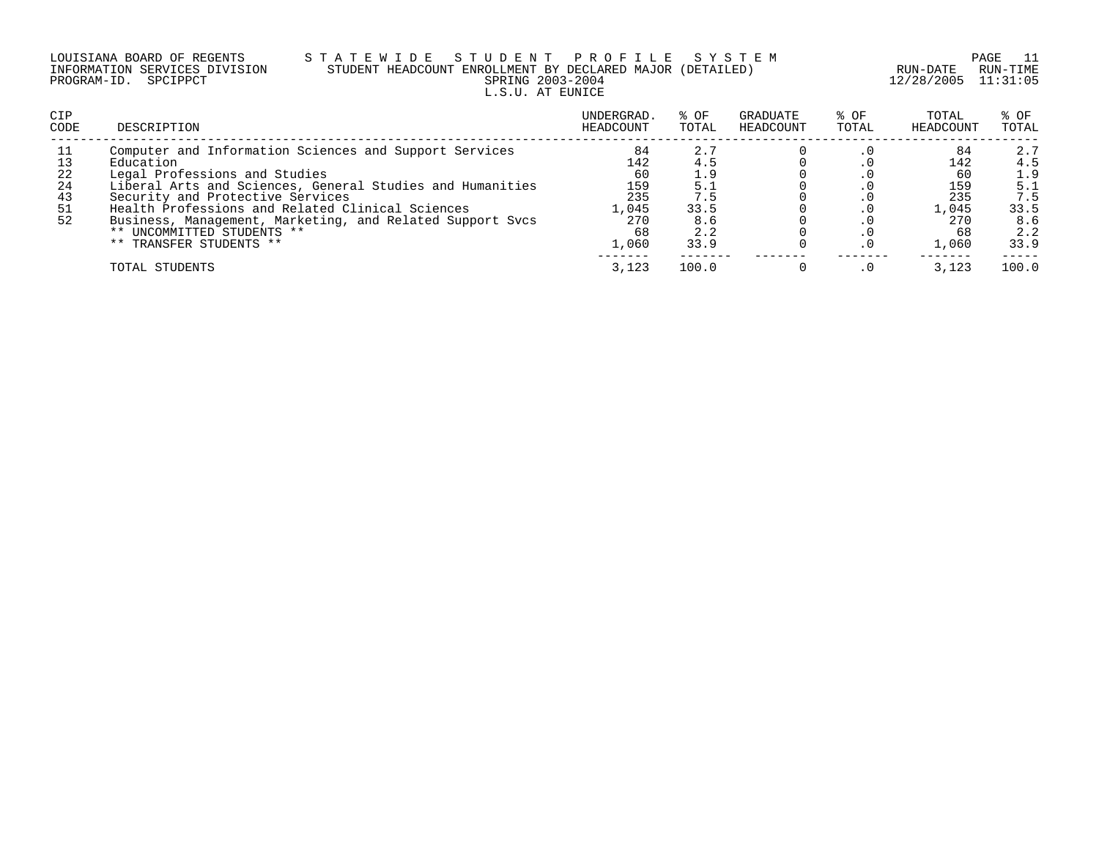| LOUISIANA BOARD OF REGENTS |  |                               |
|----------------------------|--|-------------------------------|
|                            |  | INFORMATION SERVICES DIVISION |
| PROGRAM-ID. SPCIPPCT       |  |                               |

# S T A T E W I D E S T U D E N T P R O F I L E S Y S T E M PAGE 11 PAGE 11 PAGE 11 STUDENT HEADCOUNT ENROLLMENT BY DECLARED MAJOR (DETAILED)<br>SPRING 2003-2004 L.S.U. AT EUNICE

12/28/2005 11:31:05

| <b>CIP</b><br>CODE                     | DESCRIPTION                                                                                                                                                                                                                                                                                                                                                                     | UNDERGRAD.<br>HEADCOUNT                                      | % OF<br>TOTAL                                                 | GRADUATE<br>HEADCOUNT | % OF<br>TOTAL | TOTAL<br>HEADCOUNT                                           | % OF<br>TOTAL                                                 |
|----------------------------------------|---------------------------------------------------------------------------------------------------------------------------------------------------------------------------------------------------------------------------------------------------------------------------------------------------------------------------------------------------------------------------------|--------------------------------------------------------------|---------------------------------------------------------------|-----------------------|---------------|--------------------------------------------------------------|---------------------------------------------------------------|
| 11<br>13<br>22<br>24<br>43<br>51<br>52 | Computer and Information Sciences and Support Services<br>Education<br>Legal Professions and Studies<br>Liberal Arts and Sciences, General Studies and Humanities<br>Security and Protective Services<br>Health Professions and Related Clinical Sciences<br>Business, Management, Marketing, and Related Support Svcs<br>** UNCOMMITTED STUDENTS **<br>** TRANSFER STUDENTS ** | 84<br>142<br>60<br>159<br>235<br>.,045<br>270<br>68<br>l.060 | 2.7<br>4.5<br>1.9<br>5.1<br>7.5<br>33.5<br>8.6<br>2.2<br>33.9 |                       | . 0           | 84<br>142<br>60<br>159<br>235<br>1,045<br>270<br>68<br>1,060 | 2.7<br>4.5<br>1.9<br>5.1<br>7.5<br>33.5<br>8.6<br>2.2<br>33.9 |
|                                        | TOTAL STUDENTS                                                                                                                                                                                                                                                                                                                                                                  | 3,123                                                        | 100.0                                                         |                       |               | 3,123                                                        | 100.0                                                         |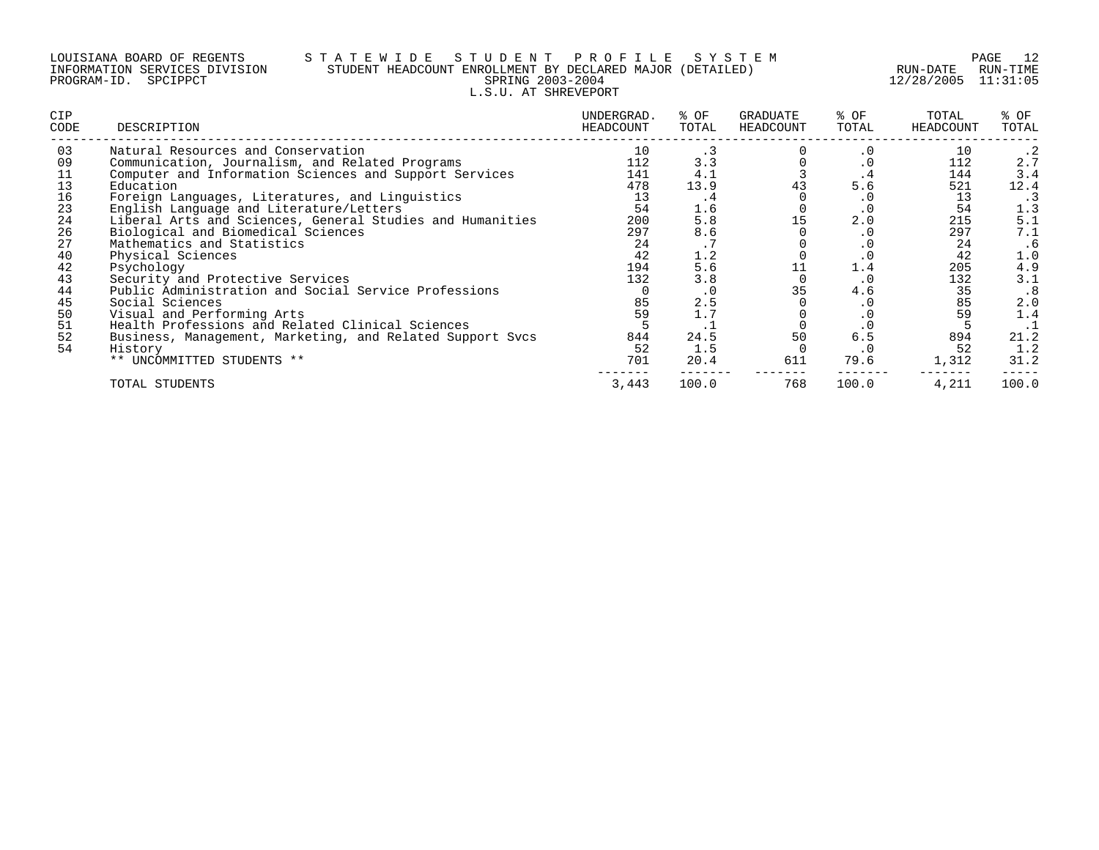#### LOUISIANA BOARD OF REGENTS S T A T E W I D E S T U D E N T P R O F I L E S Y S T E M PAGE 12 INFORMATION SERVICES DIVISION STUDENT HEADCOUNT ENROLLMENT BY DECLARED MAJOR (DETAILED) RUN-DATE RUN-TIME PROGRAM-ID. SPCIPPCT SPRING 2003-2004 12/28/2005 11:31:05 L.S.U. AT SHREVEPORT

| <b>CIP</b><br>CODE | DESCRIPTION                                               | UNDERGRAD.<br>HEADCOUNT | % OF<br>TOTAL   | GRADUATE<br>HEADCOUNT | % OF<br>TOTAL | TOTAL<br>HEADCOUNT | % OF<br>TOTAL |
|--------------------|-----------------------------------------------------------|-------------------------|-----------------|-----------------------|---------------|--------------------|---------------|
| 03                 | Natural Resources and Conservation                        | 10                      | . 3             |                       | . 0           | 10                 |               |
| 09                 | Communication, Journalism, and Related Programs           | 112                     | 3.3             |                       |               | 112                | 2.7           |
| 11                 | Computer and Information Sciences and Support Services    | 141                     | 4.1             |                       | . 4           | 144                | 3.4           |
| 13                 | Education                                                 | 478                     | 13.9            | 43                    | 5.6           | 521                | 12.4          |
| 16                 | Foreign Languages, Literatures, and Linguistics           | 13                      | . 4             |                       | . 0           | 13                 | . 3           |
| 23                 | English Language and Literature/Letters                   | 54                      | 1.6             |                       | $\cdot$ 0     | 54                 | 1.3           |
| 24                 | Liberal Arts and Sciences, General Studies and Humanities | 200                     | 5.8             | 15                    | 2.0           | 215                | 5.1           |
| 26                 | Biological and Biomedical Sciences                        | 297                     | 8.6             |                       | . 0           | 297                | 7.1           |
| 27                 | Mathematics and Statistics                                | 24                      | $\cdot$ $\cdot$ |                       | . 0           | 24                 | .6            |
| 40                 | Physical Sciences                                         | 42                      | 1.2             |                       | . 0           | 42                 | 1.0           |
| 42                 | Psychology                                                | 194                     | 5.6             |                       | 1.4           | 205                | 4.9           |
| 43                 | Security and Protective Services                          | 132                     | 3.8             |                       | . 0           | 132                | 3.1           |
| 44                 | Public Administration and Social Service Professions      |                         | . 0             | 35                    | 4.6           | 35                 | .8            |
| 45                 | Social Sciences                                           | 85                      | 2.5             |                       | . 0           | 85                 | 2.0           |
| 50                 | Visual and Performing Arts                                | 59                      | 1.7             |                       | . 0           | 59                 | 1.4           |
| 51                 | Health Professions and Related Clinical Sciences          |                         | $\cdot$ $\bot$  |                       | . 0           |                    | .1            |
| 52                 | Business, Management, Marketing, and Related Support Svcs | 844                     | 24.5            | 50                    | 6.5           | 894                | 21.2          |
| 54                 | History                                                   | 52                      | 1.5             |                       | . 0           | 52                 | 1.2           |
|                    | ** UNCOMMITTED STUDENTS **                                | 701                     | 20.4            | 611                   | 79.6          | 1,312              | 31.2          |
|                    | TOTAL STUDENTS                                            | 3,443                   | 100.0           | 768                   | 100.0         | 4,211              | 100.0         |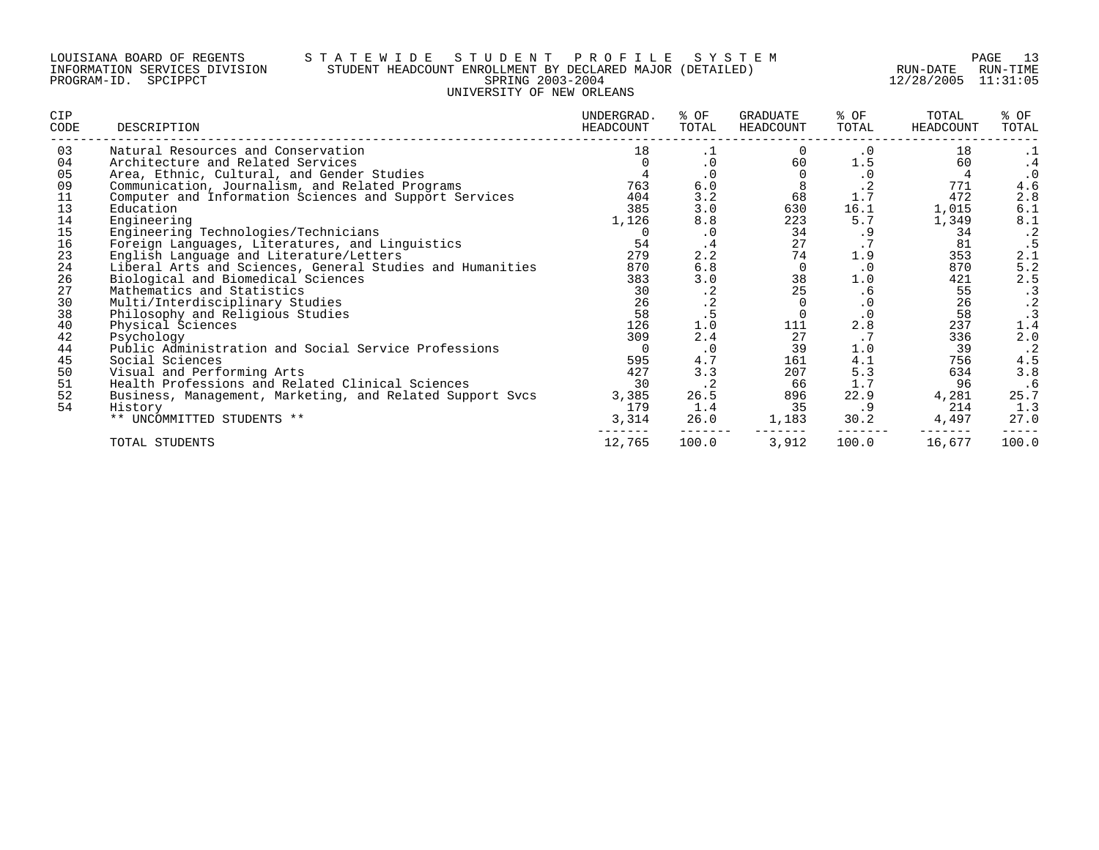#### LOUISIANA BOARD OF REGENTS S T A T E W I D E S T U D E N T P R O F I L E S Y S T E M PAGE 13 INFORMATION SERVICES DIVISION STUDENT HEADCOUNT ENROLLMENT BY DECLARED MAJOR (DETAILED) RUN-DATE RUN-TIME PROGRAM-ID. SPCIPPCT SPRING 2003-2004 12/28/2005 11:31:05 UNIVERSITY OF NEW ORLEANS

| CIP<br>CODE | DESCRIPTION                                               | UNDERGRAD.<br>HEADCOUNT | % OF<br>TOTAL | GRADUATE<br>HEADCOUNT | % OF<br>TOTAL   | TOTAL<br>HEADCOUNT | % OF<br>TOTAL                  |
|-------------|-----------------------------------------------------------|-------------------------|---------------|-----------------------|-----------------|--------------------|--------------------------------|
| 03          | Natural Resources and Conservation                        | 18                      | .1            |                       | . 0             | 18                 | $\cdot$ 1                      |
| 04          | Architecture and Related Services                         |                         | $\cdot$ 0     | 60                    | 1.5             | 60                 | . 4                            |
| 05          | Area, Ethnic, Cultural, and Gender Studies                |                         | $\cdot$ 0     |                       | $\cdot$ 0       |                    | $\cdot$ 0                      |
| 09          | Communication, Journalism, and Related Programs           | 763                     | 6.0           | 8                     | . 4             | 771                | 4.6                            |
| 11          | Computer and Information Sciences and Support Services    | 404                     | 3.2           | 68                    | $1.7$           | 472                | 2.8                            |
| 13          | Education                                                 | 385                     | 3.0           | 630                   | 16.1            | 1,015              | 6.1                            |
| 14          | Engineering                                               | 1,126                   | 8.8           | 223                   | 5.7             | 1,349              |                                |
| 15          | Engineering Technologies/Technicians                      |                         | $\cdot$ 0     | 34                    | . 9             | 34                 | $8.1$<br>$.2$<br>$.5$<br>$2.1$ |
| 16          | Foreign Languages, Literatures, and Linguistics           | 54                      | $\cdot$ 4     | 27                    | $\cdot$ $\cdot$ | 81                 |                                |
| 23          | English Language and Literature/Letters                   | 279                     | 2.2           | 74                    | 1.9             | 353                |                                |
| 24          | Liberal Arts and Sciences, General Studies and Humanities | 870                     | 6.8           | 0                     | $\cdot$ 0       | 870                |                                |
| 26          | Biological and Biomedical Sciences                        | 383                     | 3.0           | 38                    | 1.0             | 421                | $\frac{5}{2}$ . 5              |
| 27          | Mathematics and Statistics                                | 30                      | $\cdot$ 2     | 25                    | . 6             | 55                 | $\cdot$ 3                      |
| 30          | Multi/Interdisciplinary Studies                           | 26                      | $\cdot$ 2     |                       | $\cdot$ 0       | 26                 | $\cdot$ 2                      |
| 38          | Philosophy and Religious Studies                          | 58                      | .5            |                       | $\cdot$ 0       | 58                 | $\cdot$ 3                      |
| 40          | Physical Sciences                                         | 126                     | 1.0           | 111                   | 2.8             | 237                | 1.4                            |
| 42          | Psychology                                                | 309                     | 2.4           | 27                    | $\cdot$ 7       | 336                | 2.0                            |
| 44          | Public Administration and Social Service Professions      |                         | $\cdot$ 0     | 39                    | 1.0             | 39                 | $\cdot$ 2                      |
| 45          | Social Sciences                                           | 595                     | 4.7           | 161                   | 4.1             | 756                | 4.5                            |
| 50          | Visual and Performing Arts                                | 427                     | 3.3           | 207                   | 5.3             | 634                | 3.8                            |
| 51          | Health Professions and Related Clinical Sciences          | 30                      | $\cdot$ 2     | 66                    | 1.7             | 96                 | .6                             |
| 52          | Business, Management, Marketing, and Related Support Svcs | 3,385                   | 26.5          | 896                   | 22.9            | 4,281              | 25.7                           |
| 54          | History                                                   | 179                     | 1.4           | 35                    | . 9             | 214                | 1.3                            |
|             | ** UNCOMMITTED STUDENTS **                                | 3,314                   | 26.0          | 1,183                 | 30.2            | 4,497              | 27.0                           |
|             | TOTAL STUDENTS                                            | 12,765                  | 100.0         | 3,912                 | 100.0           | 16,677             | 100.0                          |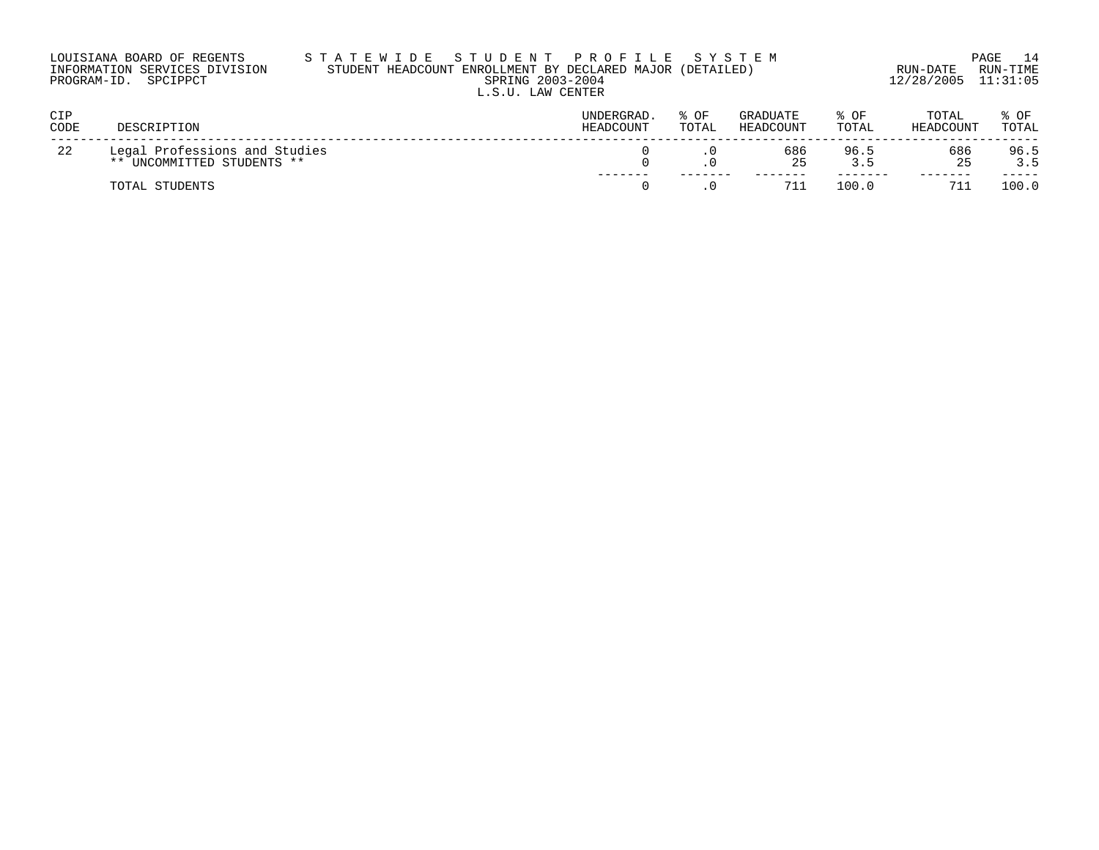| LOUISIANA BOARD OF REGENTS    | STATEWIDE STUDENT PROFILE SYSTEM                          |                     | PAGE 14  |
|-------------------------------|-----------------------------------------------------------|---------------------|----------|
| INFORMATION SERVICES DIVISION | STUDENT HEADCOUNT ENROLLMENT BY DECLARED MAJOR (DETAILED) | RUN-DATE            | RUN-TIME |
| PROGRAM-ID. SPCIPPCT          | SPRING 2003-2004                                          | 12/28/2005 11:31:05 |          |
|                               | L.S.U. LAW CENTER                                         |                     |          |

| <b>CIP</b><br>CODE | DESCRIPTION                                                 | <b>UNDERGRAD</b><br>HEADCOUNT | OF<br>TOTAL | <b>GRADUATE</b><br>HEADCOUNT | ○円<br>TOTAL | TOTAL<br>HEADCOUNT | OF<br>TOTAL |
|--------------------|-------------------------------------------------------------|-------------------------------|-------------|------------------------------|-------------|--------------------|-------------|
| 22                 | Legal Professions and Studies<br>** UNCOMMITTED STUDENTS ** |                               |             | 686<br>25                    | 96.5        | 686<br>つら          | 96.5<br>3.5 |
|                    | TOTAL STUDENTS                                              |                               |             |                              | 100.0       | 711                | 100.0       |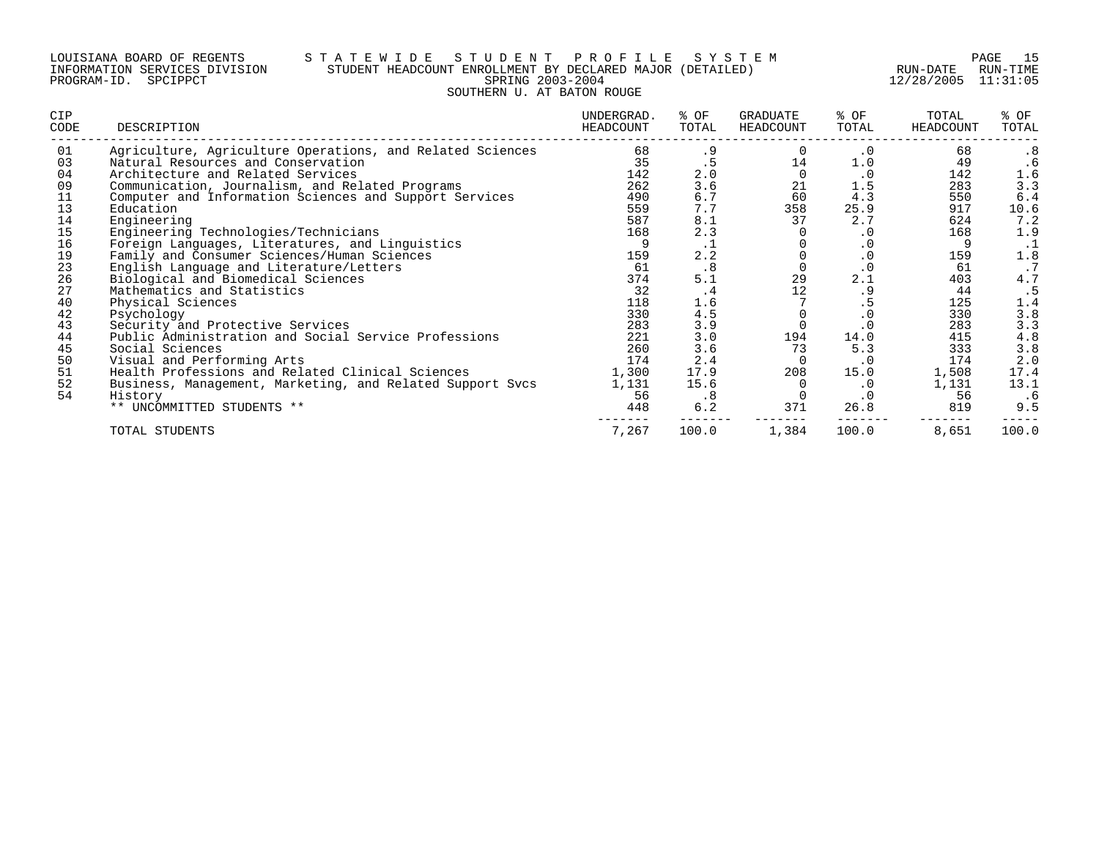#### LOUISIANA BOARD OF REGENTS S T A T E W I D E S T U D E N T P R O F I L E S Y S T E M PAGE 15 INFORMATION SERVICES DIVISION STUDENT HEADCOUNT ENROLLMENT BY DECLARED MAJOR (DETAILED) RUN-DATE RUN-TIME PROGRAM-ID. SPCIPPCT SPRING 2003-2004 12/28/2005 11:31:05 SOUTHERN U. AT BATON ROUGE

| CIP<br>CODE | DESCRIPTION                                               | UNDERGRAD.<br>HEADCOUNT | % OF<br>TOTAL | GRADUATE<br>HEADCOUNT | % OF<br>TOTAL | TOTAL<br>HEADCOUNT | % OF<br>TOTAL           |
|-------------|-----------------------------------------------------------|-------------------------|---------------|-----------------------|---------------|--------------------|-------------------------|
| 01          | Agriculture, Agriculture Operations, and Related Sciences | 68                      | . 9           | $\Omega$              | . 0           | 68                 | .8                      |
| 03          | Natural Resources and Conservation                        | 35                      | .5            | 14                    | 1.0           | 49                 | .6                      |
| 04          | Architecture and Related Services                         | 142                     | 2.0           |                       | $\cdot$ 0     | 142                | 1.6                     |
| 09          | Communication, Journalism, and Related Programs           | 262                     | 3.6           | 21                    | 1.5           | 283                | 3.3                     |
| 11          | Computer and Information Sciences and Support Services    | 490                     | 6.7           | 60                    | 4.3           | 550                | 6.4                     |
| 13          | Education                                                 | 559                     | 7.7           | 358                   | 25.9          | 917                | 10.6                    |
| 14          | Engineering                                               | 587                     | 8.1           | 37                    | 2.7           | 624                | 7.2                     |
| 15          | Engineering Technologies/Technicians                      | 168                     | 2.3           |                       | $\cdot$ 0     | 168                | 1.9                     |
| 16          | Foreign Languages, Literatures, and Linguistics           | 9                       | ⊥ .           |                       | $\cdot$ 0     | 9                  | $\cdot$ 1               |
| 19          | Family and Consumer Sciences/Human Sciences               | 159                     | 2.2           |                       | $\cdot$ 0     | 159                | 1.8                     |
| 23          | English Language and Literature/Letters                   | 61                      | .8            |                       | $\cdot$ 0     | 61                 | $\cdot$ 7               |
| 26          | Biological and Biomedical Sciences                        | 374                     | 5.1           | 29                    | 2.1           | 403                | 4.7                     |
| 27          | Mathematics and Statistics                                | 32                      | .4            | 12                    | . 9           | 44                 | .5                      |
| 40          | Physical Sciences                                         | 118                     | 1.6           |                       | .5            | 125                | 1.4                     |
| 42          | Psychology                                                | 330                     | 4.5           |                       | $\cdot$ 0     | 330                | 3.8                     |
| 43          | Security and Protective Services                          | 283                     | 3.9           |                       | $\cdot$ 0     | 283                |                         |
| 44          | Public Administration and Social Service Professions      | 221                     | 3.0           | 194                   | 14.0          | 415                |                         |
| 45          | Social Sciences                                           | 260                     | 3.6           | 73                    | 5.3           | 333                | $3.3$<br>$4.8$<br>$3.8$ |
| 50          | Visual and Performing Arts                                | 174                     | 2.4           |                       | $\cdot$ 0     | 174                | 2.0                     |
| 51          | Health Professions and Related Clinical Sciences          | 1,300                   | 17.9          | 208                   | 15.0          | 1,508              | 17.4                    |
| 52          | Business, Management, Marketing, and Related Support Svcs | 1,131                   | 15.6          |                       | $\cdot$ 0     | 1,131              | 13.1                    |
| 54          | History                                                   | 56                      | .8            |                       | $\cdot$ 0     | 56                 | .6                      |
|             | ** UNCOMMITTED STUDENTS **                                | 448                     | 6.2           | 371                   | 26.8          | 819                | 9.5                     |
|             | TOTAL STUDENTS                                            | 7,267                   | 100.0         | 1,384                 | 100.0         | 8,651              | 100.0                   |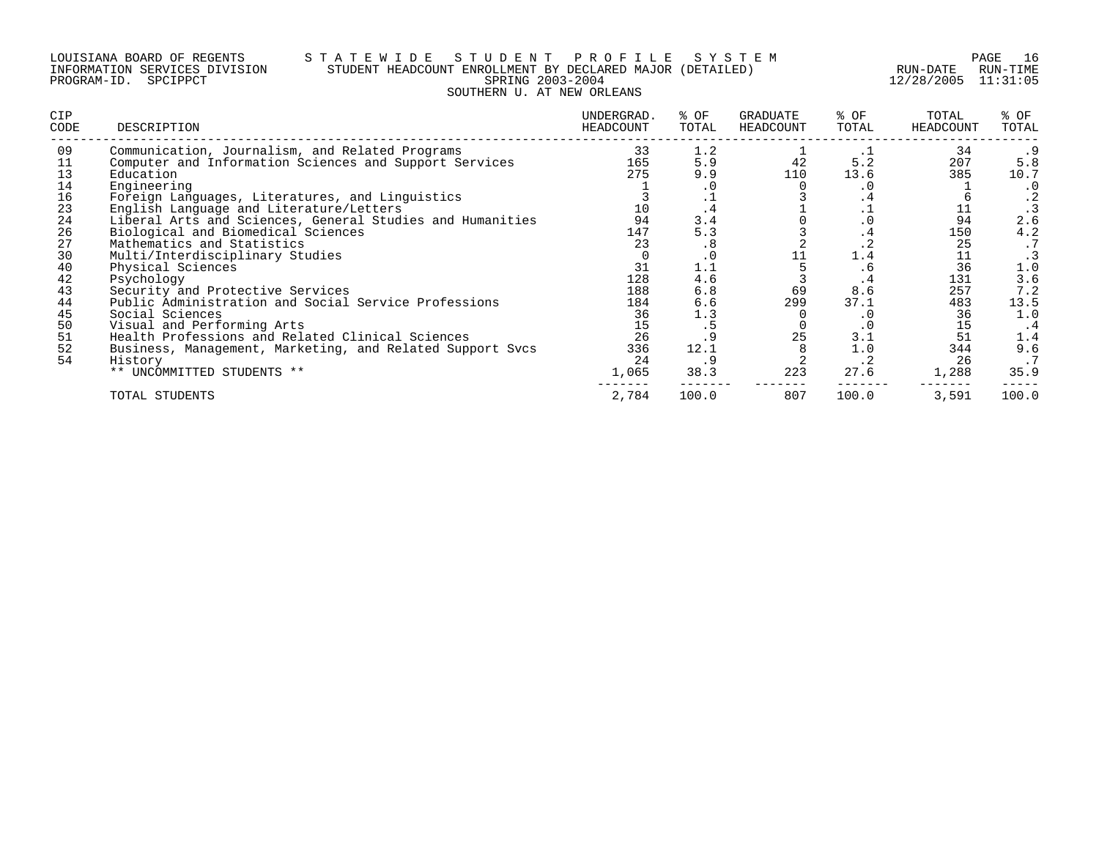#### LOUISIANA BOARD OF REGENTS S T A T E W I D E S T U D E N T P R O F I L E S Y S T E M PAGE 16 INFORMATION SERVICES DIVISION STUDENT HEADCOUNT ENROLLMENT BY DECLARED MAJOR (DETAILED) RUN-DATE RUN-TIME PROGRAM-ID. SPCIPPCT SPRING 2003-2004 12/28/2005 11:31:05 SOUTHERN U. AT NEW ORLEANS

| <b>CIP</b><br>CODE | DESCRIPTION                                               | UNDERGRAD.<br>HEADCOUNT | % OF<br>TOTAL | GRADUATE<br>HEADCOUNT | % OF<br>TOTAL  | TOTAL<br>HEADCOUNT | % OF<br>TOTAL |
|--------------------|-----------------------------------------------------------|-------------------------|---------------|-----------------------|----------------|--------------------|---------------|
| 09                 | Communication, Journalism, and Related Programs           | 33                      | 1.2           |                       | $\cdot$ $\bot$ | 34                 | .9            |
| 11                 | Computer and Information Sciences and Support Services    | 165                     | 5.9           | 42                    | 5.2            | 207                | 5.8           |
| 13                 | Education                                                 | 275                     | 9.9           | 110                   | 13.6           | 385                | 10.7          |
| 14                 | Engineering                                               |                         | . 0           |                       | . 0            |                    | $\cdot$ 0     |
| 16                 | Foreign Languages, Literatures, and Linguistics           |                         |               |                       | . 4            |                    | . 2           |
| 23                 | English Language and Literature/Letters                   | 10                      | . 4           |                       |                |                    |               |
| 24                 | Liberal Arts and Sciences, General Studies and Humanities | 94                      | 3.4           |                       | $\cdot$ 0      | 94                 | 2.6           |
| 26                 | Biological and Biomedical Sciences                        | 147                     | 5.3           |                       | . 4            | 150                | 4.2           |
| 27                 | Mathematics and Statistics                                | 23                      | .8            |                       | $\cdot$ 2      | 25                 |               |
| 30                 | Multi/Interdisciplinary Studies                           |                         | $\cdot$ 0     |                       | 1.4            | 11                 |               |
| 40                 | Physical Sciences                                         | 31                      | 1.1           |                       | .6             | 36                 | 1.0           |
| 42                 | Psychology                                                | 128                     | 4.6           |                       | . 4            | 131                | 3.6           |
| 43                 | Security and Protective Services                          | 188                     | 6.8           | 69                    | 8.6            | 257                | 7.2           |
| 44                 | Public Administration and Social Service Professions      | 184                     | 6.6           | 299                   | 37.1           | 483                | 13.5          |
| 45                 | Social Sciences                                           | 36                      | 1.3           |                       | $\cdot$ 0      | 36                 | 1.0           |
| 50                 | Visual and Performing Arts                                | 15                      | د .           |                       | . 0            | 15                 | . 4           |
| 51                 | Health Professions and Related Clinical Sciences          | 26                      |               | 25                    | 3.1            | 51                 | 1.4           |
| 52                 | Business, Management, Marketing, and Related Support Svcs | 336                     | 12.1          |                       | 1.0            | 344                | 9.6           |
| 54                 | History                                                   | 24                      | . 9           |                       | $\cdot$ 2      | 26                 | .7            |
|                    | ** UNCOMMITTED STUDENTS **                                | 1,065                   | 38.3          | 223                   | 27.6           | 1,288              | 35.9          |
|                    | TOTAL STUDENTS                                            | 2,784                   | 100.0         | 807                   | 100.0          | 3,591              | 100.0         |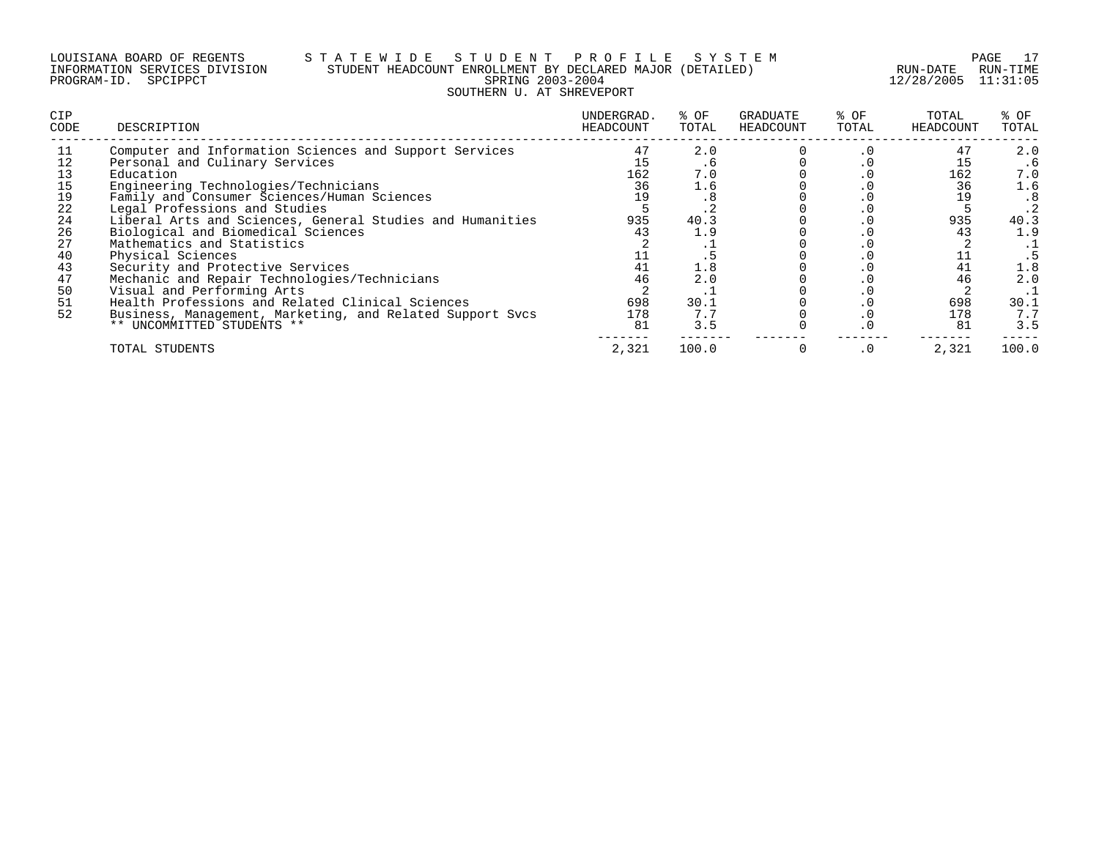#### LOUISIANA BOARD OF REGENTS S T A T E W I D E S T U D E N T P R O F I L E S Y S T E M PAGE 17 INFORMATION SERVICES DIVISION STUDENT HEADCOUNT ENROLLMENT BY DECLARED MAJOR (DETAILED) RUN-DATE RUN-TIME PROGRAM-ID. SPCIPPCT SPRING 2003-2004 12/28/2005 11:31:05 SOUTHERN U. AT SHREVEPORT

| CIP<br>CODE | DESCRIPTION                                               | UNDERGRAD.<br>HEADCOUNT | % OF<br>TOTAL | GRADUATE<br>HEADCOUNT | % OF<br>TOTAL | TOTAL<br>HEADCOUNT | % OF<br>TOTAL |
|-------------|-----------------------------------------------------------|-------------------------|---------------|-----------------------|---------------|--------------------|---------------|
| -11         | Computer and Information Sciences and Support Services    | 47                      | 2.0           |                       | . 0           | 47                 | 2.0           |
|             | Personal and Culinary Services                            |                         | . 6           |                       | . U           | 15                 | . 6           |
| 13          | Education                                                 | 162                     | 7.0           |                       | . U           | 162                | 7.0           |
| 15          | Engineering Technologies/Technicians                      | 36                      | 1.6           |                       | . U           | 36                 | 1.6           |
| 19          | Family and Consumer Sciences/Human Sciences               |                         | . 8           |                       | . U           |                    | .8            |
| 22          | Legal Professions and Studies                             |                         |               |                       | . U           |                    | $\cdot$ 2     |
| 24          | Liberal Arts and Sciences, General Studies and Humanities | 935                     | 40.3          |                       |               | 935                | 40.3          |
| 26          | Biological and Biomedical Sciences                        | 43                      | 1.9           |                       | . U           | 43                 | 1.9           |
| 27          | Mathematics and Statistics                                |                         |               |                       |               |                    |               |
| 40          | Physical Sciences                                         |                         |               |                       |               |                    |               |
| 43          | Security and Protective Services                          |                         | 1.8           |                       |               |                    | 1.8           |
| 47          | Mechanic and Repair Technologies/Technicians              | 46                      | 2.0           |                       |               |                    | 2.0           |
| 50          | Visual and Performing Arts                                |                         | . .           |                       |               |                    |               |
| 51          | Health Professions and Related Clinical Sciences          | 698                     | 30.1          |                       |               | 698                | 30.1          |
| 52          | Business, Management, Marketing, and Related Support Svcs | 178                     | 7.7           |                       |               | 178                | 7.7           |
|             | ** UNCOMMITTED STUDENTS **                                | 81                      | 3.5           |                       | . 0           | 81                 | 3.5           |
|             | TOTAL STUDENTS                                            | 2,321                   | 100.0         |                       | $\cdot$ 0     | 2,321              | 100.0         |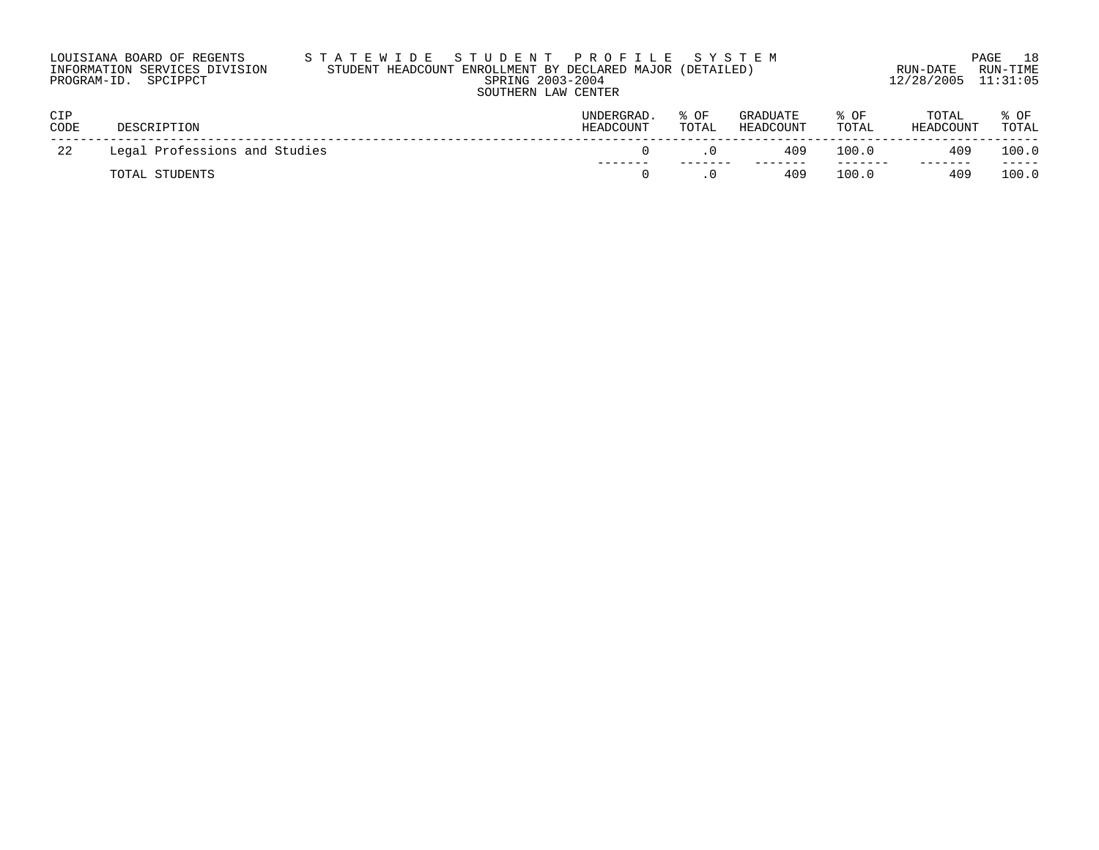| STATEWIDE STUDENT PROFILE SYSTEM                          |                     | - 18<br>PAGE |  |  |  |  |  |
|-----------------------------------------------------------|---------------------|--------------|--|--|--|--|--|
| STUDENT HEADCOUNT ENROLLMENT BY DECLARED MAJOR (DETAILED) | RUN-DATE            | RUN-TIMF     |  |  |  |  |  |
| SPRING 2003-2004                                          | 12/28/2005 11:31:05 |              |  |  |  |  |  |
| SOUTHERN LAW CENTER                                       |                     |              |  |  |  |  |  |
|                                                           |                     |              |  |  |  |  |  |

| CIP<br>CODE | DESCRIPTION                   | <b>UNDERGRAD</b><br>HEADCOUNT | % OF<br>TOTAL | GRADUATE<br>HEADCOUNT | % OF<br>TOTAL | TOTAL<br>HEADCOUNT | े OF<br>TOTAL  |
|-------------|-------------------------------|-------------------------------|---------------|-----------------------|---------------|--------------------|----------------|
| 22          | Legal Professions and Studies |                               |               | 409                   | 100.0         | 409                | 100.0          |
|             | TOTAL STUDENTS                |                               |               | 409                   | 100.0         | 409                | -----<br>100.0 |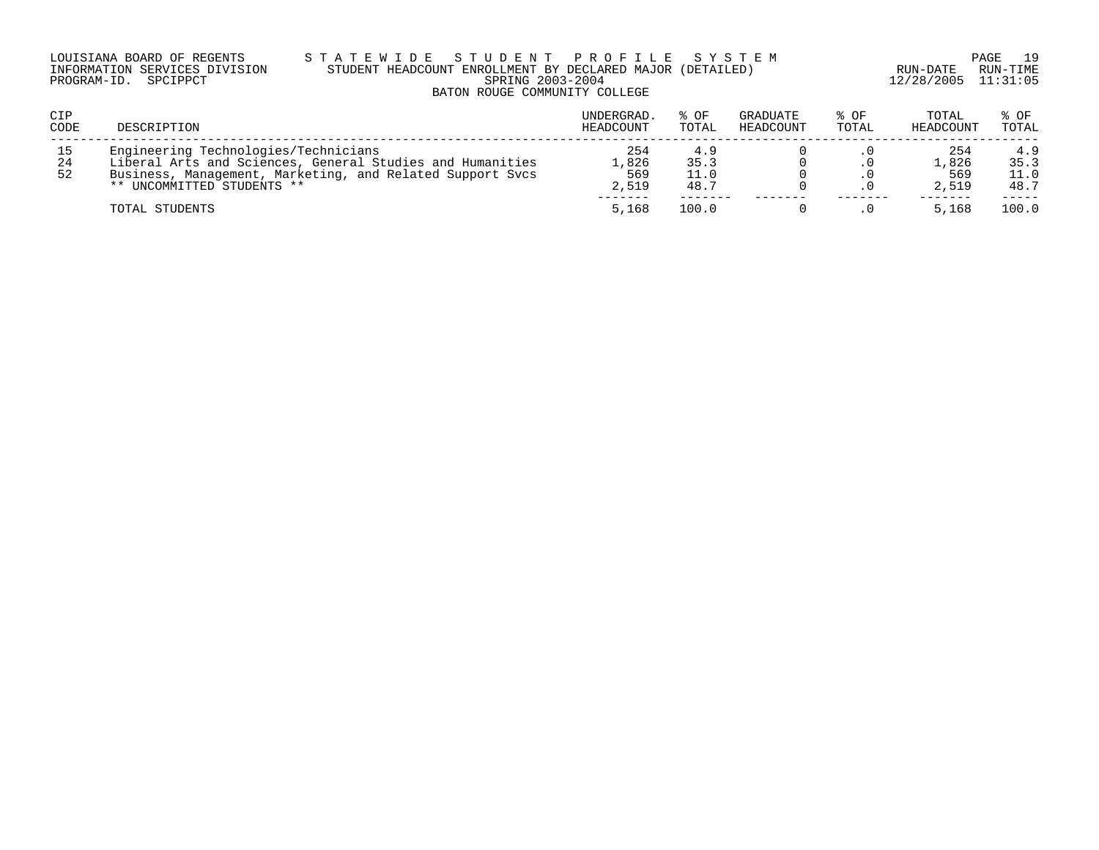### LOUISIANA BOARD OF REGENTS S T A T E W I D E S T U D E N T P R O F I L E S Y S T E M PAGE 19 INFORMATION SERVICES DIVISION STUDENT HEADCOUNT ENROLLMENT BY DECLARED MAJOR (DETAILED) RUN-DATE RUN-TIME PROGRAM-ID. SPCIPPCT SPRING 2003-2004 12/28/2005 11:31:05 BATON ROUGE COMMUNITY COLLEGE

| CIP<br>CODE    | DESCRIPTION                                                                                                                                                                                  | UNDERGRAD.<br>HEADCOUNT      | $8$ OF<br>TOTAL      | GRADUATE<br>HEADCOUNT | $8$ OF<br>TOTAL | TOTAL<br>HEADCOUNT           | % OF<br>TOTAL               |
|----------------|----------------------------------------------------------------------------------------------------------------------------------------------------------------------------------------------|------------------------------|----------------------|-----------------------|-----------------|------------------------------|-----------------------------|
| 15<br>24<br>52 | Engineering Technologies/Technicians<br>Liberal Arts and Sciences, General Studies and Humanities<br>Business, Management, Marketing, and Related Support Sycs<br>** UNCOMMITTED STUDENTS ** | 254<br>.,826<br>569<br>2,519 | 35.3<br>11.0<br>48.7 |                       |                 | 254<br>1,826<br>569<br>2,519 | 4.9<br>35.3<br>11.0<br>48.7 |
|                | TOTAL STUDENTS                                                                                                                                                                               | 5,168                        | 100.0                |                       |                 | 5,168                        | 100.0                       |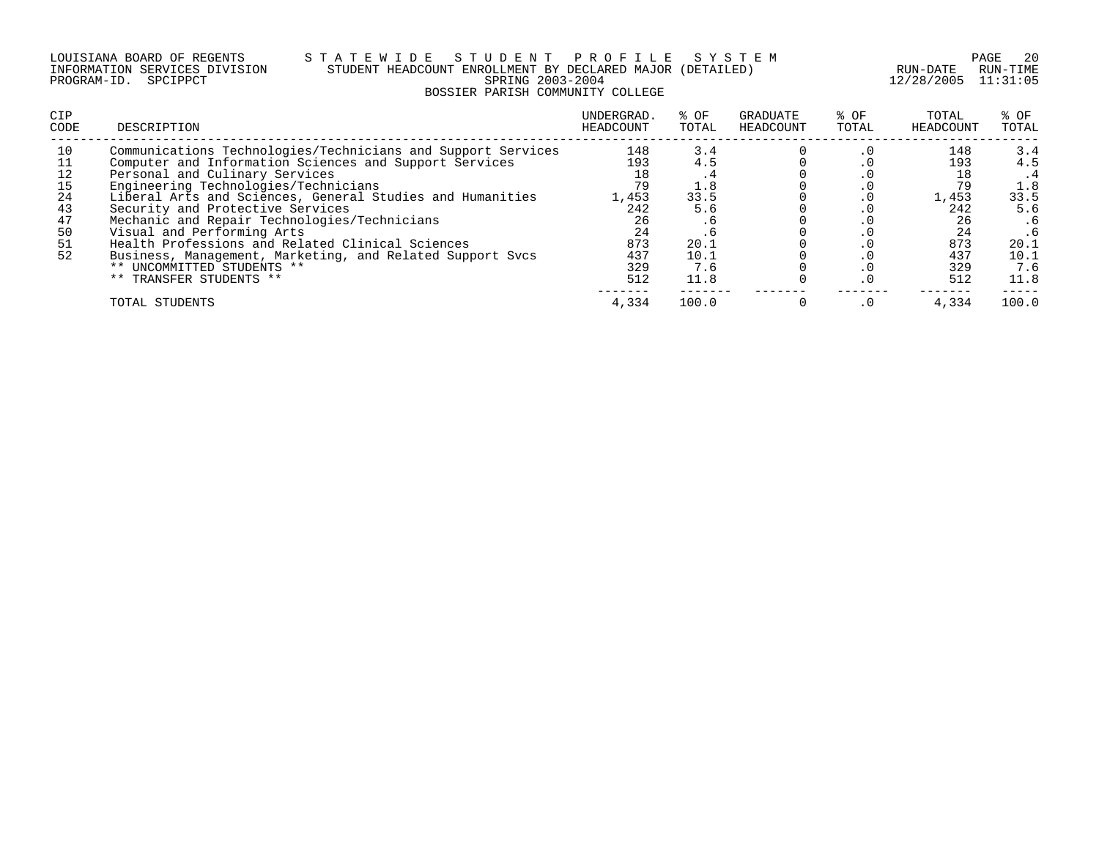#### LOUISIANA BOARD OF REGENTS S T A T E W I D E S T U D E N T P R O F I L E S Y S T E M PAGE 20 INFORMATION SERVICES DIVISION STUDENT HEADCOUNT ENROLLMENT BY DECLARED MAJOR (DETAILED) RUN-DATE RUN-TIME PROGRAM-ID. SPCIPPCT SPRING 2003-2004 12/28/2005 11:31:05 BOSSIER PARISH COMMUNITY COLLEGE

| <b>CIP</b><br>CODE                                 | DESCRIPTION                                                                                                                                                                                                                                                                                                                                                                                                                                                                                                                                               | UNDERGRAD.<br>HEADCOUNT                                                  | % OF<br>TOTAL                                                          | GRADUATE<br>HEADCOUNT | % OF<br>TOTAL          | TOTAL<br>HEADCOUNT                                                 | % OF<br>TOTAL                                                                        |
|----------------------------------------------------|-----------------------------------------------------------------------------------------------------------------------------------------------------------------------------------------------------------------------------------------------------------------------------------------------------------------------------------------------------------------------------------------------------------------------------------------------------------------------------------------------------------------------------------------------------------|--------------------------------------------------------------------------|------------------------------------------------------------------------|-----------------------|------------------------|--------------------------------------------------------------------|--------------------------------------------------------------------------------------|
| 10<br>12<br>15<br>24<br>43<br>47<br>50<br>51<br>52 | Communications Technologies/Technicians and Support Services<br>Computer and Information Sciences and Support Services<br>Personal and Culinary Services<br>Engineering Technologies/Technicians<br>Liberal Arts and Sciences, General Studies and Humanities<br>Security and Protective Services<br>Mechanic and Repair Technologies/Technicians<br>Visual and Performing Arts<br>Health Professions and Related Clinical Sciences<br>Business, Management, Marketing, and Related Support Svcs<br>** UNCOMMITTED STUDENTS **<br>** TRANSFER STUDENTS ** | 148<br>193<br>79<br>1,453<br>242<br>26<br>24<br>873<br>437<br>329<br>512 | 3.4<br>4.5<br>1.8<br>33.5<br>5.6<br>. 6<br>20.1<br>10.1<br>7.6<br>11.8 |                       | $\cdot$ 0<br>$\cdot$ 0 | 148<br>193<br>1,453<br>242<br>26<br>24<br>873<br>437<br>329<br>512 | 3.4<br>4.5<br>. 4<br>1.8<br>33.5<br>5.6<br>. 6<br>. 6<br>20.1<br>10.1<br>7.6<br>11.8 |
|                                                    | TOTAL STUDENTS                                                                                                                                                                                                                                                                                                                                                                                                                                                                                                                                            | 4,334                                                                    | 100.0                                                                  |                       | . 0                    | 4,334                                                              | 100.0                                                                                |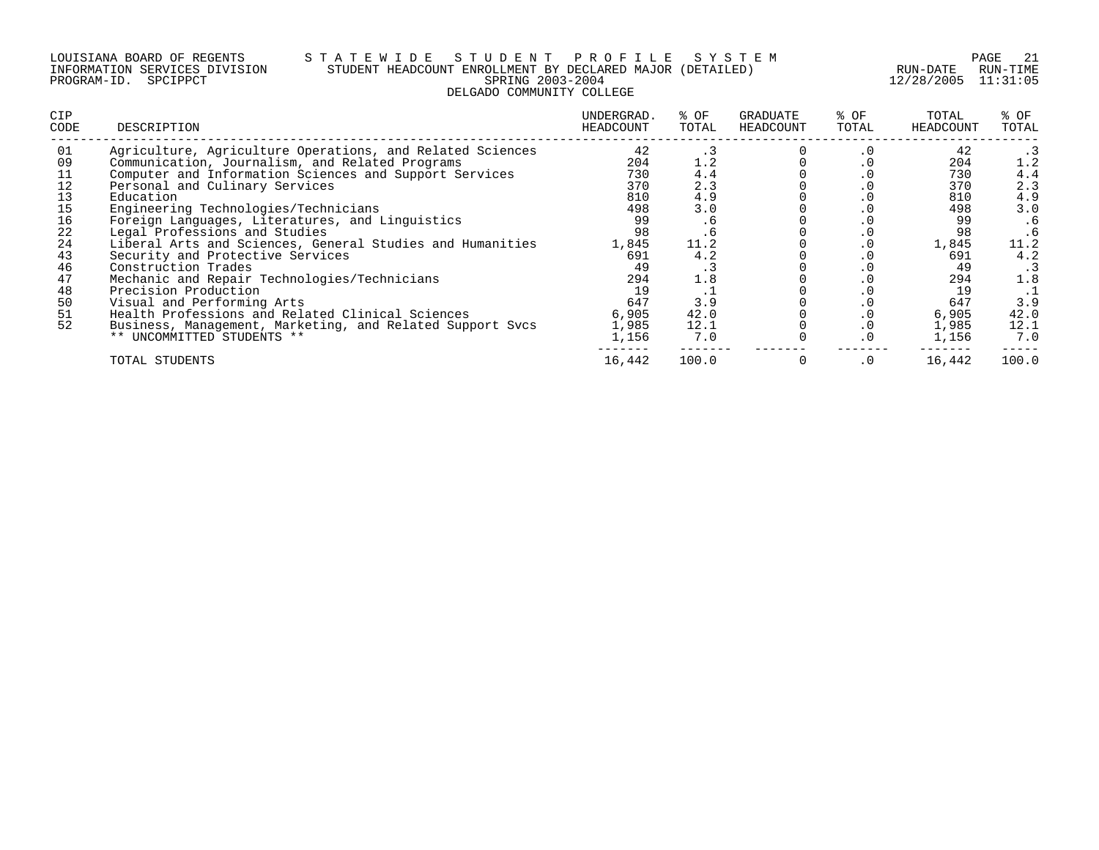#### LOUISIANA BOARD OF REGENTS S T A T E W I D E S T U D E N T P R O F I L E S Y S T E M PAGE 21 INFORMATION SERVICES DIVISION STUDENT HEADCOUNT ENROLLMENT BY DECLARED MAJOR (DETAILED) RUN-DATE RUN-TIME PROGRAM-ID. SPCIPPCT SPRING 2003-2004 12/28/2005 11:31:05 DELGADO COMMUNITY COLLEGE

| <b>CIP</b><br>CODE                                                                     | DESCRIPTION                                                                                                                                                                                                                                                                                                                                                                                                                                                                                                                                                                                                                                                                                                                    | UNDERGRAD.<br>HEADCOUNT                                                                                                | % OF<br>TOTAL                                                                                                         | GRADUATE<br>HEADCOUNT | % OF<br>TOTAL                                                                                           | TOTAL<br>HEADCOUNT                                                                                                     | % OF<br>TOTAL                                                                                           |
|----------------------------------------------------------------------------------------|--------------------------------------------------------------------------------------------------------------------------------------------------------------------------------------------------------------------------------------------------------------------------------------------------------------------------------------------------------------------------------------------------------------------------------------------------------------------------------------------------------------------------------------------------------------------------------------------------------------------------------------------------------------------------------------------------------------------------------|------------------------------------------------------------------------------------------------------------------------|-----------------------------------------------------------------------------------------------------------------------|-----------------------|---------------------------------------------------------------------------------------------------------|------------------------------------------------------------------------------------------------------------------------|---------------------------------------------------------------------------------------------------------|
| 01<br>09<br>12<br>13<br>15<br>16<br>22<br>24<br>43<br>46<br>47<br>48<br>50<br>51<br>52 | Agriculture, Agriculture Operations, and Related Sciences<br>Communication, Journalism, and Related Programs<br>Computer and Information Sciences and Support Services<br>Personal and Culinary Services<br>Education<br>Engineering Technologies/Technicians<br>Foreign Languages, Literatures, and Linguistics<br>Legal Professions and Studies<br>Liberal Arts and Sciences, General Studies and Humanities<br>Security and Protective Services<br>Construction Trades<br>Mechanic and Repair Technologies/Technicians<br>Precision Production<br>Visual and Performing Arts<br>Health Professions and Related Clinical Sciences<br>Business, Management, Marketing, and Related Support Svcs<br>** UNCOMMITTED STUDENTS ** | 42<br>204<br>730<br>370<br>810<br>498<br>99<br>98<br>1,845<br>691<br>49<br>294<br>19<br>647<br>6,905<br>1,985<br>1,156 | . .<br>1.2<br>4.4<br>2.3<br>4.9<br>3.0<br>. 6<br>. 6<br>11.2<br>4.2<br>د.<br>1.8<br>. .<br>3.9<br>42.0<br>12.1<br>7.0 |                       | . ∪<br>. 0<br>. U<br>. 0<br>. 0<br>$\cdot$ 0<br>. 0<br>$\cdot$ 0<br>$\cdot$ 0<br>$\cdot$ 0<br>$\cdot$ 0 | 42<br>204<br>730<br>370<br>810<br>498<br>99<br>98<br>1,845<br>691<br>49<br>294<br>19<br>647<br>6,905<br>1,985<br>1,156 | 1.2<br>4.4<br>2.3<br>4.9<br>3.0<br>.6<br>. 6<br>11.2<br>4.2<br>. 3<br>1.8<br>3.9<br>42.0<br>12.1<br>7.0 |
|                                                                                        | TOTAL STUDENTS                                                                                                                                                                                                                                                                                                                                                                                                                                                                                                                                                                                                                                                                                                                 | 16,442                                                                                                                 | 100.0                                                                                                                 |                       | $\cdot$ 0                                                                                               | 16,442                                                                                                                 | 100.0                                                                                                   |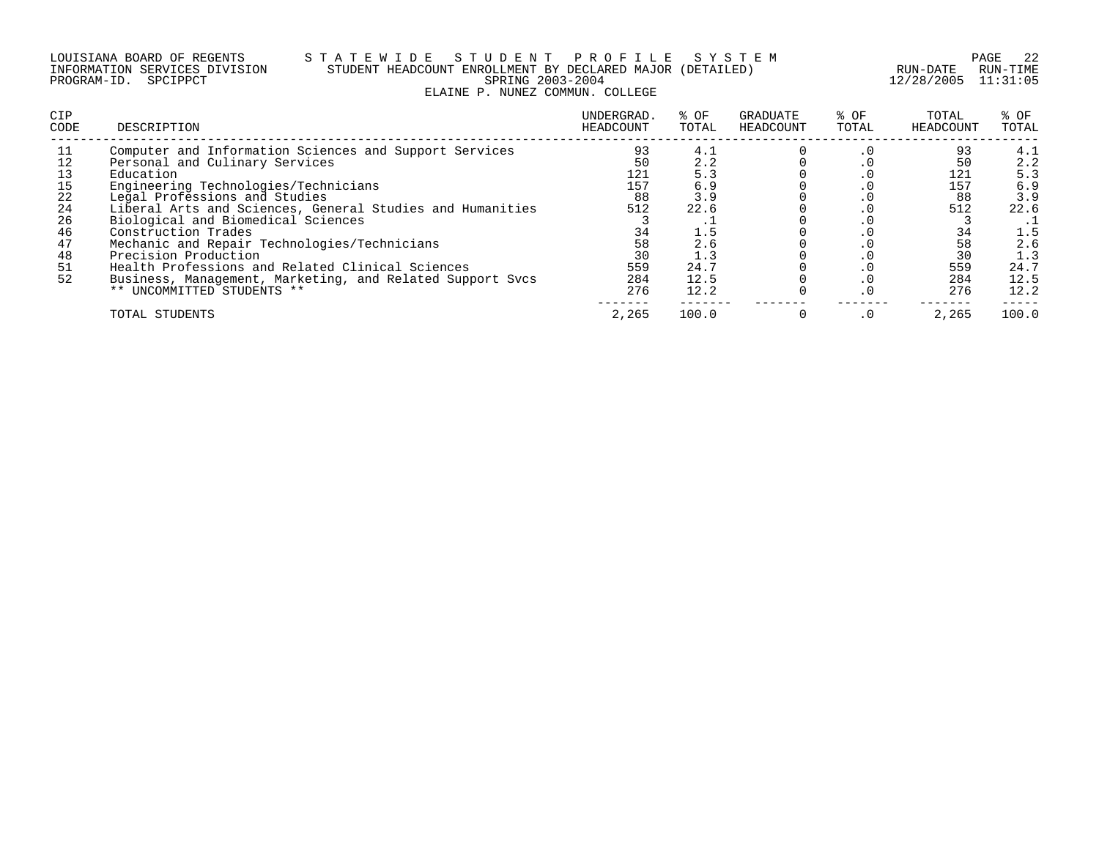#### LOUISIANA BOARD OF REGENTS S T A T E W I D E S T U D E N T P R O F I L E S Y S T E M PAGE 22 INFORMATION SERVICES DIVISION STUDENT HEADCOUNT ENROLLMENT BY DECLARED MAJOR (DETAILED) RUN-DATE RUN-TIME PROGRAM-ID. SPCIPPCT SPRING 2003-2004 12/28/2005 11:31:05 ELAINE P. NUNEZ COMMUN. COLLEGE

| <b>CIP</b><br>CODE | DESCRIPTION                                               | UNDERGRAD.<br>HEADCOUNT | % OF<br>TOTAL | GRADUATE<br>HEADCOUNT | % OF<br>TOTAL | TOTAL<br>HEADCOUNT | % OF<br>TOTAL |
|--------------------|-----------------------------------------------------------|-------------------------|---------------|-----------------------|---------------|--------------------|---------------|
| 11                 | Computer and Information Sciences and Support Services    | 93                      | 4.1           |                       | . v           | 93                 | 4.1           |
| 12                 | Personal and Culinary Services                            | 50                      | 2.2           |                       | . ∪           | 50                 | 2.2           |
| 13                 | Education                                                 | 121                     | 5.3           |                       | . v           | 121                | 5.3           |
| 15                 | Engineering Technologies/Technicians                      | 157                     | 6.9           |                       | . v           | 157                | 6.9           |
| 22                 | Legal Professions and Studies                             | 88                      | 3.9           |                       | . v           | 88                 | 3.9           |
| 24                 | Liberal Arts and Sciences, General Studies and Humanities | 512                     | 22.6          |                       | . v           | 512                | 22.6          |
| 26                 | Biological and Biomedical Sciences                        |                         |               |                       | . v           |                    |               |
| 46                 | Construction Trades                                       | 34                      | 1.5           |                       | . v           | 34                 | 1.5           |
| 47                 | Mechanic and Repair Technologies/Technicians              | 58                      | 2.6           |                       | . U           | 58                 | 2.6           |
| 48                 | Precision Production                                      | 30                      | 1.3           |                       |               | 30                 | 1.3           |
| 51                 | Health Professions and Related Clinical Sciences          | 559                     | 24.7          |                       |               | 559                | 24.7          |
| 52                 | Business, Management, Marketing, and Related Support Sycs | 284                     | 12.5          |                       |               | 284                | 12.5          |
|                    | ** UNCOMMITTED STUDENTS **                                | 276                     | 12.2          |                       |               | 276                | 12.2          |
|                    | TOTAL STUDENTS                                            | 2,265                   | 100.0         |                       | $\cdot$ 0     | 2,265              | 100.0         |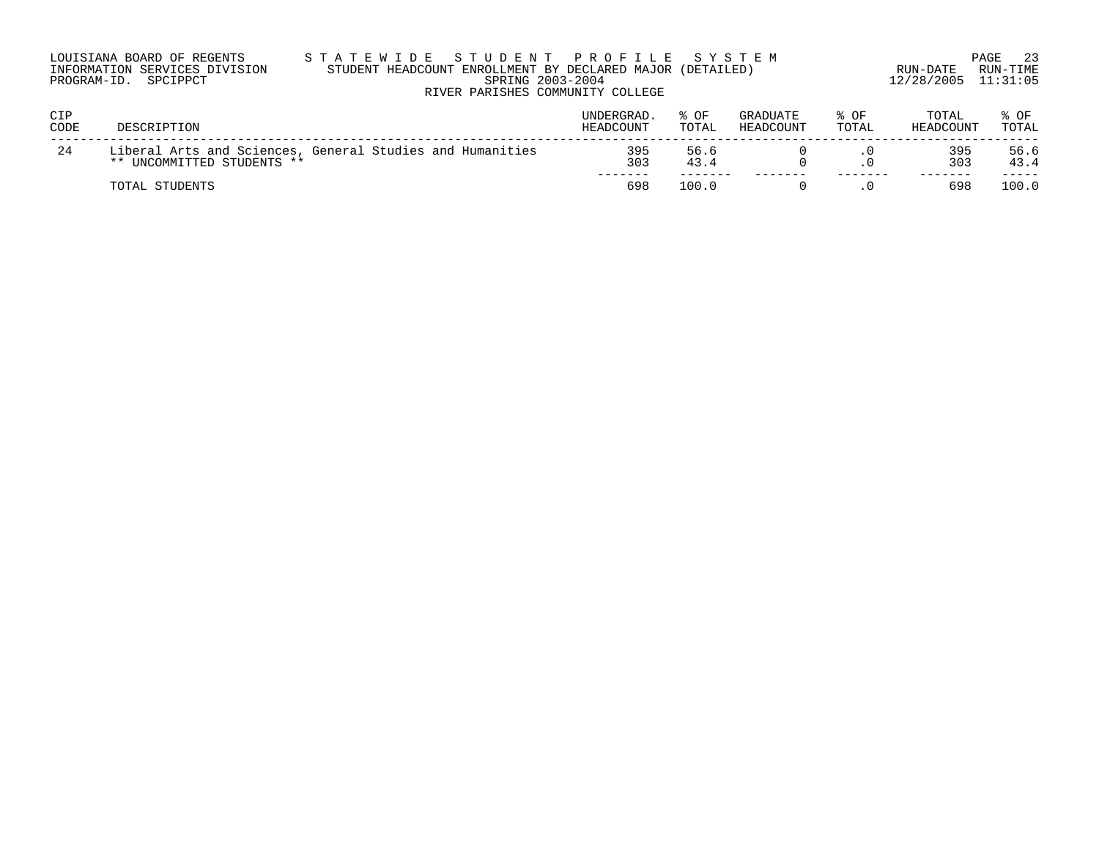| LOUISIANA BOARD OF REGENTS    |  |  |
|-------------------------------|--|--|
| INFORMATION SERVICES DIVISION |  |  |
| PROGRAM-ID. SPCIPPCT          |  |  |

#### LOUISIANA BOARD OF REGENTS S T A T E W I D E S T U D E N T P R O F I L E S Y S T E M PAGE 23 INFORMATION SERVICES DIVISION STUDENT HEADCOUNT ENROLLMENT BY DECLARED MAJOR (DETAILED) RUN-DATE RUN-TIME PRING 2003-2004 12/28/2005 11:31:05 RIVER PARISHES COMMUNITY COLLEGE

| <b>CIP</b><br>CODE | DESCRIPTION                                                                             | <b>UNDERGRAD</b><br>HEADCOUNT | OF<br>TOTAL  | GRADUATE<br>HEADCOUNT | $8$ OF<br>TOTAL | TOTAL<br>HEADCOUNT | % OF<br>TOTAL |
|--------------------|-----------------------------------------------------------------------------------------|-------------------------------|--------------|-----------------------|-----------------|--------------------|---------------|
| 24                 | Liberal Arts and Sciences, General Studies and Humanities<br>** UNCOMMITTED STUDENTS ** | 395<br>303                    | 56.6<br>43.4 |                       |                 | 395<br>303         | 56.6<br>43.4  |
|                    | TOTAL STUDENTS                                                                          | 698                           | 100.0        |                       |                 | 698                | 100.0         |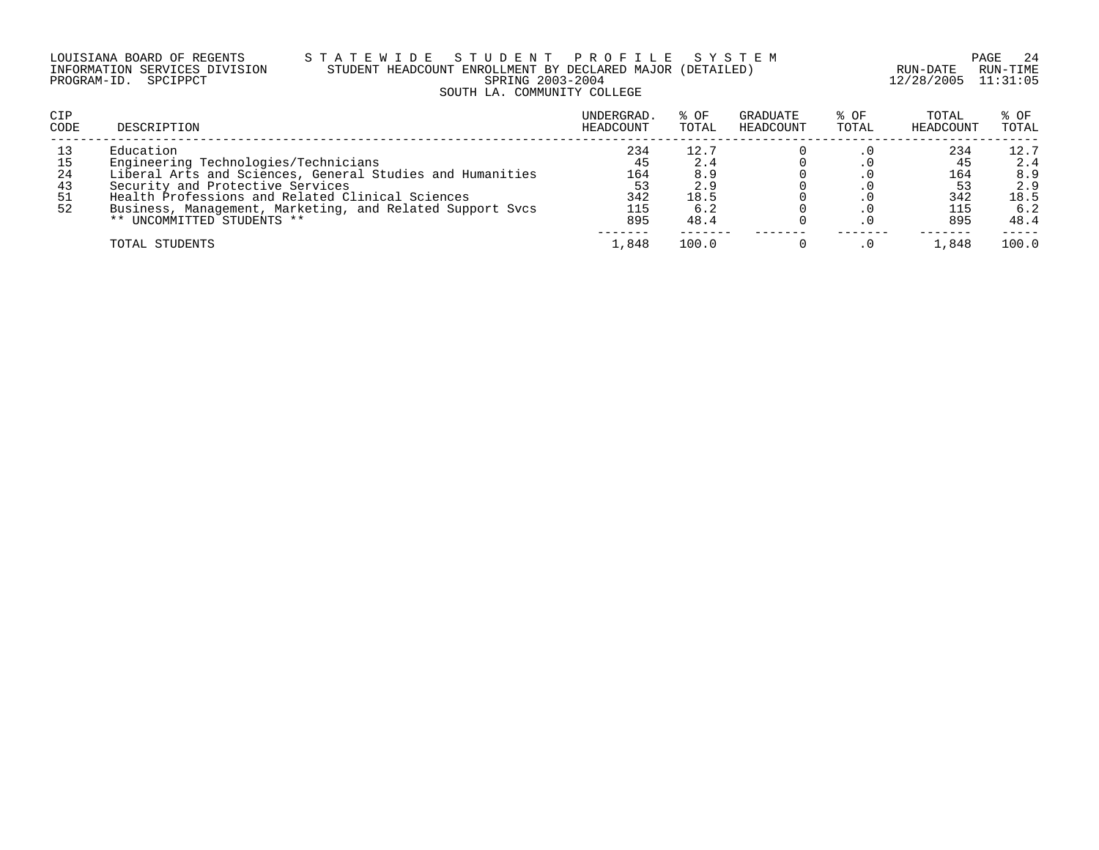#### LOUISIANA BOARD OF REGENTS S T A T E W I D E S T U D E N T P R O F I L E S Y S T E M PAGE 24 INFORMATION SERVICES DIVISION STUDENT HEADCOUNT ENROLLMENT BY DECLARED MAJOR (DETAILED) RUN-DATE RUN-TIME PROGRAM-ID. SPCIPPCT SPRING 2003-2004 12/28/2005 11:31:05 SOUTH LA. COMMUNITY COLLEGE

| CIP<br>CODE | DESCRIPTION                                               | UNDERGRAD.<br>HEADCOUNT | % OF<br>TOTAL | GRADUATE<br>HEADCOUNT | % OF<br>TOTAL | TOTAL<br>HEADCOUNT | % OF<br>TOTAL |
|-------------|-----------------------------------------------------------|-------------------------|---------------|-----------------------|---------------|--------------------|---------------|
| 13          | Education                                                 | 234                     | 12.7          |                       |               | 234                | 12.7          |
| 15          | Engineering Technologies/Technicians                      | 45                      | 2.4           |                       |               |                    | 2.4           |
| -24         | Liberal Arts and Sciences, General Studies and Humanities | 164                     | 8.9           |                       |               | 164                | 8.9           |
| 43          | Security and Protective Services                          | 53                      | 2.9           |                       |               |                    | 2.9           |
| 51          | Health Professions and Related Clinical Sciences          | 342                     | 18.5          |                       |               | 342                | 18.5          |
| 52          | Business, Management, Marketing, and Related Support Svcs | 115                     | 6.2           |                       |               | 115                | 6.2           |
|             | ** UNCOMMITTED STUDENTS **                                | 895                     | 48.4          |                       |               | 895                | 48.4          |
|             | TOTAL STUDENTS                                            | 1,848                   | 100.0         |                       |               | 1,848              | 100.0         |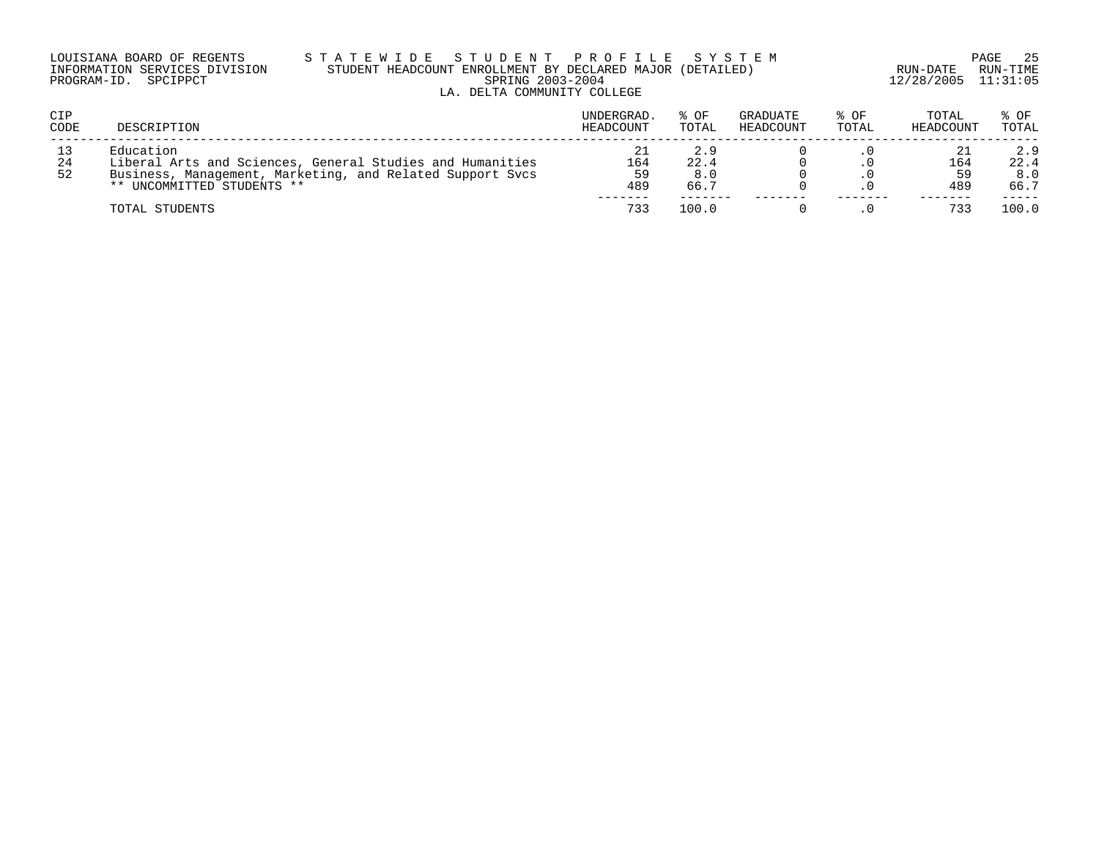#### LOUISIANA BOARD OF REGENTS S T A T E W I D E S T U D E N T P R O F I L E S Y S T E M PAGE 25 INFORMATION SERVICES DIVISION STUDENT HEADCOUNT ENROLLMENT BY DECLARED MAJOR (DETAILED) RUN-DATE RUN-TIME PROGRAM-ID. SPCIPPCT SPRING 2003-2004 12/28/2005 11:31:05 LA. DELTA COMMUNITY COLLEGE

| <b>CIP</b><br>CODE | DESCRIPTION                                                                                                                                                       | UNDERGRAD.<br>HEADCOUNT | $8$ OF<br>TOTAL     | GRADUATE<br>HEADCOUNT | $8$ OF<br>TOTAL | TOTAL<br>HEADCOUNT | % OF<br>TOTAL              |
|--------------------|-------------------------------------------------------------------------------------------------------------------------------------------------------------------|-------------------------|---------------------|-----------------------|-----------------|--------------------|----------------------------|
| 13<br>24<br>52     | Education<br>Liberal Arts and Sciences, General Studies and Humanities<br>Business, Management, Marketing, and Related Support Sycs<br>** UNCOMMITTED STUDENTS ** | 21<br>164<br>59<br>489  | 2.9<br>22.4<br>66.7 |                       |                 | 164<br>489         | 2.9<br>22.4<br>8.0<br>66.7 |
|                    | TOTAL STUDENTS                                                                                                                                                    | 733                     | 100.0               |                       |                 |                    | 100.0                      |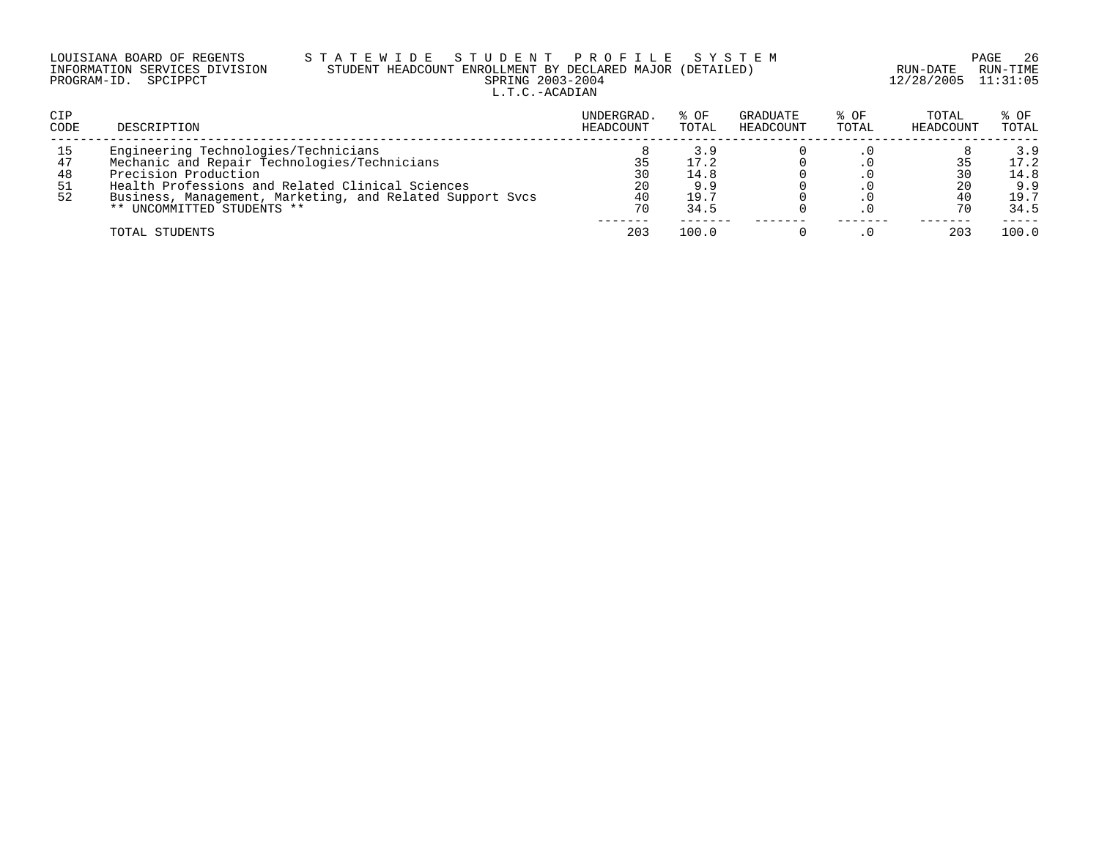|                      | LOUISIANA BOARD OF REGENTS    | S T A |
|----------------------|-------------------------------|-------|
|                      | INFORMATION SERVICES DIVISION | STU   |
| PROGRAM-ID. SPCIPPCT |                               |       |

## LOUISIANA BOARD OF REGENTS S T A T E W I D E S T U D E N T P R O F I L E S Y S T E M PAGE 26 INFORMATION SERVICES DIVISION STUDENT HEADCOUNT ENROLLMENT BY DECLARED MAJOR (DETAILED) RUN-DATE RUN-TIME PRING 2003-2004 12/28/2005 11:31:05 L.T.C.-ACADIAN

| CIP<br>CODE                 | DESCRIPTION                                                                                                                                                                                                                                                 | UNDERGRAD.<br>HEADCOUNT | $8$ OF<br>TOTAL                            | GRADUATE<br>HEADCOUNT | % OF<br>TOTAL | TOTAL<br>HEADCOUNT | % OF<br>TOTAL                              |
|-----------------------------|-------------------------------------------------------------------------------------------------------------------------------------------------------------------------------------------------------------------------------------------------------------|-------------------------|--------------------------------------------|-----------------------|---------------|--------------------|--------------------------------------------|
| 15<br>47<br>48<br>-51<br>52 | Engineering Technologies/Technicians<br>Mechanic and Repair Technologies/Technicians<br>Precision Production<br>Health Professions and Related Clinical Sciences<br>Business, Management, Marketing, and Related Support Sycs<br>** UNCOMMITTED STUDENTS ** | 30<br>20<br>40<br>70    | 3.9<br>17.2<br>14.8<br>9.9<br>19.7<br>34.5 |                       |               | 30<br>20           | 3.9<br>17.2<br>14.8<br>9.9<br>19.7<br>34.5 |
|                             | TOTAL STUDENTS                                                                                                                                                                                                                                              | 203                     | 100.0                                      |                       |               | 203                | 100.0                                      |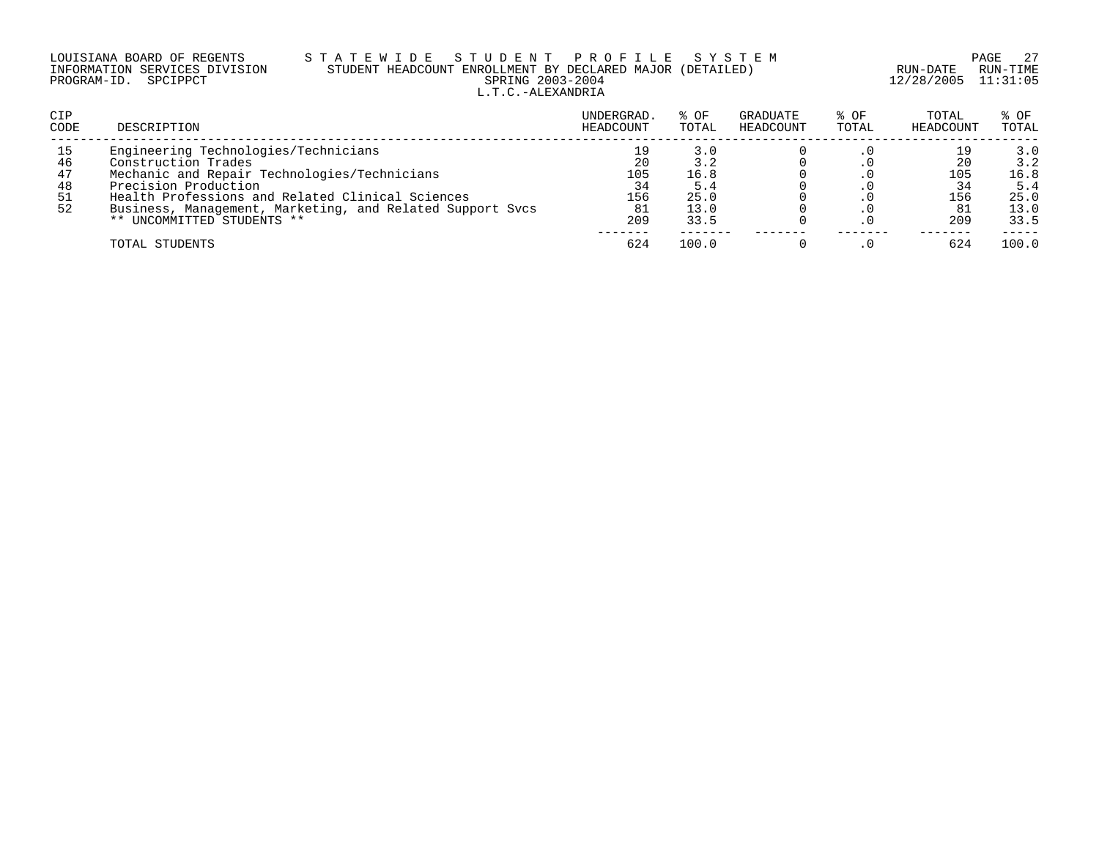## LOUISIANA BOARD OF REGENTS S T A T E W I D E S T U D E N T P R O F I L E S Y S T E M PAGE 27 INFORMATION SERVICES DIVISION STUDENT HEADCOUNT ENROLLMENT BY DECLARED MAJOR (DETAILED) RUN-DATE RUN-TIME PROGRAM-ID. SPCIPPCT SPRING 2003-2004 12/28/2005 11:31:05 L.T.C.-ALEXANDRIA

| CIP<br>CODE | DESCRIPTION                                               | UNDERGRAD.<br>HEADCOUNT | % OF<br>TOTAL | GRADUATE<br>HEADCOUNT | % OF<br>TOTAL | TOTAL<br>HEADCOUNT | $8$ OF<br>TOTAL |
|-------------|-----------------------------------------------------------|-------------------------|---------------|-----------------------|---------------|--------------------|-----------------|
| 15          | Engineering Technologies/Technicians                      |                         | 3.0           |                       |               |                    | 3.0             |
| 46          | Construction Trades                                       | 20                      |               |                       |               | 20                 | 3.2             |
| 47          | Mechanic and Repair Technologies/Technicians              | 105                     | 16.8          |                       |               | 105                | 16.8            |
| 48          | Precision Production                                      | 34                      | 5.4           |                       |               |                    | 5.4             |
| 51          | Health Professions and Related Clinical Sciences          | 156                     | 25.0          |                       |               | 156                | 25.0            |
| 52          | Business, Management, Marketing, and Related Support Sycs | -81                     | 13.0          |                       |               |                    | 13.0            |
|             | ** UNCOMMITTED STUDENTS **                                | 209                     | 33.5          |                       |               | 209                | 33.5            |
|             | TOTAL STUDENTS                                            | 624                     | 100.0         |                       |               | 624                | 100.0           |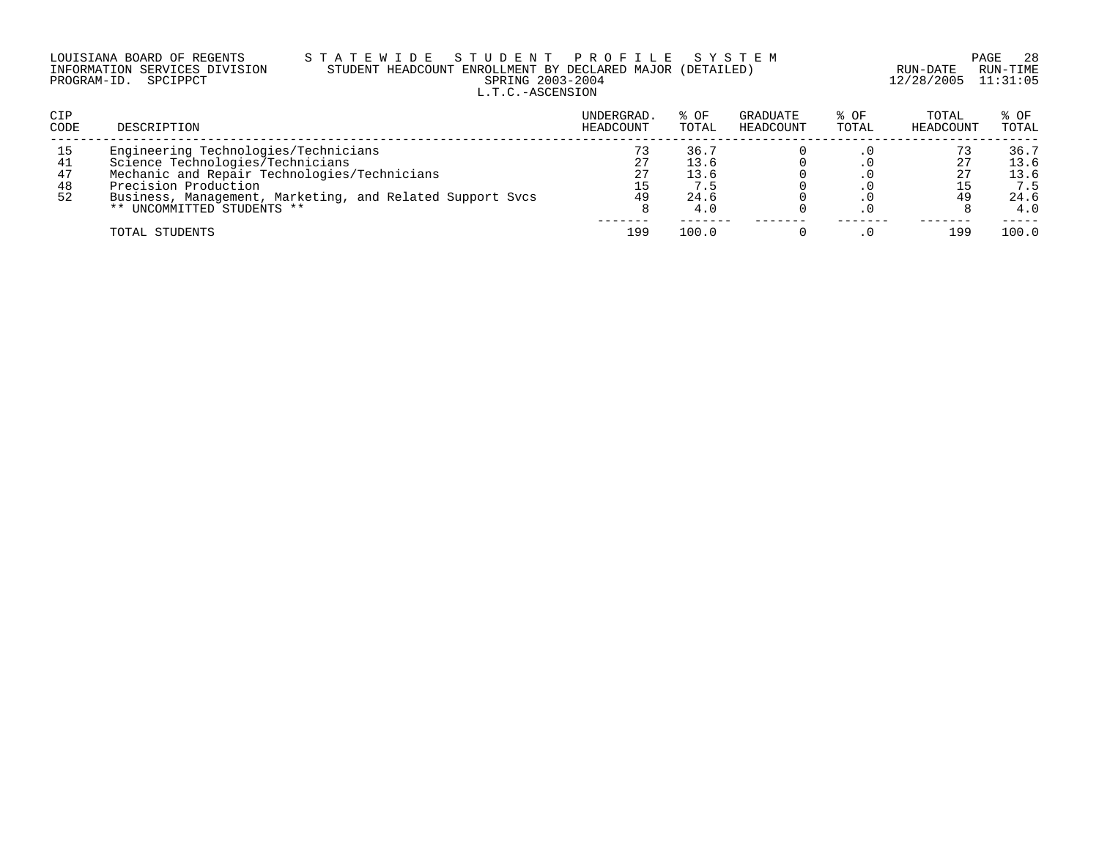## LOUISIANA BOARD OF REGENTS S T A T E W I D E S T U D E N T P R O F I L E S Y S T E M PAGE 28 INFORMATION SERVICES DIVISION STUDENT HEADCOUNT ENROLLMENT BY DECLARED MAJOR (DETAILED) RUN-DATE RUN-TIME PROGRAM-ID. SPCIPPCT SPRING 2003-2004 12/28/2005 11:31:05 L.T.C.-ASCENSION

| CIP<br>CODE | DESCRIPTION                                               | UNDERGRAD.<br>HEADCOUNT | % OF<br>TOTAL | GRADUATE<br>HEADCOUNT | % OF<br>TOTAL | TOTAL<br>HEADCOUNT | % OF<br>TOTAL |
|-------------|-----------------------------------------------------------|-------------------------|---------------|-----------------------|---------------|--------------------|---------------|
| 15          | Engineering Technologies/Technicians                      |                         | 36.7          |                       |               |                    | 36.7          |
| 41          | Science Technologies/Technicians                          | 27                      | 13.6          |                       |               |                    | 13.6          |
| 47          | Mechanic and Repair Technologies/Technicians              | 27                      | 13.6          |                       |               |                    | 13.6          |
| 48          | Precision Production                                      | 15                      | 7.5           |                       |               |                    | 7.5           |
| 52          | Business, Management, Marketing, and Related Support Sycs | 49                      | 24.6          |                       |               | 49                 | 24.6          |
|             | ** UNCOMMITTED STUDENTS **                                |                         | 4.0           |                       |               |                    | 4.0           |
|             | TOTAL STUDENTS                                            | 199                     | 100.0         |                       |               | 199                | 100.0         |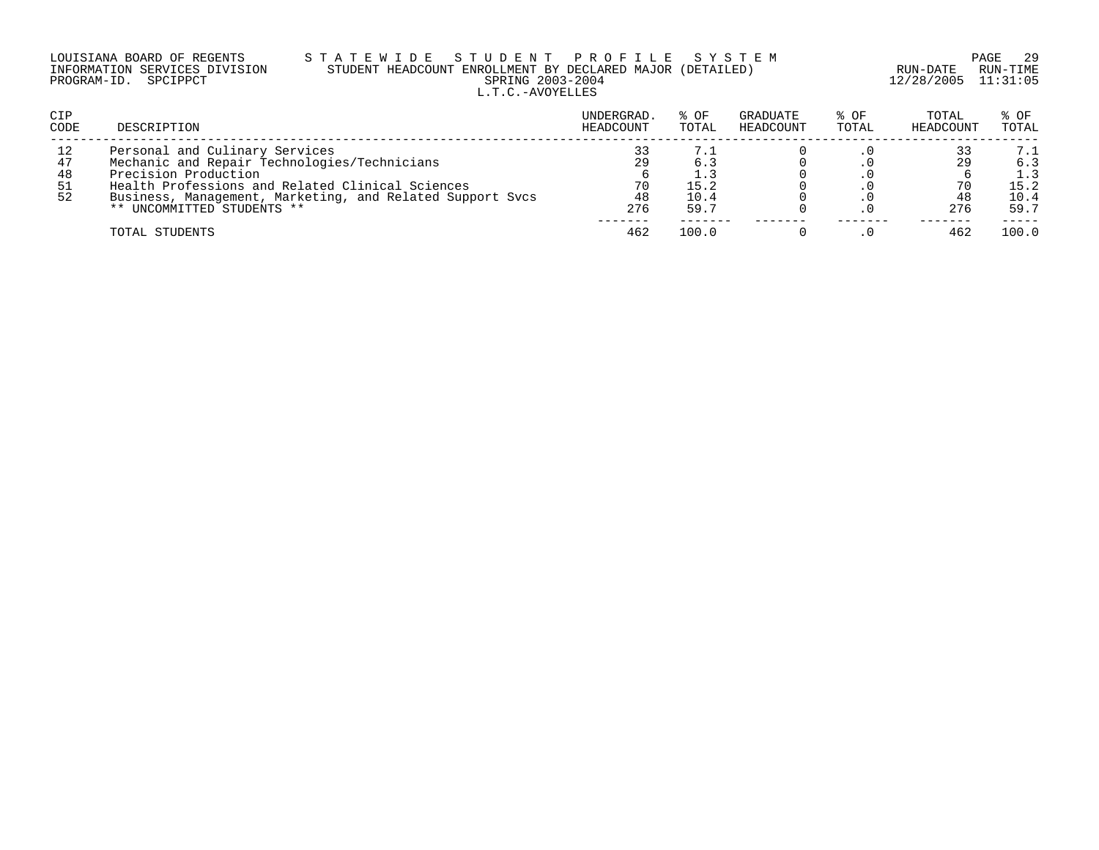| LOUISIANA BOARD OF REGENTS    |  |  |
|-------------------------------|--|--|
| INFORMATION SERVICES DIVISION |  |  |
| PROGRAM-ID. SPCIPPCT          |  |  |

# LOUISIANA BOARD OF REGENTS S T A T E W I D E S T U D E N T P R O F I L E S Y S T E M PAGE 29 INFORMATION SERVICES DIVISION STUDENT HEADCOUNT ENROLLMENT BY DECLARED MAJOR (DETAILED) RUN-DATE RUN-TIME PRING 2003-2004 12/28/2005 11:31:05 L.T.C.-AVOYELLES

| CIP<br>CODE                 | DESCRIPTION                                                                                                                                                                                                                                           | UNDERGRAD.<br>HEADCOUNT | % OF<br>TOTAL                      | GRADUATE<br>HEADCOUNT | % OF<br>TOTAL | TOTAL<br>HEADCOUNT | % OF<br>TOTAL                             |
|-----------------------------|-------------------------------------------------------------------------------------------------------------------------------------------------------------------------------------------------------------------------------------------------------|-------------------------|------------------------------------|-----------------------|---------------|--------------------|-------------------------------------------|
| 12<br>47<br>48<br>-51<br>52 | Personal and Culinary Services<br>Mechanic and Repair Technologies/Technicians<br>Precision Production<br>Health Professions and Related Clinical Sciences<br>Business, Management, Marketing, and Related Support Svcs<br>** UNCOMMITTED STUDENTS ** | 29<br>70<br>48<br>276   | 7.1<br>6.3<br>15.2<br>10.4<br>59.7 |                       |               | 29<br>276          | 7.1<br>6.3<br>1.3<br>15.2<br>10.4<br>59.7 |
|                             | TOTAL STUDENTS                                                                                                                                                                                                                                        | 462                     | 100.0                              |                       |               | 462                | 100.0                                     |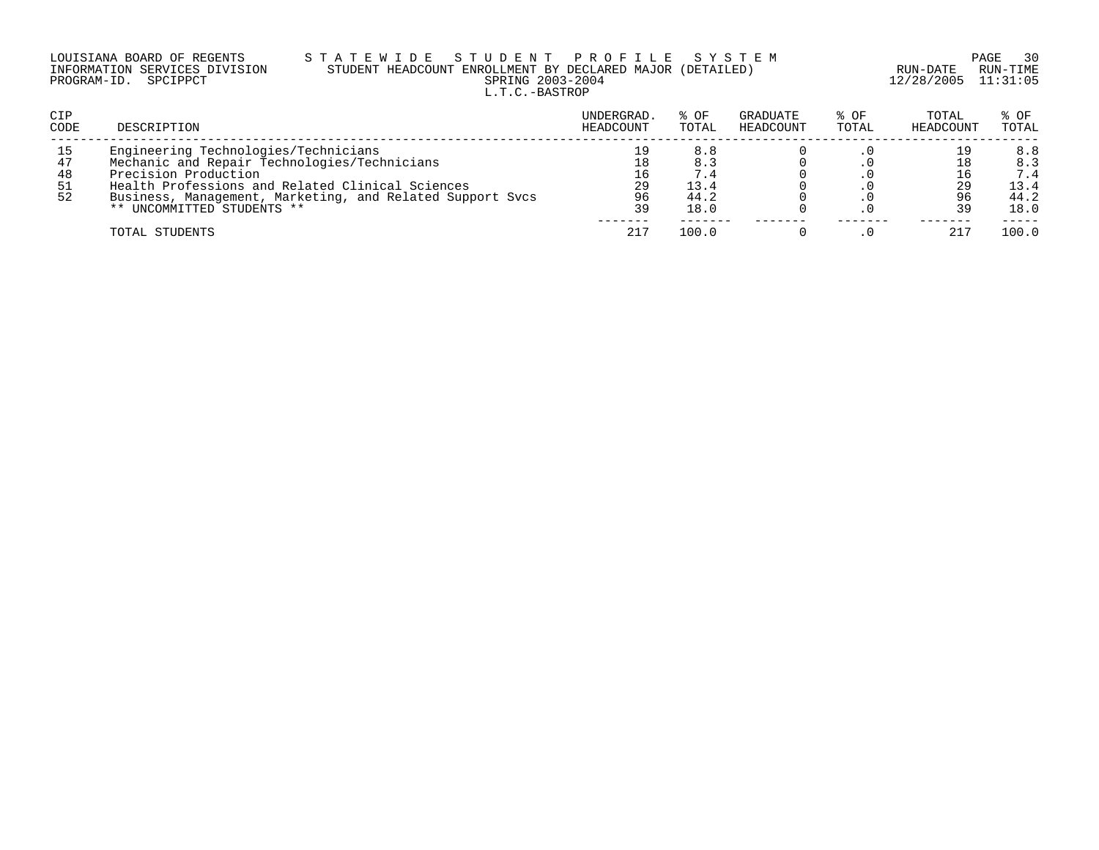| LOUISIANA BOARD OF REGENTS    | STATEWIDE STUDENT PROFILE SYSTEM                          |                         | PAGE 30  |
|-------------------------------|-----------------------------------------------------------|-------------------------|----------|
| INFORMATION SERVICES DIVISION | STUDENT HEADCOUNT ENROLLMENT BY DECLARED MAJOR (DETAILED) | RUN-DATE                | RUN-TIME |
| PROGRAM-ID. SPCIPPCT          | SPRING 2003-2004                                          | $12/28/2005$ $11:31:05$ |          |
|                               | L.T.C.-BASTROP                                            |                         |          |

| CIP<br><b>CODE</b>          | DESCRIPTION                                                                                                                                                                                                                                                 | UNDERGRAD.<br>HEADCOUNT | % OF<br>TOTAL                             | GRADUATE<br>HEADCOUNT | % OF<br>TOTAL | TOTAL<br>HEADCOUNT | % OF<br>TOTAL                             |
|-----------------------------|-------------------------------------------------------------------------------------------------------------------------------------------------------------------------------------------------------------------------------------------------------------|-------------------------|-------------------------------------------|-----------------------|---------------|--------------------|-------------------------------------------|
| 15<br>47<br>48<br>-51<br>52 | Engineering Technologies/Technicians<br>Mechanic and Repair Technologies/Technicians<br>Precision Production<br>Health Professions and Related Clinical Sciences<br>Business, Management, Marketing, and Related Support Sycs<br>** UNCOMMITTED STUDENTS ** | 29<br>96<br>39          | 8.8<br>8.3<br>7.4<br>13.4<br>44.2<br>18.0 |                       |               | 39                 | 8.8<br>8.3<br>7.4<br>13.4<br>44.2<br>18.0 |
|                             | TOTAL STUDENTS                                                                                                                                                                                                                                              | 217                     | 100.0                                     |                       |               | 217                | 100.0                                     |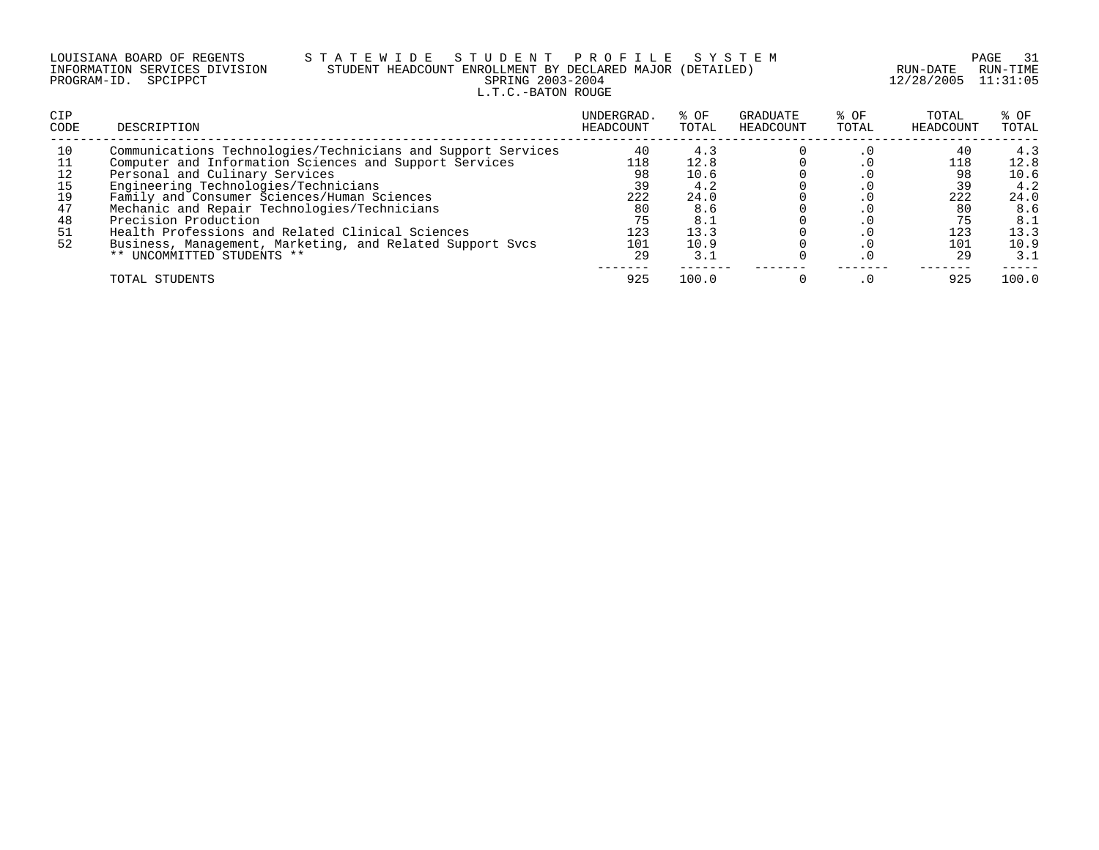# LOUISIANA BOARD OF REGENTS S T A T E W I D E S T U D E N T P R O F I L E S Y S T E M PAGE 31 INFORMATION SERVICES DIVISION STUDENT HEADCOUNT ENROLLMENT BY DECLARED MAJOR (DETAILED) RUN-DATE RUN-TIME PROGRAM-ID. SPCIPPCT SPRING 2003-2004 12/28/2005 11:31:05 L.T.C.-BATON ROUGE

| <b>CIP</b><br>CODE                           | DESCRIPTION                                                                                                                                                                                                                                                                                                                                                                                                                                                            | UNDERGRAD.<br>HEADCOUNT                                | % OF<br>TOTAL                                                    | GRADUATE<br>HEADCOUNT | % OF<br>TOTAL | TOTAL<br>HEADCOUNT                               | % OF<br>TOTAL                                                    |
|----------------------------------------------|------------------------------------------------------------------------------------------------------------------------------------------------------------------------------------------------------------------------------------------------------------------------------------------------------------------------------------------------------------------------------------------------------------------------------------------------------------------------|--------------------------------------------------------|------------------------------------------------------------------|-----------------------|---------------|--------------------------------------------------|------------------------------------------------------------------|
| 10<br>12<br>15<br>19<br>47<br>48<br>51<br>52 | Communications Technologies/Technicians and Support Services<br>Computer and Information Sciences and Support Services<br>Personal and Culinary Services<br>Engineering Technologies/Technicians<br>Family and Consumer Sciences/Human Sciences<br>Mechanic and Repair Technologies/Technicians<br>Precision Production<br>Health Professions and Related Clinical Sciences<br>Business, Management, Marketing, and Related Support Svcs<br>** UNCOMMITTED STUDENTS ** | 40<br>118<br>98<br>39<br>222<br>80<br>75<br>123<br>101 | 4.3<br>12.8<br>10.6<br>4.2<br>24.0<br>8.6<br>8.1<br>13.3<br>10.9 |                       |               | 40<br>118<br>98<br>39<br>222<br>80<br>123<br>101 | 4.3<br>12.8<br>10.6<br>4.2<br>24.0<br>8.6<br>8.1<br>13.3<br>10.9 |
|                                              | TOTAL STUDENTS                                                                                                                                                                                                                                                                                                                                                                                                                                                         | 29<br>925                                              | 3.1<br>100.0                                                     |                       |               | 29<br>925                                        | 3.1<br>100.0                                                     |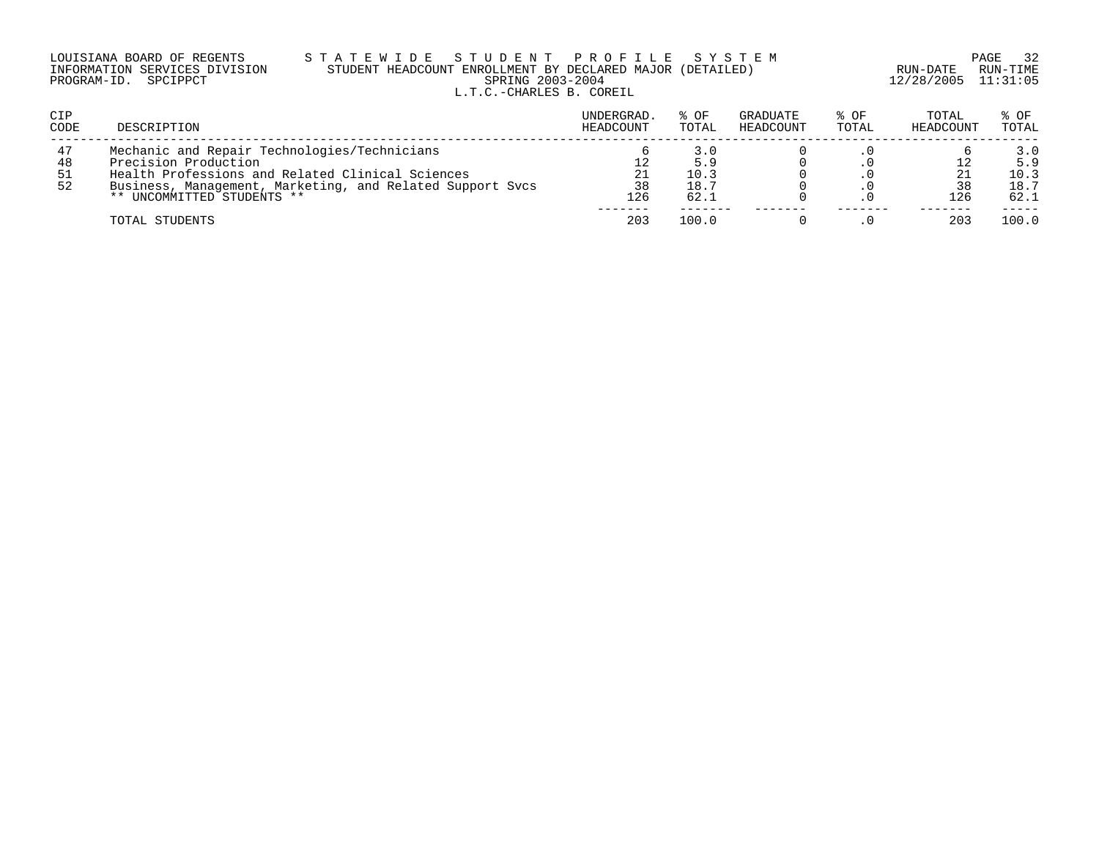|                      | LOUISIANA BOARD OF REGENTS    |
|----------------------|-------------------------------|
|                      | INFORMATION SERVICES DIVISION |
| PROGRAM-ID. SPCIPPCT |                               |

## LOUISIANA BOARD OF REGENTS S T A T E W I D E S T U D E N T P R O F I L E S Y S T E M PAGE 32 INFORMATION SERVICES DIVISION STUDENT HEADCOUNT ENROLLMENT BY DECLARED MAJOR (DETAILED) RUN-DATE RUN-TIME PROGRAM-ID. SPCIPPCT SPRING 2003-2004 12/28/2005 11:31:05 L.T.C.-CHARLES B. COREIL

| CIP<br>CODE | DESCRIPTION                                               | UNDERGRAD.<br>HEADCOUNT | % OF<br>TOTAL | <b>GRADUATE</b><br>HEADCOUNT | % OF<br>TOTAL | TOTAL<br>HEADCOUNT | % OF<br>TOTAL |
|-------------|-----------------------------------------------------------|-------------------------|---------------|------------------------------|---------------|--------------------|---------------|
| 47          | Mechanic and Repair Technologies/Technicians              |                         | 3.0           |                              |               |                    | 3.0           |
| 48          | Precision Production                                      |                         | 5.9           |                              |               |                    | 5.9           |
| -51         | Health Professions and Related Clinical Sciences          | 21                      | 10.3          |                              |               |                    | 10.3          |
| 52          | Business, Management, Marketing, and Related Support Sycs | 38                      | 18.7          |                              |               |                    | 18.7          |
|             | ** UNCOMMITTED STUDENTS **                                | 126                     | 62.1          |                              |               | 126                | 62.1          |
|             | TOTAL STUDENTS                                            | 203                     | 100.0         |                              |               | 203                | 100.0         |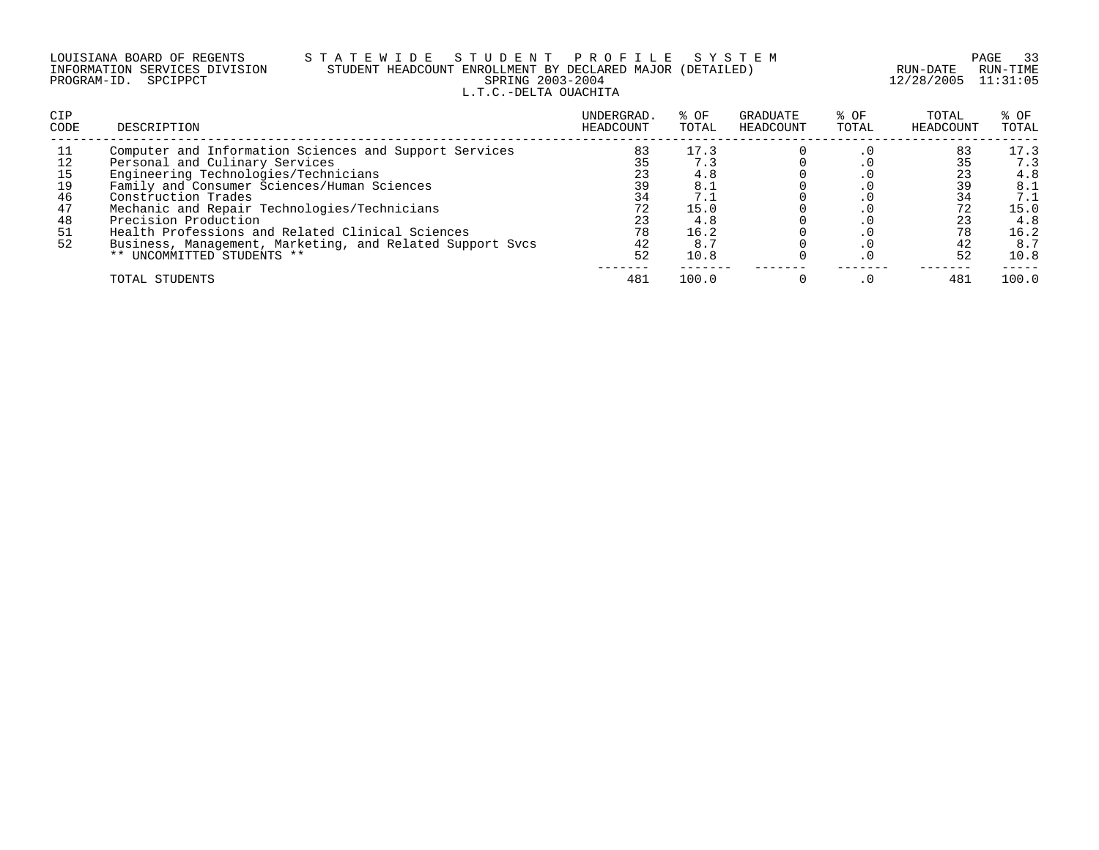## LOUISIANA BOARD OF REGENTS S T A T E W I D E S T U D E N T P R O F I L E S Y S T E M PAGE 33 INFORMATION SERVICES DIVISION STUDENT HEADCOUNT ENROLLMENT BY DECLARED MAJOR (DETAILED) RUN-DATE RUN-TIME PROGRAM-ID. SPCIPPCT SPRING 2003-2004 12/28/2005 11:31:05 L.T.C.-DELTA OUACHITA

| <b>CIP</b><br>CODE               | DESCRIPTION                                                                                                                                                                                                                                                                                                                        | UNDERGRAD.<br>HEADCOUNT                      | % OF<br>TOTAL                                           | GRADUATE<br>HEADCOUNT | % OF<br>TOTAL | TOTAL<br>HEADCOUNT                     | % OF<br>TOTAL                                           |
|----------------------------------|------------------------------------------------------------------------------------------------------------------------------------------------------------------------------------------------------------------------------------------------------------------------------------------------------------------------------------|----------------------------------------------|---------------------------------------------------------|-----------------------|---------------|----------------------------------------|---------------------------------------------------------|
| 15<br>19<br>46<br>47<br>48<br>51 | Computer and Information Sciences and Support Services<br>Personal and Culinary Services<br>Engineering Technologies/Technicians<br>Family and Consumer Sciences/Human Sciences<br>Construction Trades<br>Mechanic and Repair Technologies/Technicians<br>Precision Production<br>Health Professions and Related Clinical Sciences | 83<br>35<br>23<br>39<br>34<br>72<br>23<br>78 | 17.3<br>7.3<br>4.8<br>8.1<br>7.1<br>15.0<br>4.8<br>16.2 |                       |               | 83<br>35<br>39<br>34<br>72<br>23<br>78 | 17.3<br>7.3<br>4.8<br>8.1<br>7.1<br>15.0<br>4.8<br>16.2 |
| 52                               | Business, Management, Marketing, and Related Support Svcs<br>** UNCOMMITTED STUDENTS **<br>TOTAL STUDENTS                                                                                                                                                                                                                          | 42<br>52<br>481                              | 8.7<br>10.8<br>100.0                                    |                       |               | 42<br>52<br>481                        | 8.7<br>10.8<br>100.0                                    |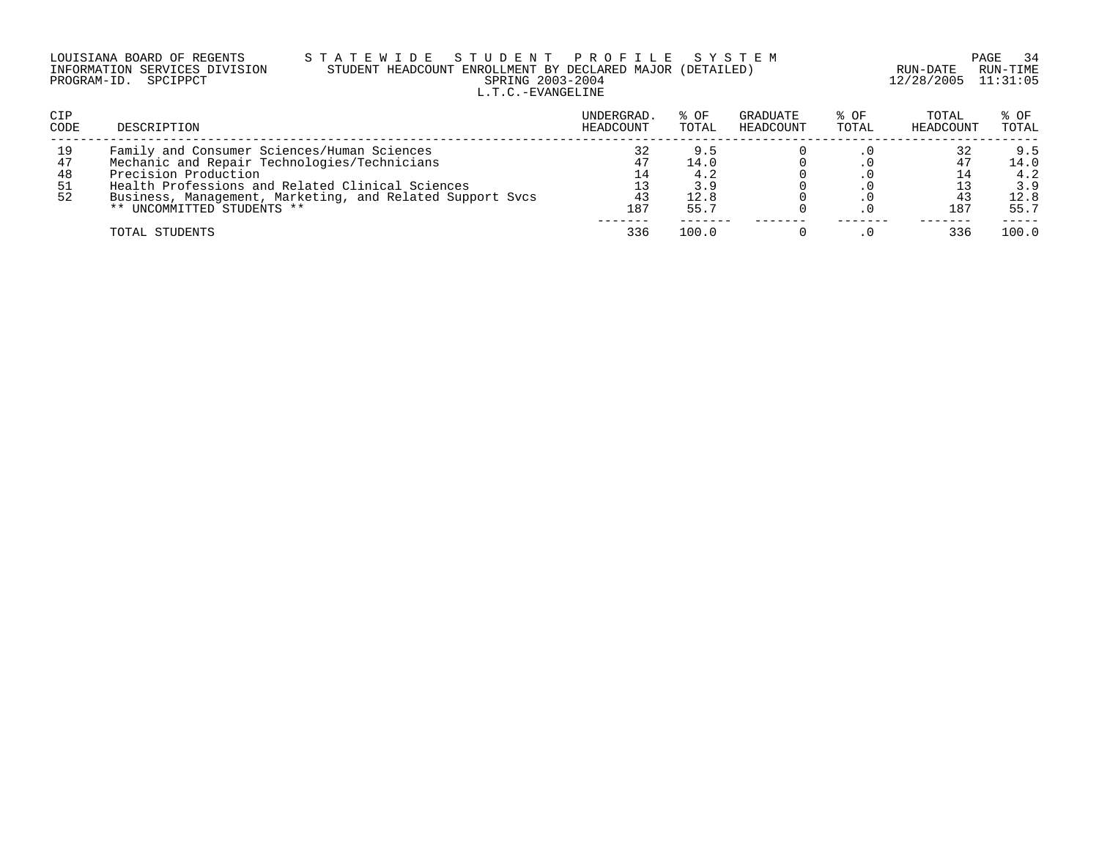|                      | LOUISIANA BOARD OF REGENTS    | S T A |
|----------------------|-------------------------------|-------|
|                      | INFORMATION SERVICES DIVISION | SI    |
| PROGRAM-ID. SPCIPPCT |                               |       |

## LOUISIANA BOARD OF REGENTS S T A T E W I D E S T U D E N T P R O F I L E S Y S T E M PAGE 34 INFORMATION SERVICES DIVISION STUDENT HEADCOUNT ENROLLMENT BY DECLARED MAJOR (DETAILED) RUN-DATE RUN-TIME PRING 2003-2004 12/28/2005 11:31:05 L.T.C.-EVANGELINE

| CIP<br>CODE                 | DESCRIPTION                                                                                                                                                                                                                                                        | UNDERGRAD.<br>HEADCOUNT | % OF<br>TOTAL                             | GRADUATE<br>HEADCOUNT | % OF<br>TOTAL | TOTAL<br>HEADCOUNT | % OF<br>TOTAL                             |
|-----------------------------|--------------------------------------------------------------------------------------------------------------------------------------------------------------------------------------------------------------------------------------------------------------------|-------------------------|-------------------------------------------|-----------------------|---------------|--------------------|-------------------------------------------|
| 19<br>47<br>48<br>-51<br>52 | Family and Consumer Sciences/Human Sciences<br>Mechanic and Repair Technologies/Technicians<br>Precision Production<br>Health Professions and Related Clinical Sciences<br>Business, Management, Marketing, and Related Support Sycs<br>** UNCOMMITTED STUDENTS ** | 47<br>43<br>187         | 9.5<br>14.0<br>4.2<br>3.9<br>12.8<br>55.7 |                       |               | 187                | 9.5<br>14.0<br>4.2<br>3.9<br>12.8<br>55.7 |
|                             | TOTAL STUDENTS                                                                                                                                                                                                                                                     | 336                     | 100.0                                     |                       |               | 336                | 100.0                                     |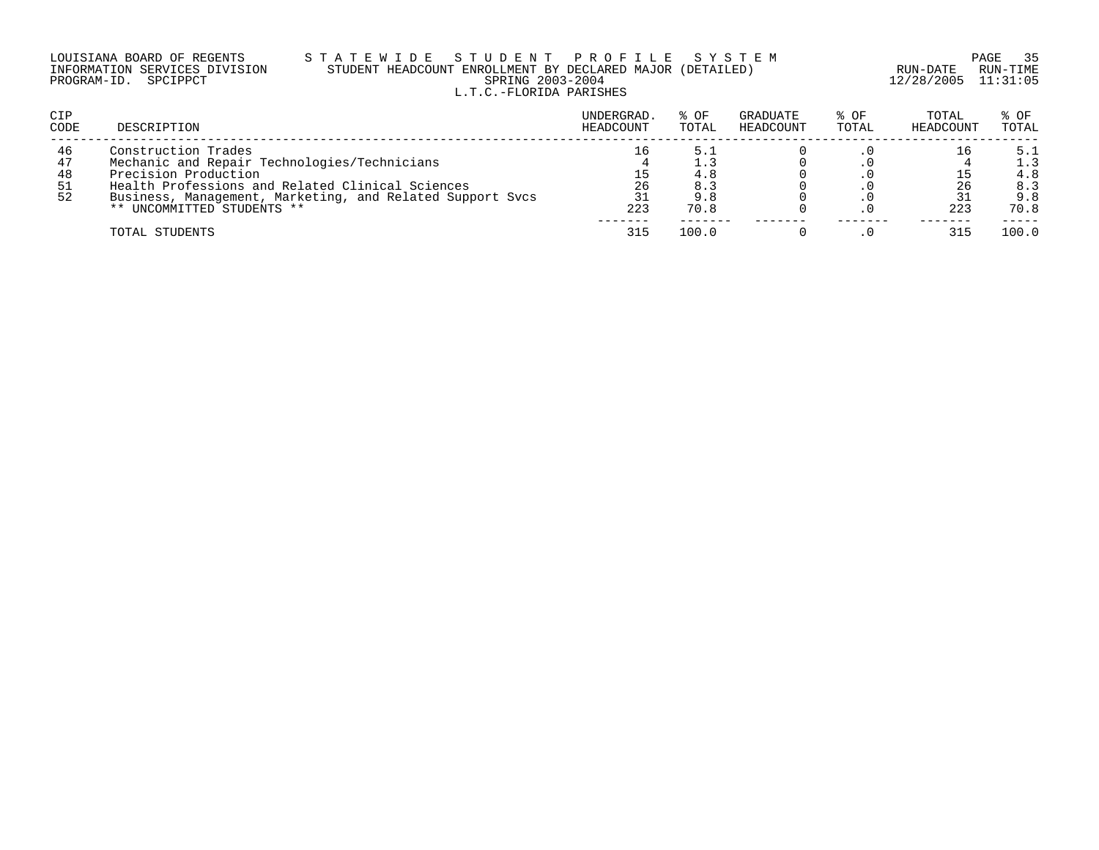| LOUISIANA BOARD OF REGENTS    |  |  |
|-------------------------------|--|--|
| INFORMATION SERVICES DIVISION |  |  |
| PROGRAM-ID. SPCIPPCT          |  |  |

# LOUISIANA BOARD OF REGENTS S T A T E W I D E S T U D E N T P R O F I L E S Y S T E M PAGE 35 INFORMATION SERVICES DIVISION STUDENT HEADCOUNT ENROLLMENT BY DECLARED MAJOR (DETAILED) RUN-DATE RUN-TIME PRING 2003-2004 12/28/2005 11:31:05 L.T.C.-FLORIDA PARISHES

| <b>CIP</b><br>CODE          | DESCRIPTION                                                                                                                                                                                                                                | UNDERGRAD.<br>HEADCOUNT | % OF<br>TOTAL             | GRADUATE<br>HEADCOUNT | % OF<br>TOTAL | TOTAL<br>HEADCOUNT | % OF<br>TOTAL                           |
|-----------------------------|--------------------------------------------------------------------------------------------------------------------------------------------------------------------------------------------------------------------------------------------|-------------------------|---------------------------|-----------------------|---------------|--------------------|-----------------------------------------|
| 46<br>47<br>48<br>-51<br>52 | Construction Trades<br>Mechanic and Repair Technologies/Technicians<br>Precision Production<br>Health Professions and Related Clinical Sciences<br>Business, Management, Marketing, and Related Support Sycs<br>** UNCOMMITTED STUDENTS ** | 16<br>26<br>223         | 4.8<br>8.3<br>9.8<br>70.8 |                       |               | 26<br>223          | 5.1<br>1.3<br>4.8<br>8.3<br>9.8<br>70.8 |
|                             | TOTAL STUDENTS                                                                                                                                                                                                                             | -----<br>315            | 100.0                     |                       |               | 315                | 100.0                                   |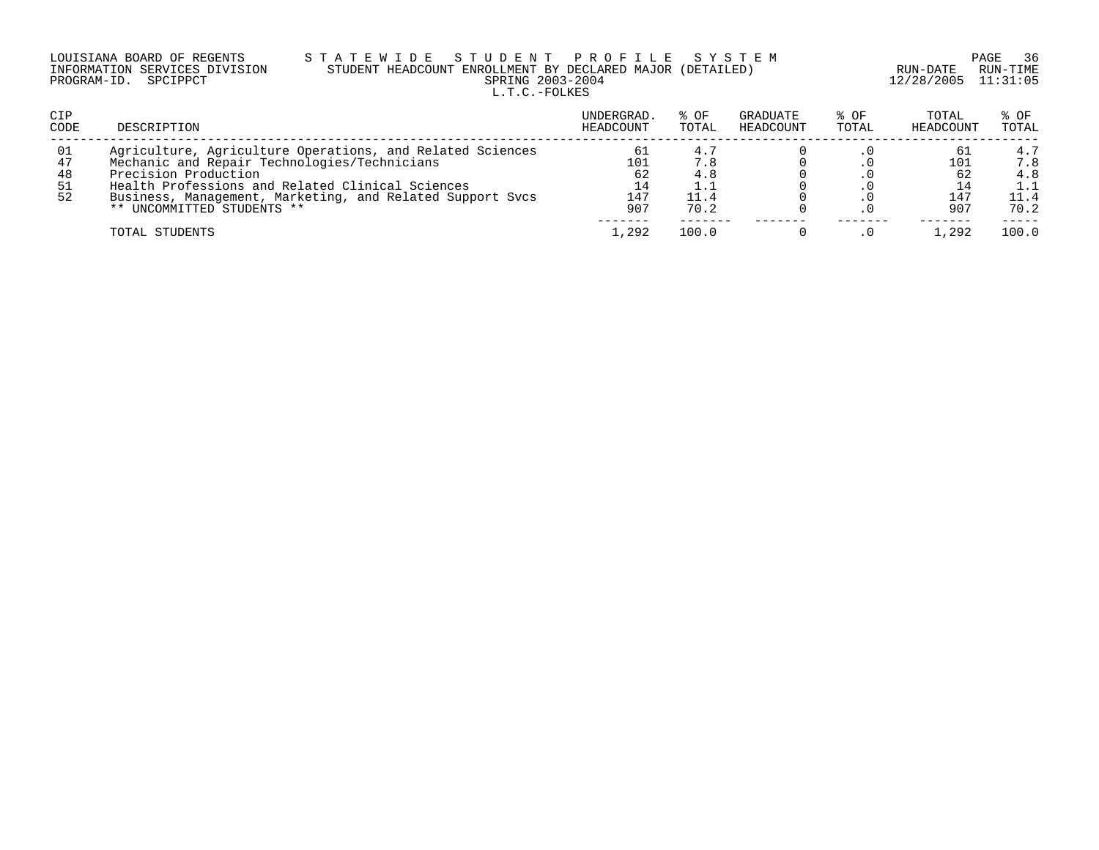| LOUISIANA BOARD OF REGENTS    | STATEWIDE STUDENT PROFILE SYSTEM                          |                         | PAGE 36  |
|-------------------------------|-----------------------------------------------------------|-------------------------|----------|
| INFORMATION SERVICES DIVISION | STUDENT HEADCOUNT ENROLLMENT BY DECLARED MAJOR (DETAILED) | RUN-DATE                | RUN-TIME |
| PROGRAM-ID. SPCIPPCT          | SPRING 2003-2004                                          | $12/28/2005$ $11:31:05$ |          |
|                               | L.T.C.-FOLKES                                             |                         |          |

| <b>CIP</b><br>CODE         | DESCRIPTION                                                                                                                                                                                                                                                                      | UNDERGRAD.<br>HEADCOUNT             | % OF<br>TOTAL                     | GRADUATE<br>HEADCOUNT | % OF<br>TOTAL | TOTAL<br>HEADCOUNT      | % OF<br>TOTAL                     |
|----------------------------|----------------------------------------------------------------------------------------------------------------------------------------------------------------------------------------------------------------------------------------------------------------------------------|-------------------------------------|-----------------------------------|-----------------------|---------------|-------------------------|-----------------------------------|
| 01<br>47<br>48<br>51<br>52 | Agriculture, Agriculture Operations, and Related Sciences<br>Mechanic and Repair Technologies/Technicians<br>Precision Production<br>Health Professions and Related Clinical Sciences<br>Business, Management, Marketing, and Related Support Sycs<br>** UNCOMMITTED STUDENTS ** | 61<br>101<br>62<br>14<br>147<br>907 | 4.7<br>7.8<br>4.8<br>11.4<br>70.2 |                       |               | 101<br>62<br>147<br>907 | 4.7<br>7.8<br>4.8<br>11.4<br>70.2 |
|                            | TOTAL STUDENTS                                                                                                                                                                                                                                                                   | .292                                | 100.0                             |                       |               | 1,292                   | 100.0                             |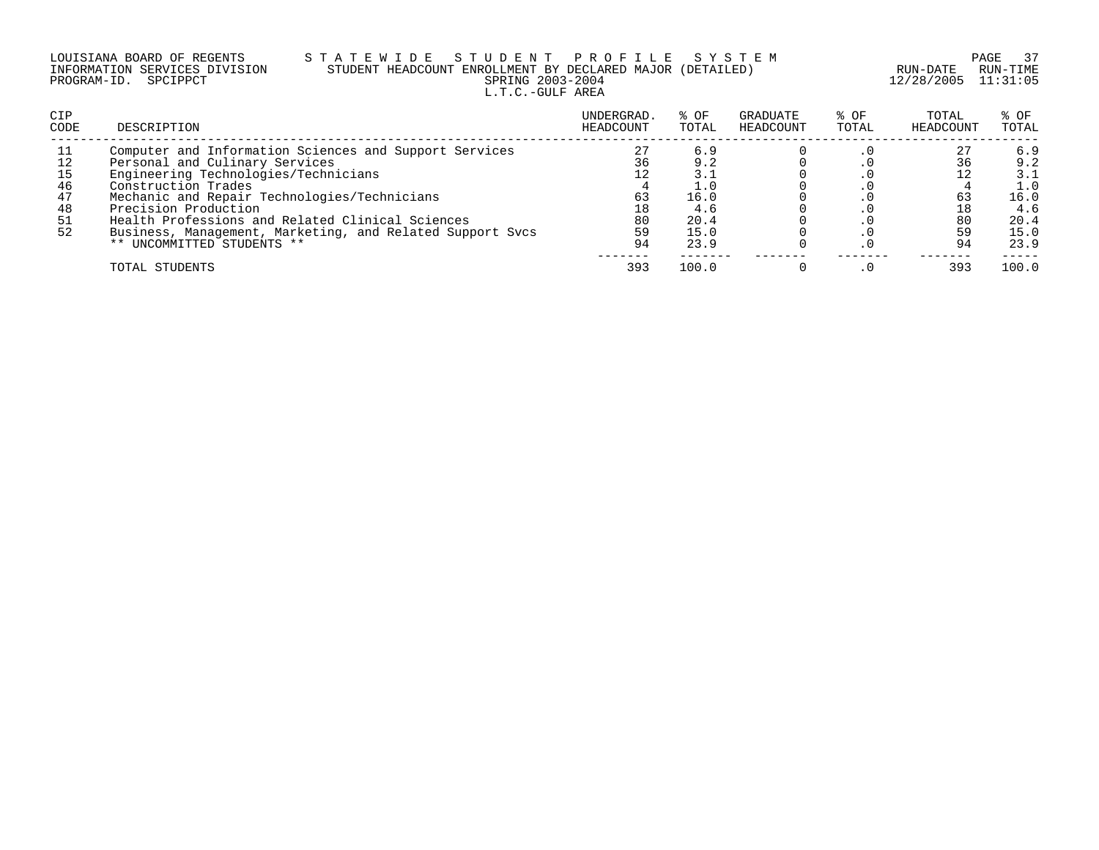| LOUISIANA BOARD OF REGENTS    | STATEWIDE STUDENT PROFILE SYSTEM                          |                     | PAGE 37  |
|-------------------------------|-----------------------------------------------------------|---------------------|----------|
| INFORMATION SERVICES DIVISION | STUDENT HEADCOUNT ENROLLMENT BY DECLARED MAJOR (DETAILED) | RUN-DATE            | RUN-TIMF |
| PROGRAM-ID. SPCIPPCT          | SPRING 2003-2004                                          | 12/28/2005 11:31:05 |          |
|                               | L.T.C.-GULF AREA                                          |                     |          |

| <b>CIP</b><br><b>CODE</b> | DESCRIPTION                                               | UNDERGRAD.<br>HEADCOUNT | % OF<br>TOTAL | GRADUATE<br>HEADCOUNT | % OF<br>TOTAL | TOTAL<br>HEADCOUNT | % OF<br>TOTAL |
|---------------------------|-----------------------------------------------------------|-------------------------|---------------|-----------------------|---------------|--------------------|---------------|
| -11                       | Computer and Information Sciences and Support Services    | 27                      | 6.9           |                       |               | 27                 | 6.9           |
| 12                        | Personal and Culinary Services                            | 36                      | 9.2           |                       |               | 36                 | 9.2           |
| 15                        | Engineering Technologies/Technicians                      |                         | 3.1           |                       |               |                    | 3.1           |
| 46                        | Construction Trades                                       |                         |               |                       |               |                    | 1.0           |
| 47                        | Mechanic and Repair Technologies/Technicians              | 63                      | 16.0          |                       |               | 63                 | 16.0          |
| 48                        | Precision Production                                      | 18                      | 4.6           |                       |               | 18                 | 4.6           |
| 51                        | Health Professions and Related Clinical Sciences          | 80                      | 20.4          |                       |               | 80                 | 20.4          |
| 52                        | Business, Management, Marketing, and Related Support Svcs | 59                      | 15.0          |                       |               | 59                 | 15.0          |
|                           | ** UNCOMMITTED STUDENTS **                                | 94                      | 23.9          |                       |               | 94                 | 23.9          |
|                           | TOTAL STUDENTS                                            | 393                     | 100.0         |                       |               | 393                | 100.0         |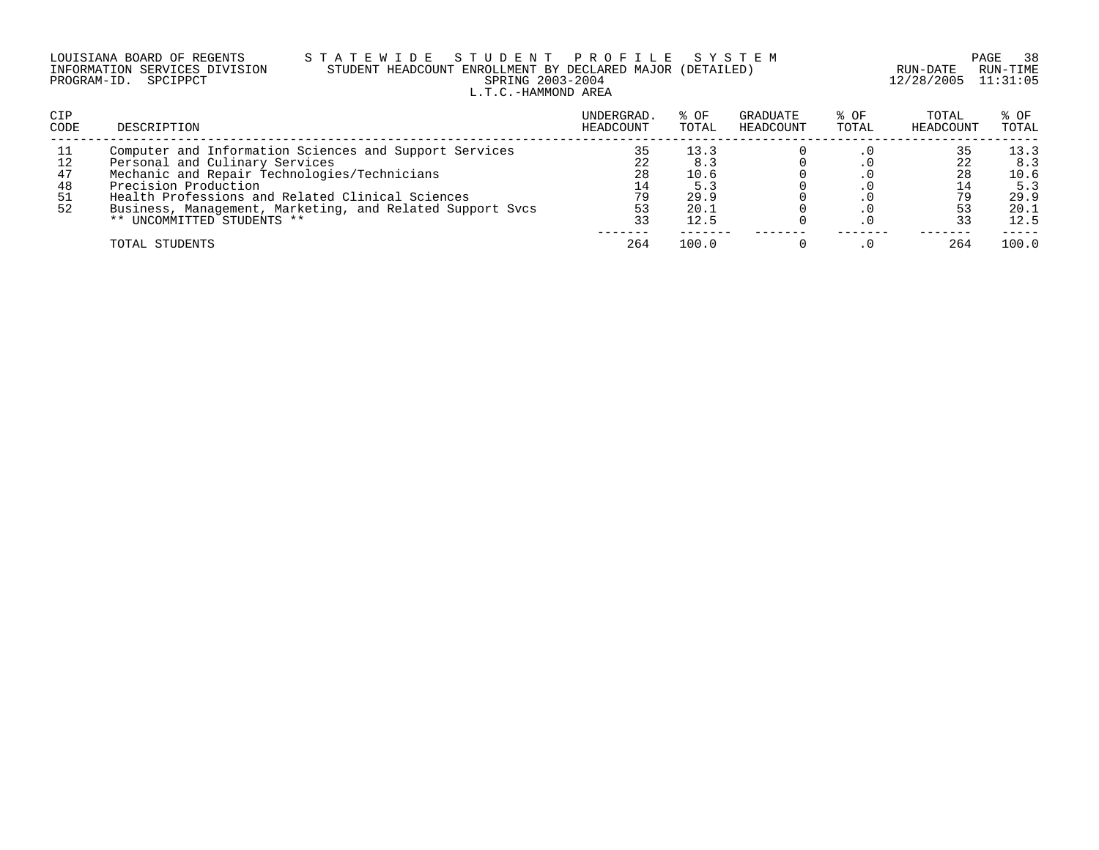| LOUISIANA BOARD OF REGENTS    |  |  |
|-------------------------------|--|--|
| INFORMATION SERVICES DIVISION |  |  |
| PROGRAM-ID. SPCIPPCT          |  |  |

### LOUISIANA BOARD OF REGENTS S T A T E W I D E S T U D E N T P R O F I L E S Y S T E M PAGE 38 INFORMATION SERVICES DIVISION STUDENT HEADCOUNT ENROLLMENT BY DECLARED MAJOR (DETAILED) RUN-DATE RUN-TIME PRING 2003-2004 12/28/2005 11:31:05 L.T.C.-HAMMOND AREA

| CIP<br><b>CODE</b> | DESCRIPTION                                               | UNDERGRAD.<br>HEADCOUNT | % OF<br>TOTAL | GRADUATE<br>HEADCOUNT | % OF<br>TOTAL | TOTAL<br>HEADCOUNT | % OF<br>TOTAL |
|--------------------|-----------------------------------------------------------|-------------------------|---------------|-----------------------|---------------|--------------------|---------------|
| - 11               | Computer and Information Sciences and Support Services    |                         | 13.3          |                       |               |                    | 13.3          |
|                    | Personal and Culinary Services                            |                         | 8.3           |                       |               |                    | 8.3           |
| 47                 | Mechanic and Repair Technologies/Technicians              | 28                      | 10.6          |                       |               |                    | 10.6          |
| 48                 | Precision Production                                      | 14                      | 5.3           |                       |               | 14                 | 5.3           |
| -51                | Health Professions and Related Clinical Sciences          | 79                      | 29.9          |                       |               |                    | 29.9          |
| 52                 | Business, Management, Marketing, and Related Support Sycs | 53                      | 20.1          |                       |               |                    | 20.1          |
|                    | ** UNCOMMITTED STUDENTS **                                | 33                      | 12.5          |                       |               |                    | 12.5          |
|                    | TOTAL STUDENTS                                            | 264                     | 100.0         |                       |               | 264                | 100.0         |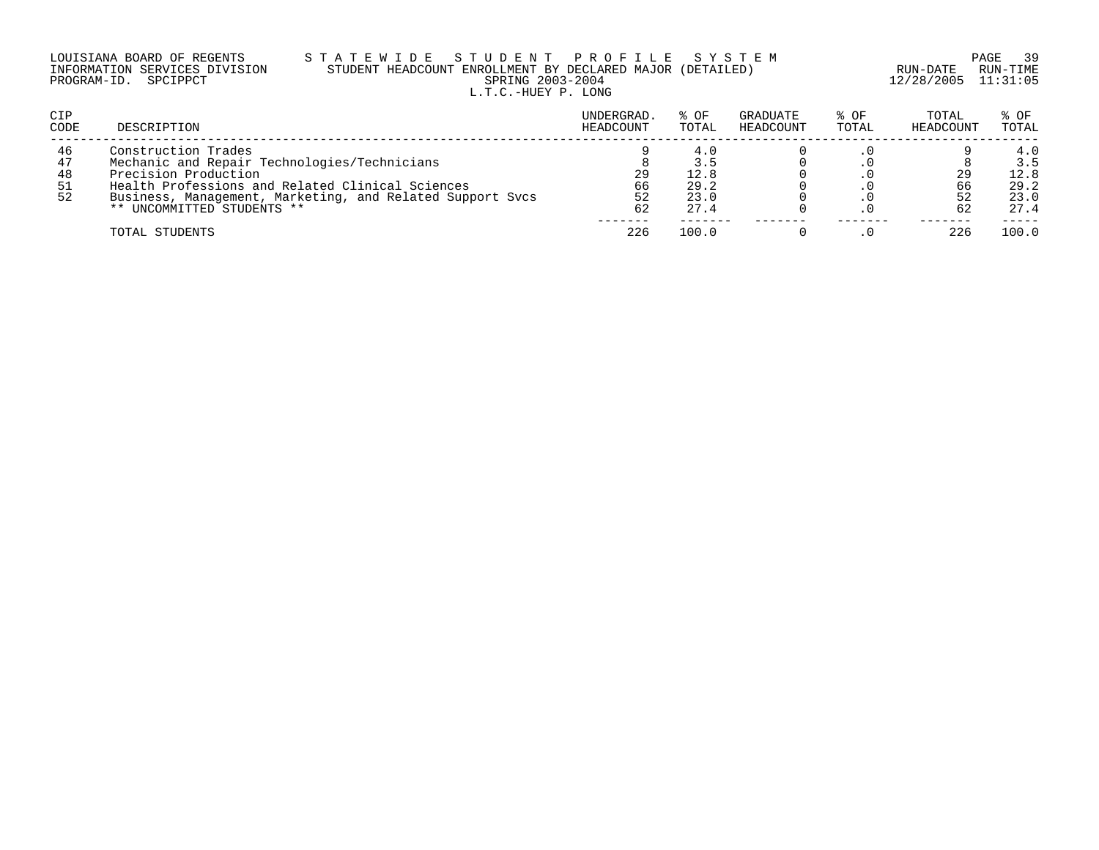| LOUISIANA BOARD OF REGENTS    | STATEWIDE STUDENT PROFILE SYSTEM                          |                     | PAGE 39  |
|-------------------------------|-----------------------------------------------------------|---------------------|----------|
| INFORMATION SERVICES DIVISION | STUDENT HEADCOUNT ENROLLMENT BY DECLARED MAJOR (DETAILED) | RUN-DATE            | RUN-TIMF |
| PROGRAM-ID. SPCIPPCT          | SPRING 2003-2004                                          | 12/28/2005 11:31:05 |          |
|                               | L.T.C.-HUEY P. LONG                                       |                     |          |

| <b>CIP</b><br><b>CODE</b>  | DESCRIPTION                                                                                                                                                                                                                                | UNDERGRAD.<br>HEADCOUNT | % OF<br>TOTAL                       | GRADUATE<br>HEADCOUNT | % OF<br>TOTAL | TOTAL<br>HEADCOUNT | % OF<br>TOTAL                              |
|----------------------------|--------------------------------------------------------------------------------------------------------------------------------------------------------------------------------------------------------------------------------------------|-------------------------|-------------------------------------|-----------------------|---------------|--------------------|--------------------------------------------|
| 46<br>47<br>48<br>51<br>52 | Construction Trades<br>Mechanic and Repair Technologies/Technicians<br>Precision Production<br>Health Professions and Related Clinical Sciences<br>Business, Management, Marketing, and Related Support Svcs<br>** UNCOMMITTED STUDENTS ** | 29<br>66<br>52<br>62    | 3.5<br>12.8<br>29.2<br>23.0<br>27.4 |                       |               | 29<br>66           | 4.0<br>3.5<br>12.8<br>29.2<br>23.0<br>27.4 |
|                            | TOTAL STUDENTS                                                                                                                                                                                                                             | 226                     | 100.0                               |                       |               | 226                | 100.0                                      |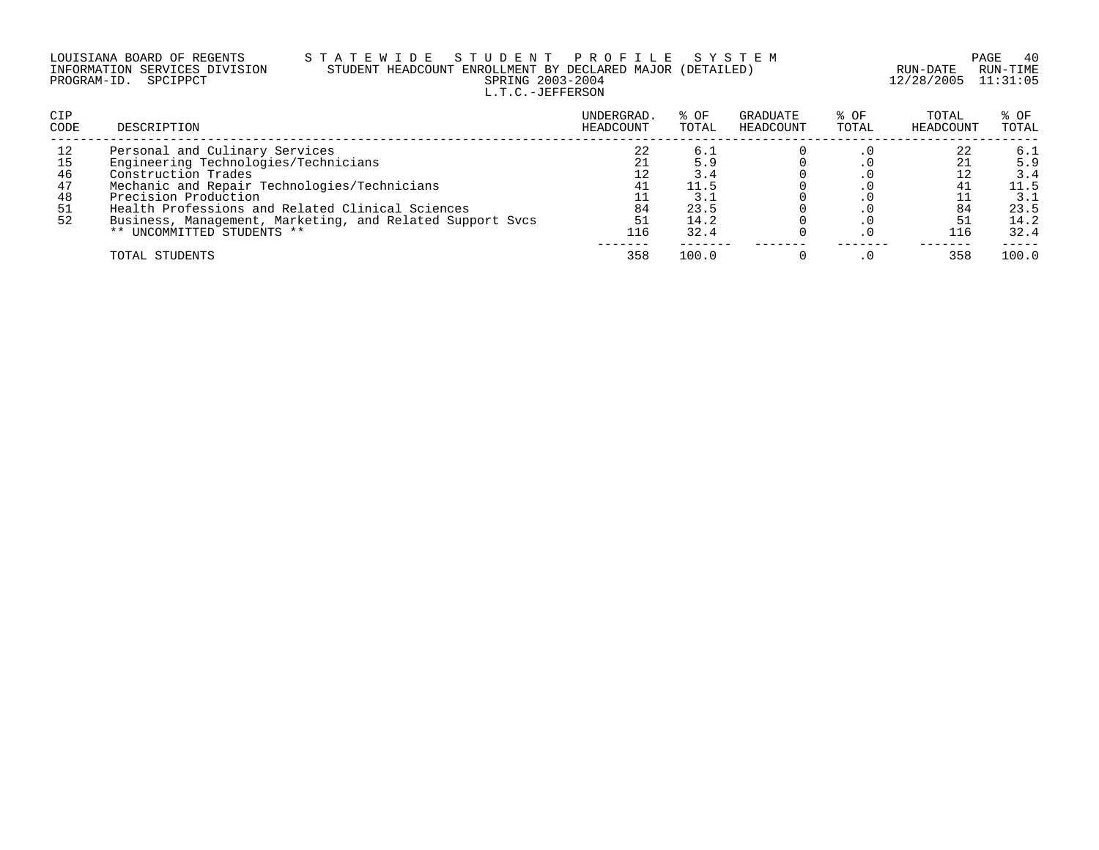### LOUISIANA BOARD OF REGENTS S T A T E W I D E S T U D E N T P R O F I L E S Y S T E M PAGE 40 INFORMATION SERVICES DIVISION STUDENT HEADCOUNT ENROLLMENT BY DECLARED MAJOR (DETAILED) RUN-DATE RUN-TIME PROGRAM-ID. SPCIPPCT SPRING 2003-2004 12/28/2005 11:31:05 L.T.C.-JEFFERSON

| <b>CIP</b><br>CODE | DESCRIPTION                                               | UNDERGRAD.<br>HEADCOUNT | % OF<br>TOTAL | GRADUATE<br>HEADCOUNT | % OF<br>TOTAL | TOTAL<br>HEADCOUNT | % OF<br>TOTAL |
|--------------------|-----------------------------------------------------------|-------------------------|---------------|-----------------------|---------------|--------------------|---------------|
| 12                 | Personal and Culinary Services                            | 22                      | د. 6          |                       |               | 22                 | 6.1           |
| 15                 | Engineering Technologies/Technicians                      |                         | 5.9           |                       |               |                    | 5.9           |
| 46                 | Construction Trades                                       |                         | 3.4           |                       |               |                    | 3.4           |
| 47                 | Mechanic and Repair Technologies/Technicians              | 4⊥                      | 11.5          |                       |               |                    | 11.5          |
| 48                 | Precision Production                                      |                         |               |                       |               |                    | 3.1           |
| 51                 | Health Professions and Related Clinical Sciences          | 84                      | 23.5          |                       |               | 84                 | 23.5          |
| 52                 | Business, Management, Marketing, and Related Support Svcs | 51                      | 14.2          |                       |               |                    | 14.2          |
|                    | ** UNCOMMITTED STUDENTS **                                | 116                     | 32.4          |                       |               | 116                | 32.4          |
|                    | TOTAL STUDENTS                                            | 358                     | 100.0         |                       |               | 358                | 100.0         |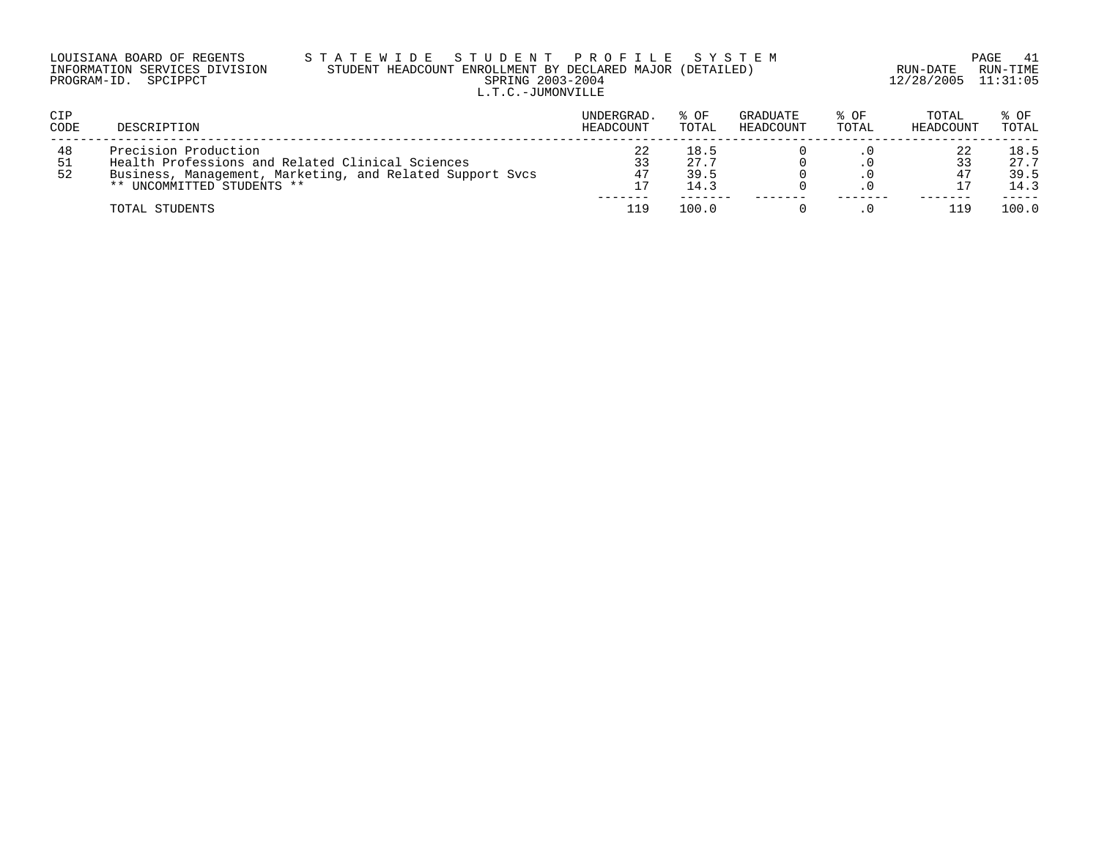| LOUISIANA BOARD OF REGENTS    | STATEWIDE STUDENT PROFILE SYSTEM                          |                     | PAGE 41  |
|-------------------------------|-----------------------------------------------------------|---------------------|----------|
| INFORMATION SERVICES DIVISION | STUDENT HEADCOUNT ENROLLMENT BY DECLARED MAJOR (DETAILED) | RUN-DATE            | RUN-TIME |
| PROGRAM-ID. SPCIPPCT          | SPRING 2003-2004                                          | 12/28/2005 11:31:05 |          |

### INFORMATION SERVICES DIVISION STUDENT HEADCOUNT ENROLLMENT BY DECLARED MAJOR (DETAILED) RUN-DATE RUN-TIME PRING 2003-2004 12/28/2005 11:31:05 L.T.C.-JUMONVILLE

| CIP<br>CODE     | DESCRIPTION                                                                                                                                                         | UNDERGRAD.<br>HEADCOUNT | % OF<br>TOTAL                | <b>GRADUATE</b><br>HEADCOUNT | % OF<br>TOTAL | TOTAL<br>HEADCOUNT | $8$ OF<br>TOTAL              |
|-----------------|---------------------------------------------------------------------------------------------------------------------------------------------------------------------|-------------------------|------------------------------|------------------------------|---------------|--------------------|------------------------------|
| 48<br>-51<br>52 | Precision Production<br>Health Professions and Related Clinical Sciences<br>Business, Management, Marketing, and Related Support Sycs<br>** UNCOMMITTED STUDENTS ** | 22<br>33<br>47<br>17    | 18.5<br>27.7<br>39.5<br>14.3 |                              |               |                    | 18.5<br>27.7<br>39.5<br>14.3 |
|                 | TOTAL STUDENTS                                                                                                                                                      | 119                     | 100.0                        |                              |               |                    | 100.0                        |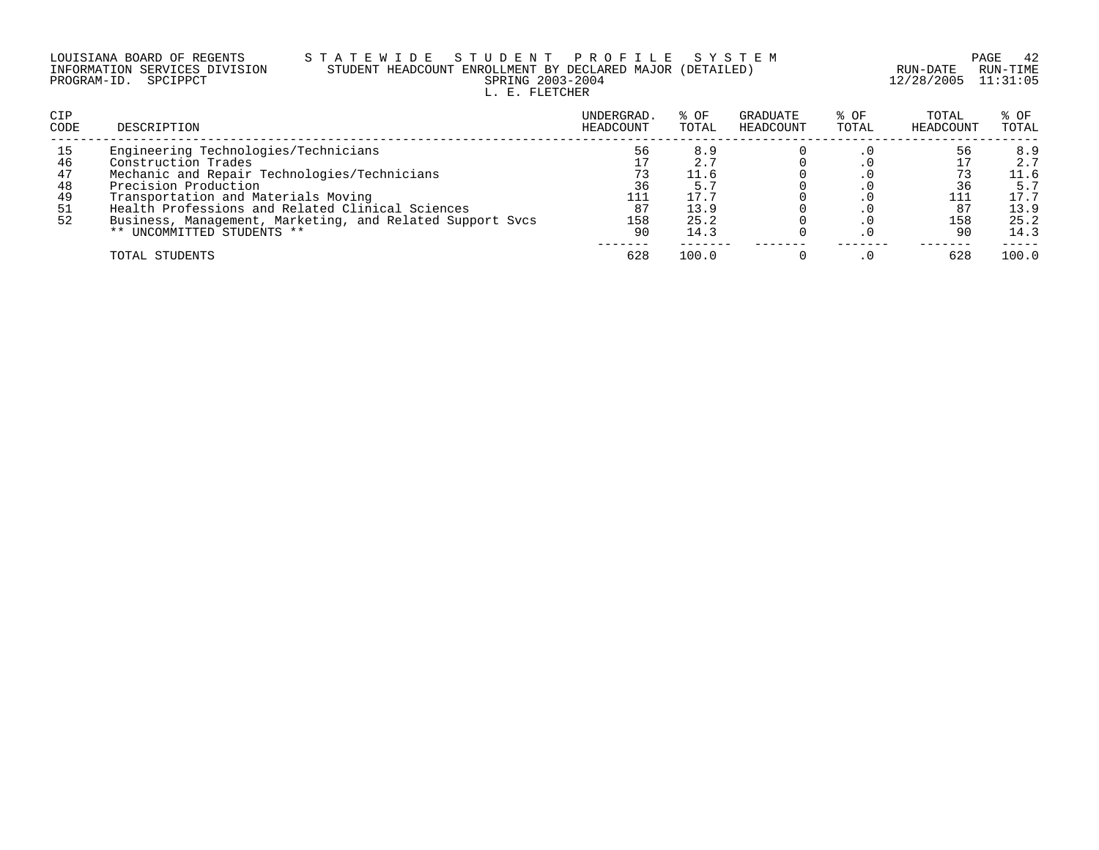### LOUISIANA BOARD OF REGENTS S T A T E W I D E S T U D E N T P R O F I L E S Y S T E M PAGE 42 INFORMATION SERVICES DIVISION STUDENT HEADCOUNT ENROLLMENT BY DECLARED MAJOR (DETAILED) RUN-DATE RUN-TIME PROGRAM-ID. SPCIPPCT SPRING 2003-2004 12/28/2005 11:31:05 L. E. FLETCHER

| <b>CIP</b><br>CODE | DESCRIPTION                                               | UNDERGRAD.<br>HEADCOUNT | % OF<br>TOTAL | GRADUATE<br>HEADCOUNT | $8$ OF<br>TOTAL | TOTAL<br>HEADCOUNT | $8$ OF<br>TOTAL |
|--------------------|-----------------------------------------------------------|-------------------------|---------------|-----------------------|-----------------|--------------------|-----------------|
| 15                 | Engineering Technologies/Technicians                      | 56                      | 8.9           |                       |                 | 56                 | 8.9             |
| 46                 | Construction Trades                                       |                         | 2.7           |                       |                 |                    | 2.7             |
| 47                 | Mechanic and Repair Technologies/Technicians              |                         | 11.6          |                       |                 |                    | 11.6            |
| 48                 | Precision Production                                      | 36                      | 5.7           |                       |                 |                    | 5.5             |
| 49                 | Transportation and Materials Moving                       | 111                     | 17.7          |                       |                 |                    | 17.7            |
| 51                 | Health Professions and Related Clinical Sciences          | 87                      | 13.9          |                       |                 | 87                 | 13.9            |
| 52                 | Business, Management, Marketing, and Related Support Svcs | 158                     | 25.2          |                       |                 | 158                | 25.2            |
|                    | ** UNCOMMITTED STUDENTS **                                | 90                      | 14.3          |                       |                 | 90                 | 14.3            |
|                    | TOTAL STUDENTS                                            | 628                     | 100.0         |                       |                 | 628                | 100.0           |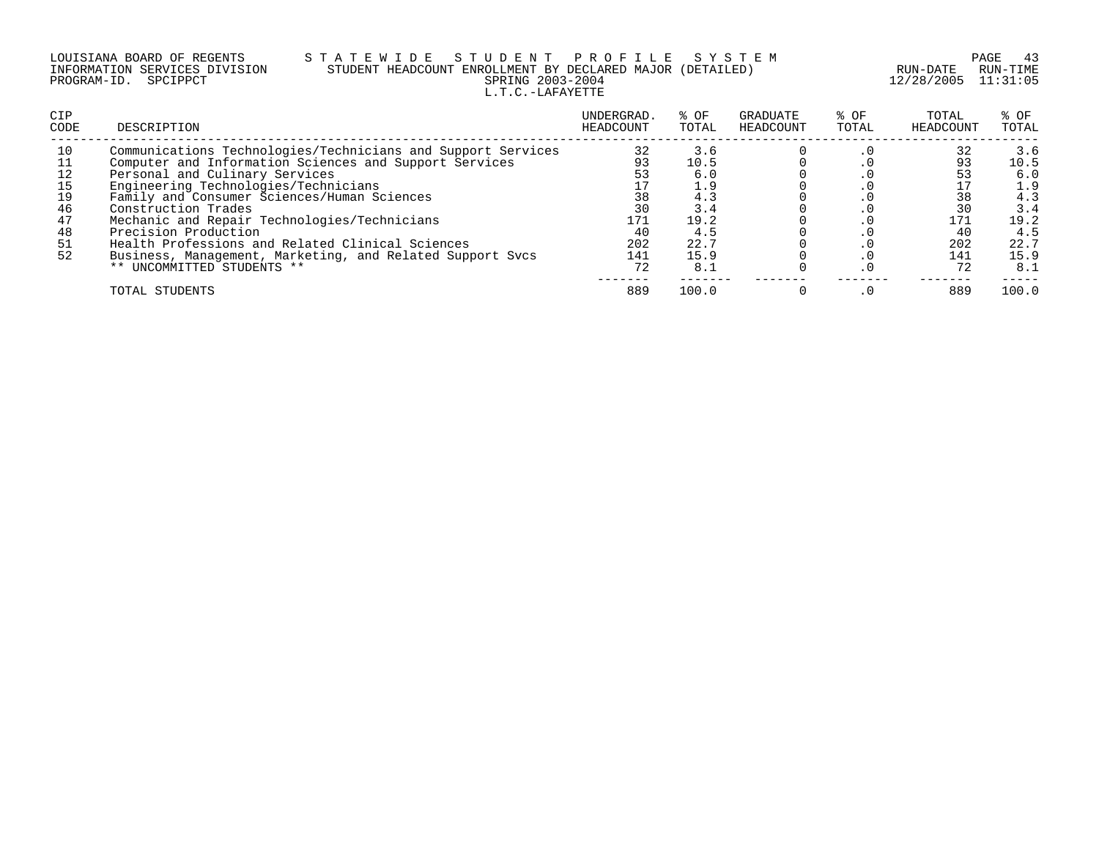| LOUISIANA BOARD OF REGENTS    |  |  |
|-------------------------------|--|--|
| INFORMATION SERVICES DIVISION |  |  |
| PROGRAM-ID. SPCIPPCT          |  |  |

## S T A T E W I D E S T U D E N T P R O F I L E S Y S T E M PAGE 43<br>STUDENT HEADCOUNT ENROLLMENT BY DECLARED MAJOR (DETAILED) RUN-DATE RUN-TIME STUDENT HEADCOUNT ENROLLMENT BY DECLARED MAJOR (DETAILED)<br>SPRING 2003-2004 L.T.C.-LAFAYETTE

12/28/2005 11:31:05

| CIP<br><b>CODE</b> | DESCRIPTION                                                  | UNDERGRAD.<br>HEADCOUNT | % OF<br>TOTAL | GRADUATE<br>HEADCOUNT | % OF<br>TOTAL | TOTAL<br>HEADCOUNT | $8$ OF<br>TOTAL |
|--------------------|--------------------------------------------------------------|-------------------------|---------------|-----------------------|---------------|--------------------|-----------------|
| 10                 | Communications Technologies/Technicians and Support Services | 32                      | 3.6           |                       | . 0           | 32                 | 3.6             |
| 11                 | Computer and Information Sciences and Support Services       | 93                      | 10.5          |                       |               | 93                 | 10.5            |
| 12                 | Personal and Culinary Services                               | 53                      | 6.0           |                       |               |                    | 6.0             |
| 15                 | Engineering Technologies/Technicians                         |                         | 1.9           |                       |               |                    | 1.9             |
| 19                 | Family and Consumer Sciences/Human Sciences                  | 38                      | 4.3           |                       |               | 38                 | 4.3             |
| 46                 | Construction Trades                                          | 30                      | 3.4           |                       |               | 30                 | 3.4             |
| 47                 | Mechanic and Repair Technologies/Technicians                 | 171                     | 19.2          |                       |               | 171                | 19.2            |
| 48                 | Precision Production                                         | 40                      | 4.5           |                       |               | 40                 | 4.5             |
| 51                 | Health Professions and Related Clinical Sciences             | 202                     | 22.7          |                       |               | 202                | 22.7            |
| 52                 | Business, Management, Marketing, and Related Support Svcs    | 141                     | 15.9          |                       |               | 141                | 15.9            |
|                    | ** UNCOMMITTED STUDENTS **                                   | 72                      | 8.1           |                       |               | 72                 | 8.1             |
|                    | TOTAL STUDENTS                                               | 889                     | 100.0         |                       |               | 889                | 100.0           |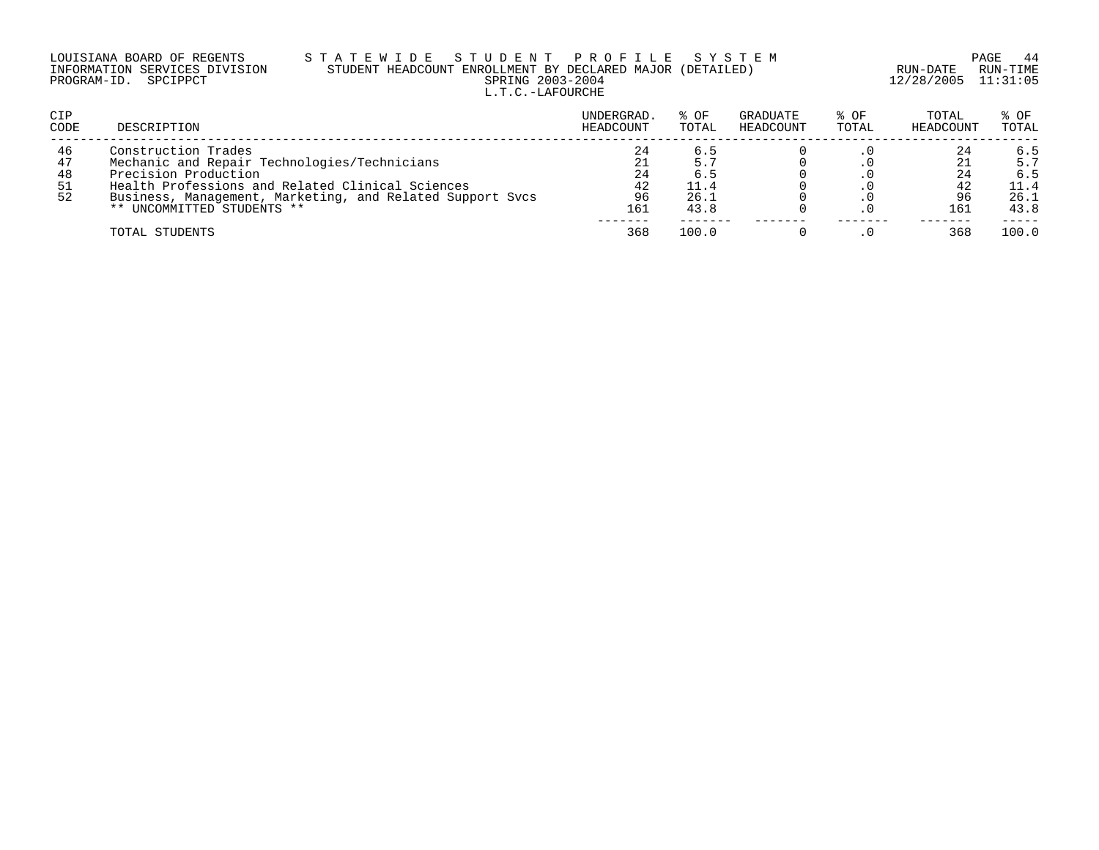|                      | LOUISIANA BOARD OF REGENTS    | STATEWIDE |  |  |                 |  |
|----------------------|-------------------------------|-----------|--|--|-----------------|--|
|                      | INFORMATION SERVICES DIVISION |           |  |  | STUDENT HEADCOL |  |
| PROGRAM-ID. SPCIPPCT |                               |           |  |  |                 |  |

### LOUISIANA BOARD OF REGENTS S T A T E W I D E S T U D E N T P R O F I L E S Y S T E M PAGE 44 INFORMATION SERVICES DIVISION STUDENT HEADCOUNT ENROLLMENT BY DECLARED MAJOR (DETAILED) RUN-DATE RUN-TIME UDENT PROFILE SYSTEM PAGE 44<br>ROLLMENT BY DECLARED MAJOR (DETAILED) RUN-DATE RUN-TIME<br>SPRING 2003-2004 12/28/2005 11:31:05 L.T.C.-LAFOURCHE

| CIP<br>CODE                | DESCRIPTION                                                                                                                                                                                                                                | UNDERGRAD.<br>HEADCOUNT           | % OF<br>TOTAL                      | GRADUATE<br>HEADCOUNT | % OF<br>TOTAL | TOTAL<br>HEADCOUNT    | % OF<br>TOTAL                             |
|----------------------------|--------------------------------------------------------------------------------------------------------------------------------------------------------------------------------------------------------------------------------------------|-----------------------------------|------------------------------------|-----------------------|---------------|-----------------------|-------------------------------------------|
| 46<br>47<br>48<br>51<br>52 | Construction Trades<br>Mechanic and Repair Technologies/Technicians<br>Precision Production<br>Health Professions and Related Clinical Sciences<br>Business, Management, Marketing, and Related Support Sycs<br>** UNCOMMITTED STUDENTS ** | 24<br>21<br>24<br>42<br>96<br>161 | 6.5<br>6.5<br>11.4<br>26.1<br>43.8 |                       |               | 24<br>42<br>96<br>161 | 6.5<br>5.7<br>6.5<br>11.4<br>26.1<br>43.8 |
|                            | TOTAL STUDENTS                                                                                                                                                                                                                             | 368                               | 100.0                              |                       |               | 368                   | 100.0                                     |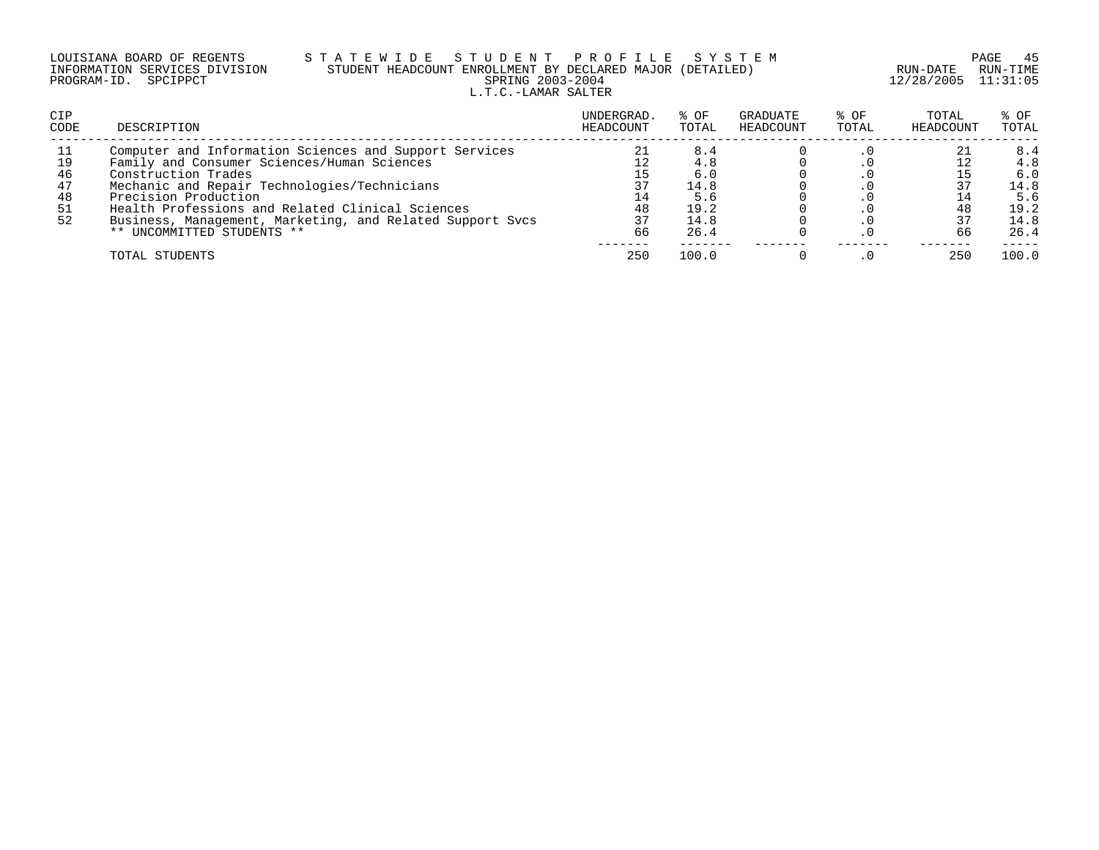|                      | LOUISIANA BOARD OF REGENTS    |
|----------------------|-------------------------------|
|                      | INFORMATION SERVICES DIVISION |
| PROGRAM-ID. SPCIPPCT |                               |

## S T A T E W I D E S T U D E N T P R O F I L E S Y S T E M PAGE 45 PAGE 45 STUDENT HEADCOUNT ENROLLMENT BY DECLARED MAJOR (DETAILED) STUDENT HEADCOUNT ENROLLMENT BY DECLARED MAJOR (DETAILED)<br>SPRING 2003-2004 L.T.C.-LAMAR SALTER

12/28/2005 11:31:05

| <b>CIP</b><br>CODE               | DESCRIPTION                                                                                                                                                                                                                                                                                                                                         | UNDERGRAD.<br>HEADCOUNT                | % OF<br>TOTAL                                            | GRADUATE<br>HEADCOUNT | % OF<br>TOTAL | TOTAL<br>HEADCOUNT | % OF<br>TOTAL                                            |
|----------------------------------|-----------------------------------------------------------------------------------------------------------------------------------------------------------------------------------------------------------------------------------------------------------------------------------------------------------------------------------------------------|----------------------------------------|----------------------------------------------------------|-----------------------|---------------|--------------------|----------------------------------------------------------|
| 19<br>46<br>47<br>48<br>51<br>52 | Computer and Information Sciences and Support Services<br>Family and Consumer Sciences/Human Sciences<br>Construction Trades<br>Mechanic and Repair Technologies/Technicians<br>Precision Production<br>Health Professions and Related Clinical Sciences<br>Business, Management, Marketing, and Related Support Svcs<br>** UNCOMMITTED STUDENTS ** | 21<br>12<br>15<br>14<br>48<br>37<br>66 | 8.4<br>4.8<br>6.0<br>14.8<br>5.6<br>19.2<br>14.8<br>26.4 |                       |               | 48<br>37<br>66     | 8.4<br>4.8<br>6.0<br>14.8<br>5.6<br>19.2<br>14.8<br>26.4 |
|                                  | TOTAL STUDENTS                                                                                                                                                                                                                                                                                                                                      | 250                                    | 100.0                                                    |                       |               | 250                | 100.0                                                    |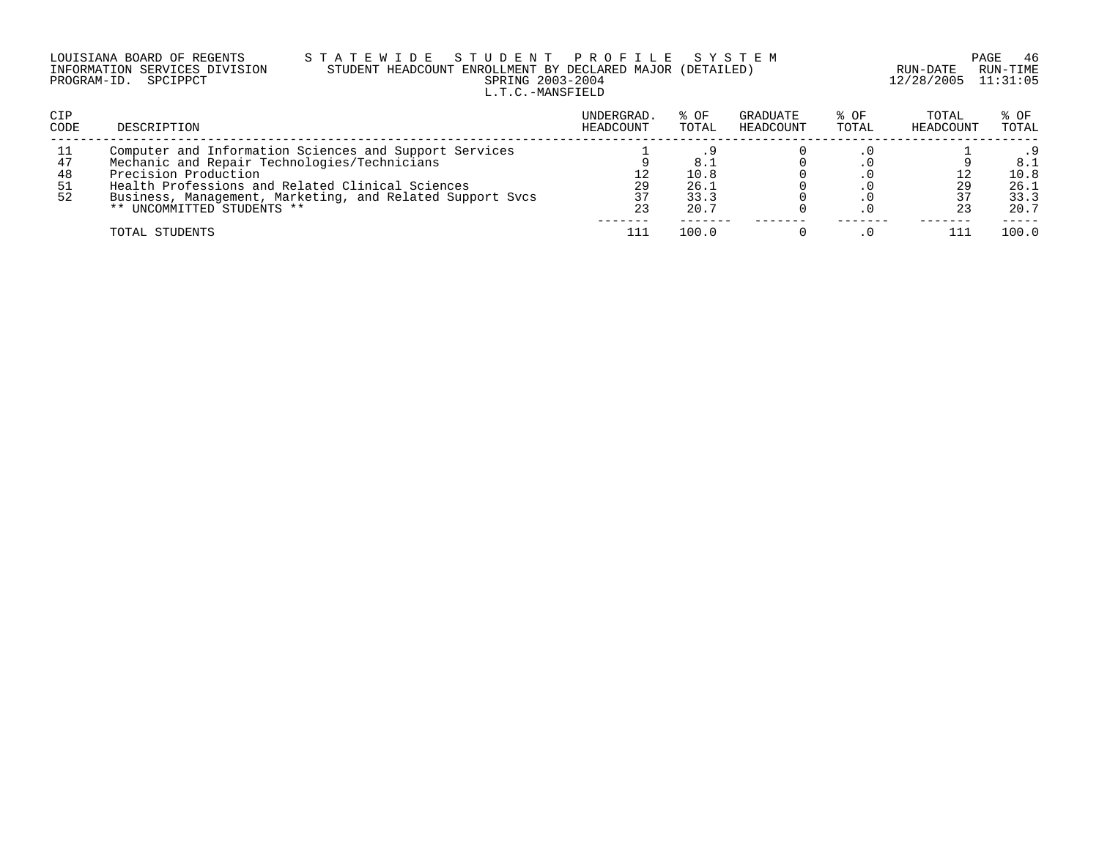| LOUISIANA BOARD OF REGENTS    | STATEWIDE STUDENT PROFILE SYSTEM                          |                         | PAGE 46  |
|-------------------------------|-----------------------------------------------------------|-------------------------|----------|
| INFORMATION SERVICES DIVISION | STUDENT HEADCOUNT ENROLLMENT BY DECLARED MAJOR (DETAILED) | RUN-DATE                | RUN-TIME |
| PROGRAM-ID. SPCIPPCT          | SPRING 2003-2004                                          | $12/28/2005$ $11:31:05$ |          |
|                               | L.T.C.-MANSFIELD                                          |                         |          |

| <b>CIP</b><br><b>CODE</b> | DESCRIPTION                                                                                                                                                                                                                                                                   | UNDERGRAD.<br>HEADCOUNT | % OF<br>TOTAL                       | GRADUATE<br>HEADCOUNT | % OF<br>TOTAL | TOTAL<br>HEADCOUNT | % OF<br>TOTAL                       |
|---------------------------|-------------------------------------------------------------------------------------------------------------------------------------------------------------------------------------------------------------------------------------------------------------------------------|-------------------------|-------------------------------------|-----------------------|---------------|--------------------|-------------------------------------|
| 47<br>48<br>-51<br>52     | Computer and Information Sciences and Support Services<br>Mechanic and Repair Technologies/Technicians<br>Precision Production<br>Health Professions and Related Clinical Sciences<br>Business, Management, Marketing, and Related Support Sycs<br>** UNCOMMITTED STUDENTS ** | 29<br>37<br>23          | 8.1<br>10.8<br>26.1<br>33.3<br>20.7 |                       |               | 29                 | 8.1<br>10.8<br>26.1<br>33.3<br>20.7 |
|                           | TOTAL STUDENTS                                                                                                                                                                                                                                                                |                         | 100.0                               |                       |               |                    | 100.0                               |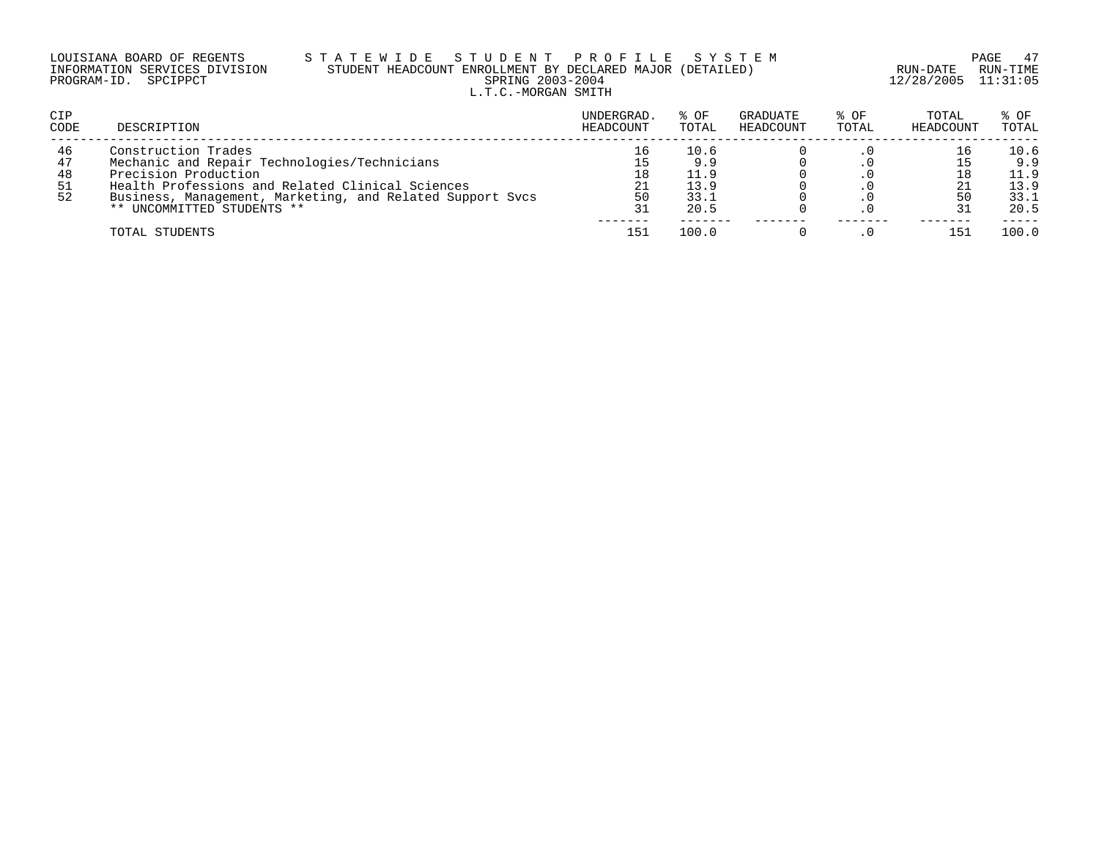| LOUISIANA BOARD OF REGENTS    | STATEWIDE STUDENT PROFILE SYSTEM                          |                     | PAGE 47  |
|-------------------------------|-----------------------------------------------------------|---------------------|----------|
| INFORMATION SERVICES DIVISION | STUDENT HEADCOUNT ENROLLMENT BY DECLARED MAJOR (DETAILED) | RUN-DATE            | RUN-TIME |
| PROGRAM-ID. SPCIPPCT          | SPRING 2003-2004                                          | 12/28/2005 11:31:05 |          |
|                               | L.T.C.-MORGAN SMITH                                       |                     |          |

| CIP<br><b>CODE</b>         | DESCRIPTION                                                                                                                                                                                                                                | UNDERGRAD.<br>HEADCOUNT | % OF<br>TOTAL                               | GRADUATE<br>HEADCOUNT | % OF<br>TOTAL | TOTAL<br>HEADCOUNT | % OF<br>TOTAL                               |
|----------------------------|--------------------------------------------------------------------------------------------------------------------------------------------------------------------------------------------------------------------------------------------|-------------------------|---------------------------------------------|-----------------------|---------------|--------------------|---------------------------------------------|
| 46<br>47<br>48<br>51<br>52 | Construction Trades<br>Mechanic and Repair Technologies/Technicians<br>Precision Production<br>Health Professions and Related Clinical Sciences<br>Business, Management, Marketing, and Related Support Svcs<br>** UNCOMMITTED STUDENTS ** | 18<br>21<br>50<br>31    | 10.6<br>9.9<br>11.9<br>13.9<br>33.1<br>20.5 |                       |               | 50                 | 10.6<br>9.9<br>11.9<br>13.9<br>33.1<br>20.5 |
|                            | TOTAL STUDENTS                                                                                                                                                                                                                             | 151                     | 100.0                                       |                       |               | 151                | 100.0                                       |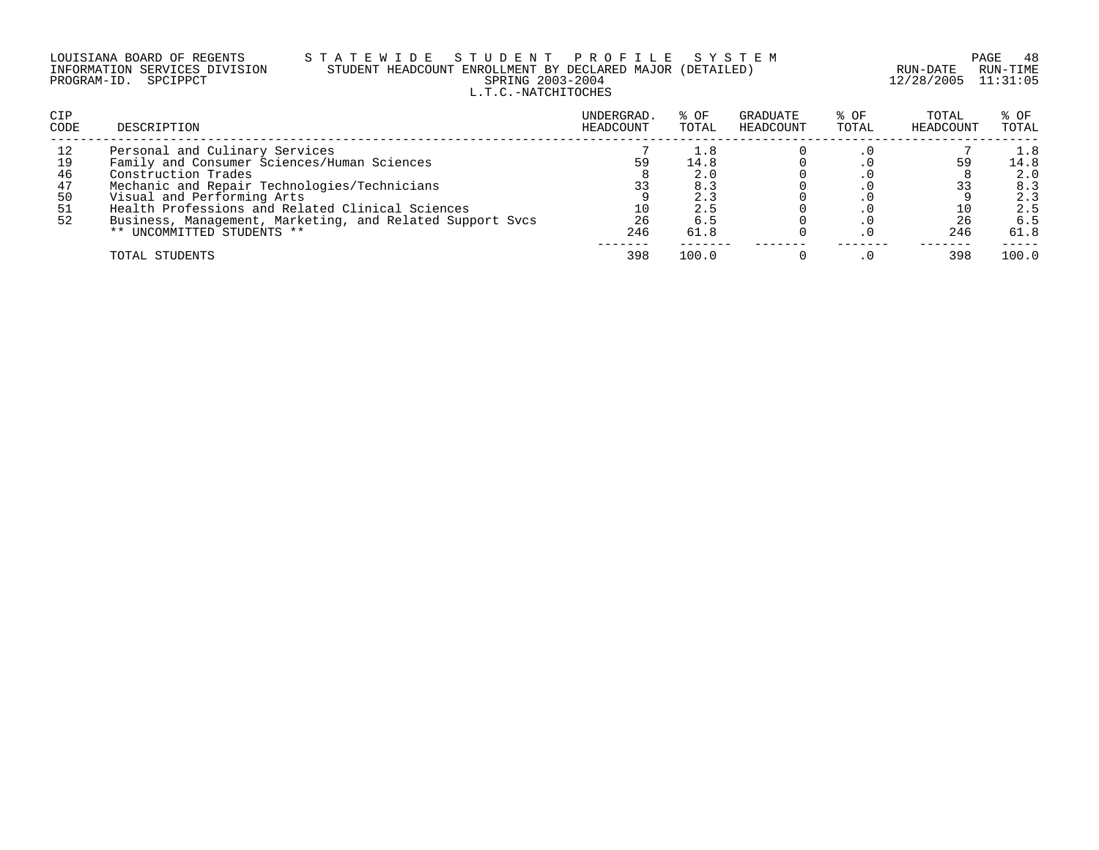### LOUISIANA BOARD OF REGENTS S T A T E W I D E S T U D E N T P R O F I L E S Y S T E M PAGE 48 INFORMATION SERVICES DIVISION STUDENT HEADCOUNT ENROLLMENT BY DECLARED MAJOR (DETAILED) RUN-DATE RUN-TIME PROGRAM-ID. SPCIPPCT SPRING 2003-2004 12/28/2005 11:31:05 L.T.C.-NATCHITOCHES

| <b>CIP</b><br>CODE | DESCRIPTION                                               | UNDERGRAD.<br>HEADCOUNT | % OF<br>TOTAL | GRADUATE<br>HEADCOUNT | % OF<br>TOTAL | TOTAL<br>HEADCOUNT | % OF<br>TOTAL |
|--------------------|-----------------------------------------------------------|-------------------------|---------------|-----------------------|---------------|--------------------|---------------|
| 12                 | Personal and Culinary Services                            |                         | 1.8           |                       |               |                    | 1.8           |
| 19                 | Family and Consumer Sciences/Human Sciences               | 59                      | 14.8          |                       |               | 59                 | 14.8          |
| 46                 | Construction Trades                                       |                         | 2.0           |                       |               |                    | 2.0           |
| 47                 | Mechanic and Repair Technologies/Technicians              | 33                      | 8.3           |                       |               |                    | 8.3           |
| 50                 | Visual and Performing Arts                                |                         | 2.3           |                       |               |                    | 2.3           |
| 51                 | Health Professions and Related Clinical Sciences          |                         | 2.5           |                       |               |                    | 2.5           |
| 52                 | Business, Management, Marketing, and Related Support Svcs | 26                      | 6.5           |                       |               | 26                 | 6.5           |
|                    | ** UNCOMMITTED STUDENTS **                                | 246                     | 61.8          |                       |               | 246                | 61.8          |
|                    | TOTAL STUDENTS                                            | 398                     | 100.0         |                       |               | 398                | 100.0         |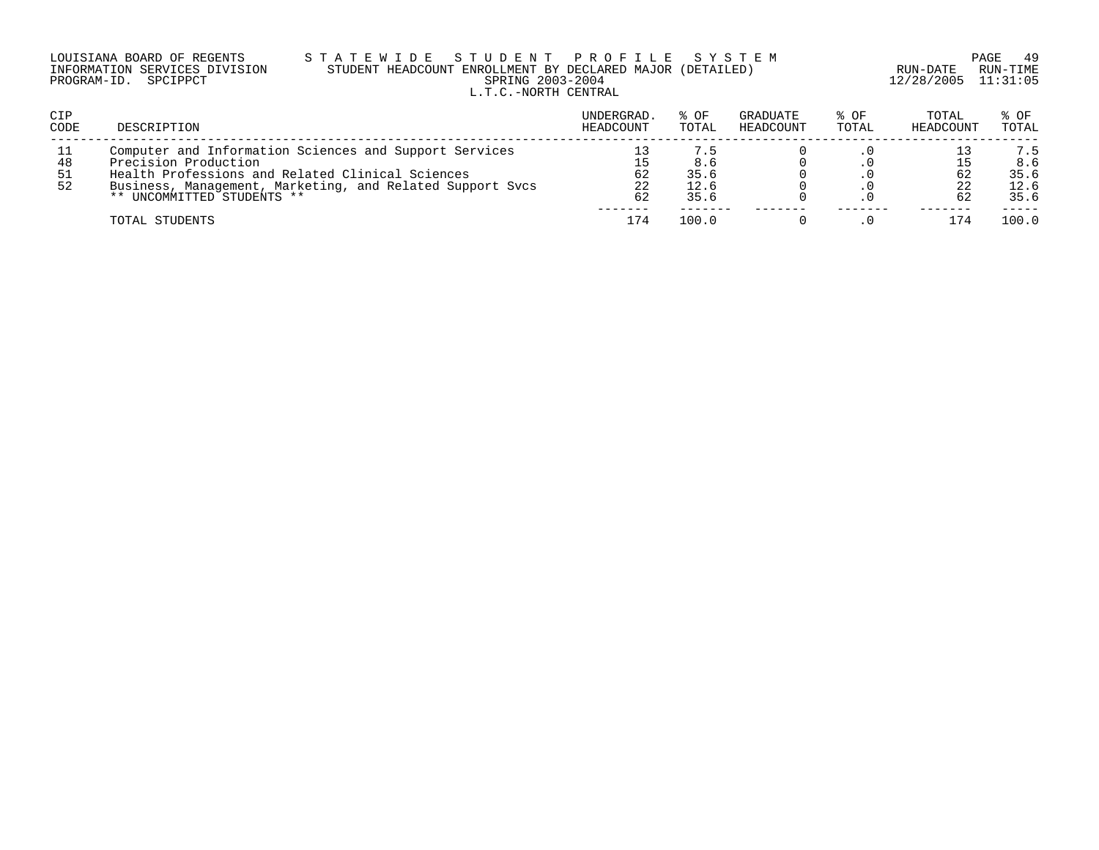| LOUISIANA BOARD OF REGENTS    | STATEWIDE STUDENT PROFILE SYSTEM                          |                     | - 49<br>PAGE |
|-------------------------------|-----------------------------------------------------------|---------------------|--------------|
| INFORMATION SERVICES DIVISION | STUDENT HEADCOUNT ENROLLMENT BY DECLARED MAJOR (DETAILED) | RUN-DATE            | RUN-TIME     |
| PROGRAM-ID. SPCIPPCT          | SPRING 2003-2004                                          | 12/28/2005 11:31:05 |              |
|                               | L.T.C.-NORTH CENTRAL                                      |                     |              |

| CIP<br><b>CODE</b>     | DESCRIPTION                                                                                                                                                                                                                   | UNDERGRAD.<br>HEADCOUNT | % OF<br>TOTAL                      | GRADUATE<br>HEADCOUNT | % OF<br>TOTAL | TOTAL<br>HEADCOUNT | % OF<br>TOTAL                      |
|------------------------|-------------------------------------------------------------------------------------------------------------------------------------------------------------------------------------------------------------------------------|-------------------------|------------------------------------|-----------------------|---------------|--------------------|------------------------------------|
| -11<br>48<br>-51<br>52 | Computer and Information Sciences and Support Services<br>Precision Production<br>Health Professions and Related Clinical Sciences<br>Business, Management, Marketing, and Related Support Sycs<br>** UNCOMMITTED STUDENTS ** | 15<br>62<br>22<br>62    | 7.5<br>8.6<br>35.6<br>12.6<br>35.6 |                       |               | 62                 | 7.5<br>8.6<br>35.6<br>12.6<br>35.6 |
|                        | TOTAL STUDENTS                                                                                                                                                                                                                | 174                     | 100.0                              |                       |               |                    | 100.0                              |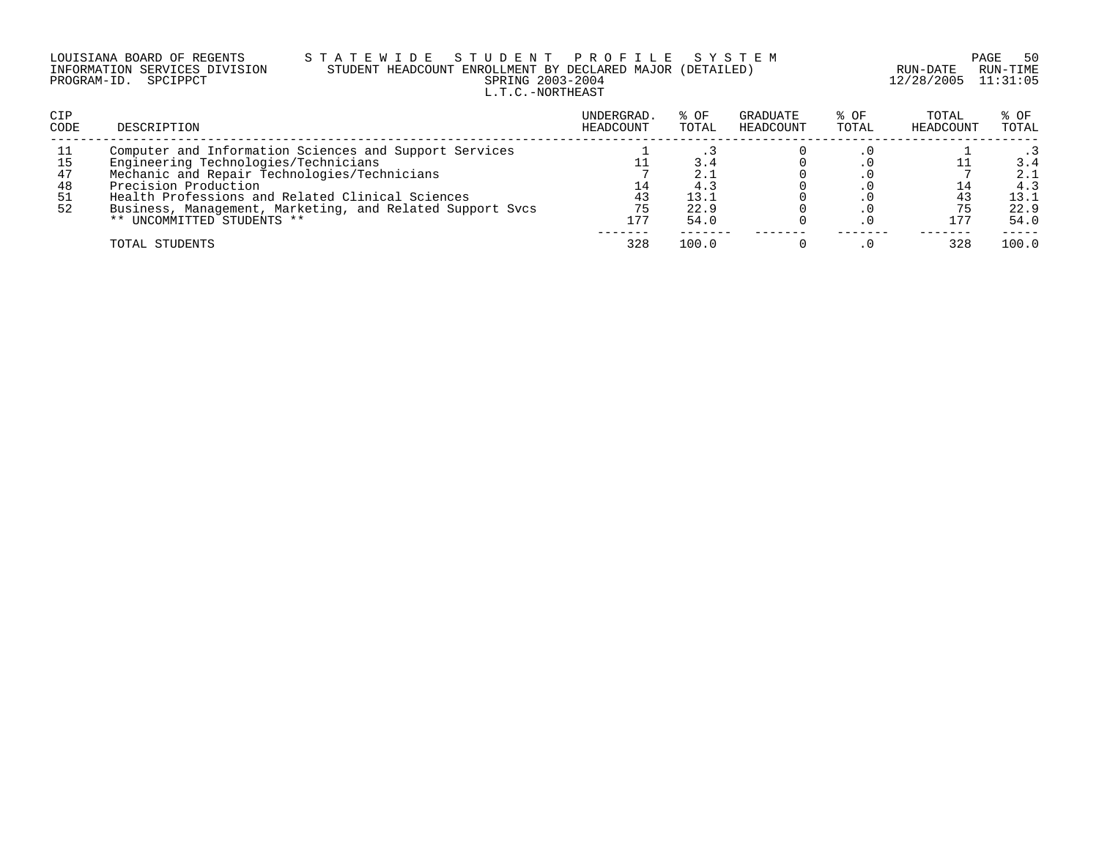|                      | LOUISIANA BOARD OF REGENTS    |  |
|----------------------|-------------------------------|--|
|                      | INFORMATION SERVICES DIVISION |  |
| PROGRAM-ID. SPCIPPCT |                               |  |

### LOUISIANA BOARD OF REGENTS S T A T E W I D E S T U D E N T P R O F I L E S Y S T E M PAGE 50 INFORMATION SERVICES DIVISION STUDENT HEADCOUNT ENROLLMENT BY DECLARED MAJOR (DETAILED) RUN-DATE RUN-TIME PRING 2003-2004 12/28/2005 11:31:05 L.T.C.-NORTHEAST

| <b>CIP</b><br>CODE | DESCRIPTION                                               | UNDERGRAD.<br>HEADCOUNT | % OF<br>TOTAL | GRADUATE<br>HEADCOUNT | % OF<br>TOTAL | TOTAL<br>HEADCOUNT | $8$ OF<br>TOTAL |
|--------------------|-----------------------------------------------------------|-------------------------|---------------|-----------------------|---------------|--------------------|-----------------|
| 11                 | Computer and Information Sciences and Support Services    |                         |               |                       |               |                    |                 |
| -15                | Engineering Technologies/Technicians                      |                         |               |                       |               |                    | 3.4             |
| 47                 | Mechanic and Repair Technologies/Technicians              |                         | 2.1           |                       |               |                    | 2.1             |
| 48                 | Precision Production                                      |                         | 4.3           |                       |               |                    | 4.3             |
| 51                 | Health Professions and Related Clinical Sciences          | 43                      | 13.1          |                       |               |                    | 13.1            |
| 52                 | Business, Management, Marketing, and Related Support Svcs | 75                      | 22.9          |                       |               |                    | 22.9            |
|                    | ** UNCOMMITTED STUDENTS **                                | 177                     | 54.0          |                       |               | 177                | 54.0            |
|                    | TOTAL STUDENTS                                            | 328                     | 100.0         |                       |               |                    | 100.0           |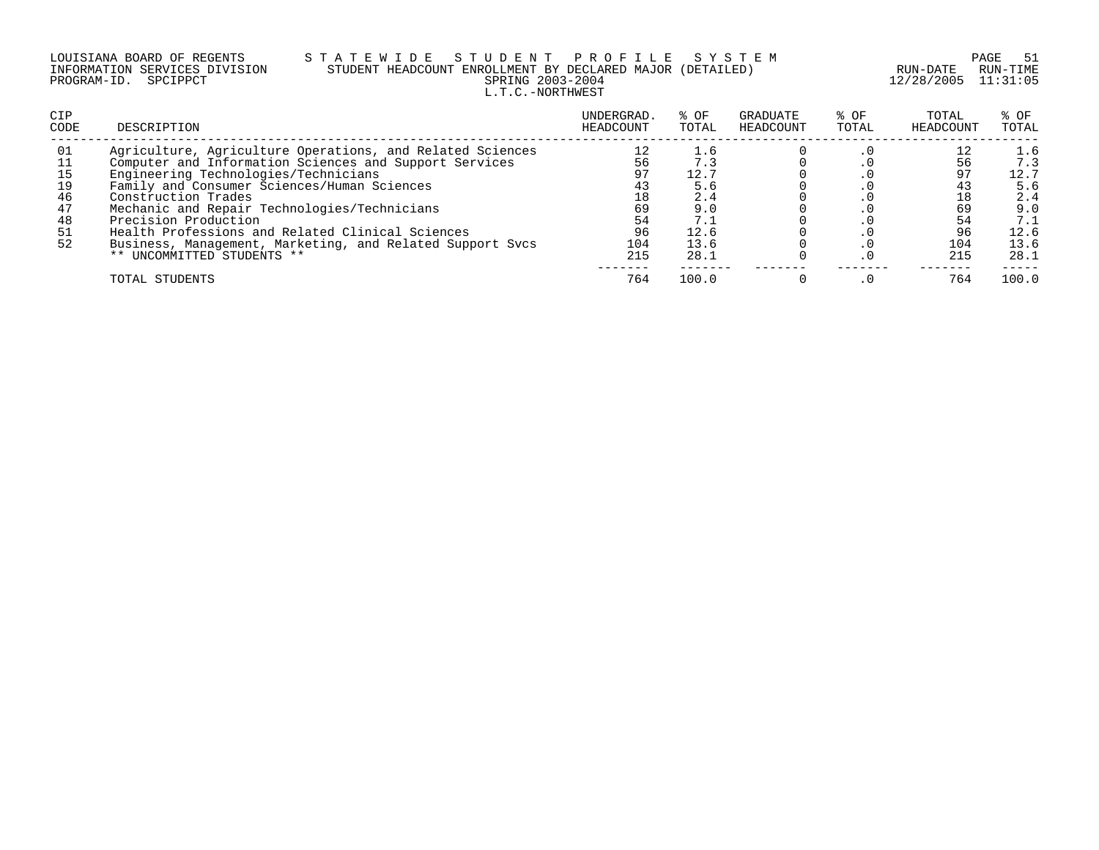### LOUISIANA BOARD OF REGENTS S T A T E W I D E S T U D E N T P R O F I L E S Y S T E M PAGE 51 INFORMATION SERVICES DIVISION STUDENT HEADCOUNT ENROLLMENT BY DECLARED MAJOR (DETAILED) RUN-DATE RUN-TIME PROGRAM-ID. SPCIPPCT SPRING 2003-2004 12/28/2005 11:31:05 L.T.C.-NORTHWEST

| <b>CIP</b><br>CODE | DESCRIPTION                                               | UNDERGRAD.<br>HEADCOUNT | % OF<br>TOTAL | GRADUATE<br>HEADCOUNT | % OF<br>TOTAL | TOTAL<br>HEADCOUNT | $8$ OF<br>TOTAL |
|--------------------|-----------------------------------------------------------|-------------------------|---------------|-----------------------|---------------|--------------------|-----------------|
| 01                 | Agriculture, Agriculture Operations, and Related Sciences |                         | 1.6           |                       |               |                    | 1.6             |
| 11                 | Computer and Information Sciences and Support Services    | 56                      | 7.3           |                       |               | 56                 | 7.3             |
| 15                 | Engineering Technologies/Technicians                      | 97                      | 12.7          |                       |               | 97                 | 12.7            |
| 19                 | Family and Consumer Sciences/Human Sciences               | 43                      | 5.6           |                       |               |                    | 5.6             |
| 46                 | Construction Trades                                       | 18                      | 2.4           |                       |               | 18                 | 2.4             |
| 47                 | Mechanic and Repair Technologies/Technicians              | 69                      | 9.0           |                       |               | 69                 | 9.0             |
| 48                 | Precision Production                                      | 54                      | 7.1           |                       |               | 54                 | 7.1             |
| 51                 | Health Professions and Related Clinical Sciences          | 96                      | 12.6          |                       |               | 96                 | 12.6            |
| 52                 | Business, Management, Marketing, and Related Support Svcs | 104                     | 13.6          |                       |               | 104                | 13.6            |
|                    | ** UNCOMMITTED STUDENTS **                                | 215                     | 28.1          |                       |               | 215                | 28.1            |
|                    | TOTAL STUDENTS                                            | 764                     | 100.0         |                       |               | 764                | 100.0           |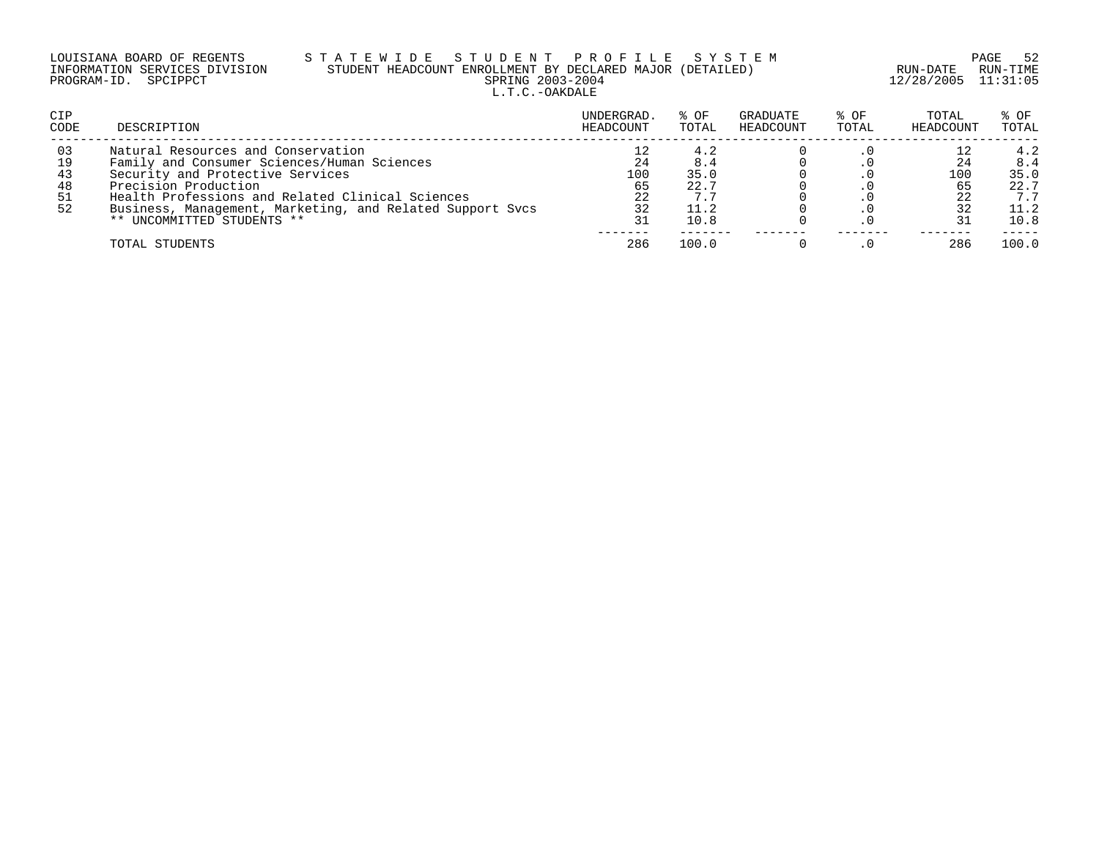|                      | LOUISIANA BOARD OF REGENTS    | STATEW |           |  |  |
|----------------------|-------------------------------|--------|-----------|--|--|
|                      | INFORMATION SERVICES DIVISION |        | STUDENT I |  |  |
| PROGRAM-ID. SPCIPPCT |                               |        |           |  |  |

### LOUISIANA BOARD OF REGENTS S T A T E W I D E S T U D E N T P R O F I L E S Y S T E M PAGE 52 INFORMATION SERVICES DIVISION STUDENT HEADCOUNT ENROLLMENT BY DECLARED MAJOR (DETAILED) RUN-DATE RUN-TIME PRING 2003-2004 12/28/2005 11:31:05 L.T.C.-OAKDALE

| CIP<br>CODE | DESCRIPTION                                               | UNDERGRAD.<br>HEADCOUNT | % OF<br>TOTAL | GRADUATE<br>HEADCOUNT | % OF<br>TOTAL | TOTAL<br>HEADCOUNT | % OF<br>TOTAL |
|-------------|-----------------------------------------------------------|-------------------------|---------------|-----------------------|---------------|--------------------|---------------|
| 03          | Natural Resources and Conservation                        |                         | 4.2           |                       |               |                    | 4.2           |
| 19          | Family and Consumer Sciences/Human Sciences               | 24                      | 8.4           |                       |               |                    | 8.4           |
| 43          | Security and Protective Services                          | 100                     | 35.0          |                       |               | 100                | 35.0          |
| 48          | Precision Production                                      | 65                      | 22.7          |                       |               |                    | 22.7          |
|             | Health Professions and Related Clinical Sciences          | 22                      |               |                       |               |                    | 7.7           |
| 52          | Business, Management, Marketing, and Related Support Svcs | 32                      | 11.2          |                       |               |                    | 11.2          |
|             | ** UNCOMMITTED STUDENTS **                                | 31                      | 10.8          |                       |               |                    | 10.8          |
|             | TOTAL STUDENTS                                            | 286                     | 100.0         |                       |               | 286                | 100.0         |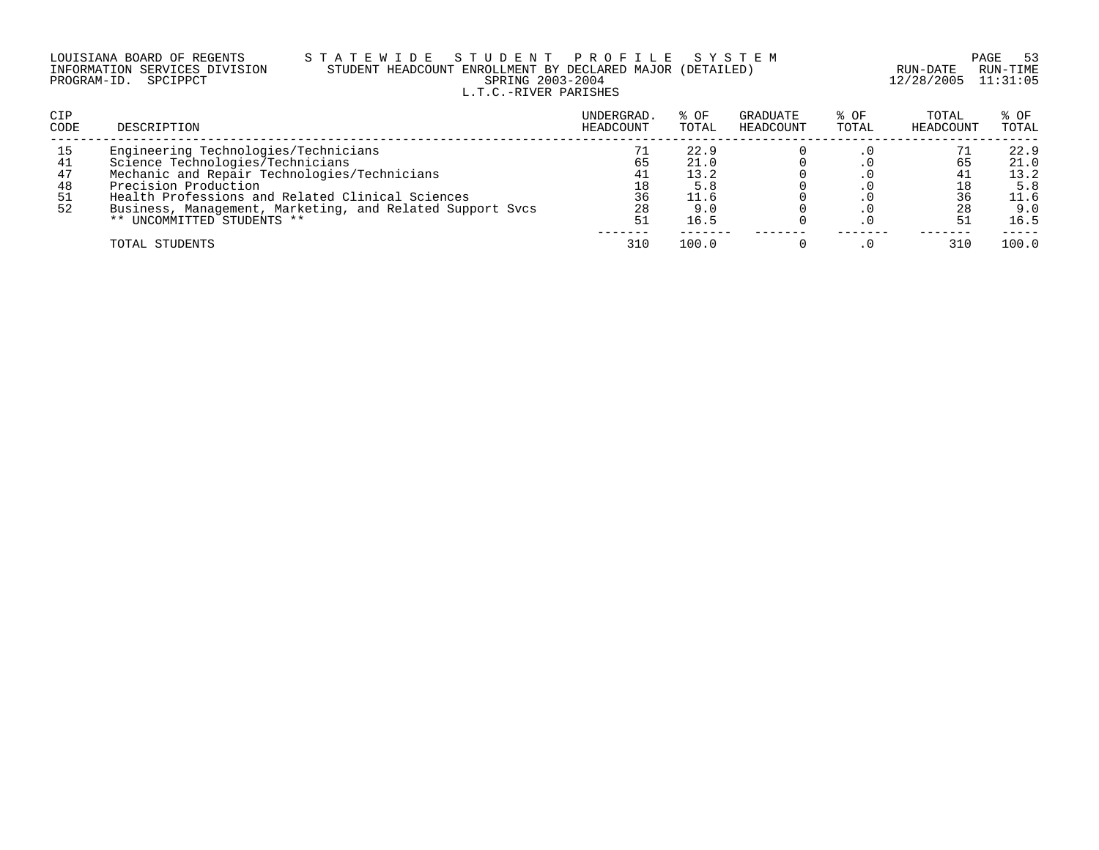|                      | LOUISIANA BOARD OF REGENTS    |
|----------------------|-------------------------------|
|                      | INFORMATION SERVICES DIVISION |
| PROGRAM-ID. SPCIPPCT |                               |

### LOUISIANA BOARD OF REGENTS S T A T E W I D E S T U D E N T P R O F I L E S Y S T E M PAGE 53 INFORMATION SERVICES DIVISION STUDENT HEADCOUNT ENROLLMENT BY DECLARED MAJOR (DETAILED) RUN-DATE RUN-TIME PRING 2003-2004 12/28/2005 11:31:05 L.T.C.-RIVER PARISHES

| <b>CIP</b><br>CODE | DESCRIPTION                                               | UNDERGRAD.<br>HEADCOUNT | $8$ OF<br>TOTAL | GRADUATE<br>HEADCOUNT | % OF<br>TOTAL | TOTAL<br>HEADCOUNT | % OF<br>TOTAL |
|--------------------|-----------------------------------------------------------|-------------------------|-----------------|-----------------------|---------------|--------------------|---------------|
| 15                 | Engineering Technologies/Technicians                      |                         | 22.9            |                       |               |                    | 22.9          |
| 41                 | Science Technologies/Technicians                          | 65                      | 21.0            |                       |               | 65                 | 21.0          |
| 47                 | Mechanic and Repair Technologies/Technicians              | 41                      | 13.2            |                       |               |                    | 13.2          |
| 48                 | Precision Production                                      |                         | 5.8             |                       |               |                    | 5.8           |
| 51                 | Health Professions and Related Clinical Sciences          | 36                      | 11.6            |                       |               |                    | 11.6          |
| 52                 | Business, Management, Marketing, and Related Support Svcs | 28                      | 9.0             |                       |               | 28                 | 9.0           |
|                    | ** UNCOMMITTED STUDENTS **                                | 51                      | 16.5            |                       |               |                    | 16.5          |
|                    | TOTAL STUDENTS                                            | 310                     | 100.0           |                       |               |                    | 100.0         |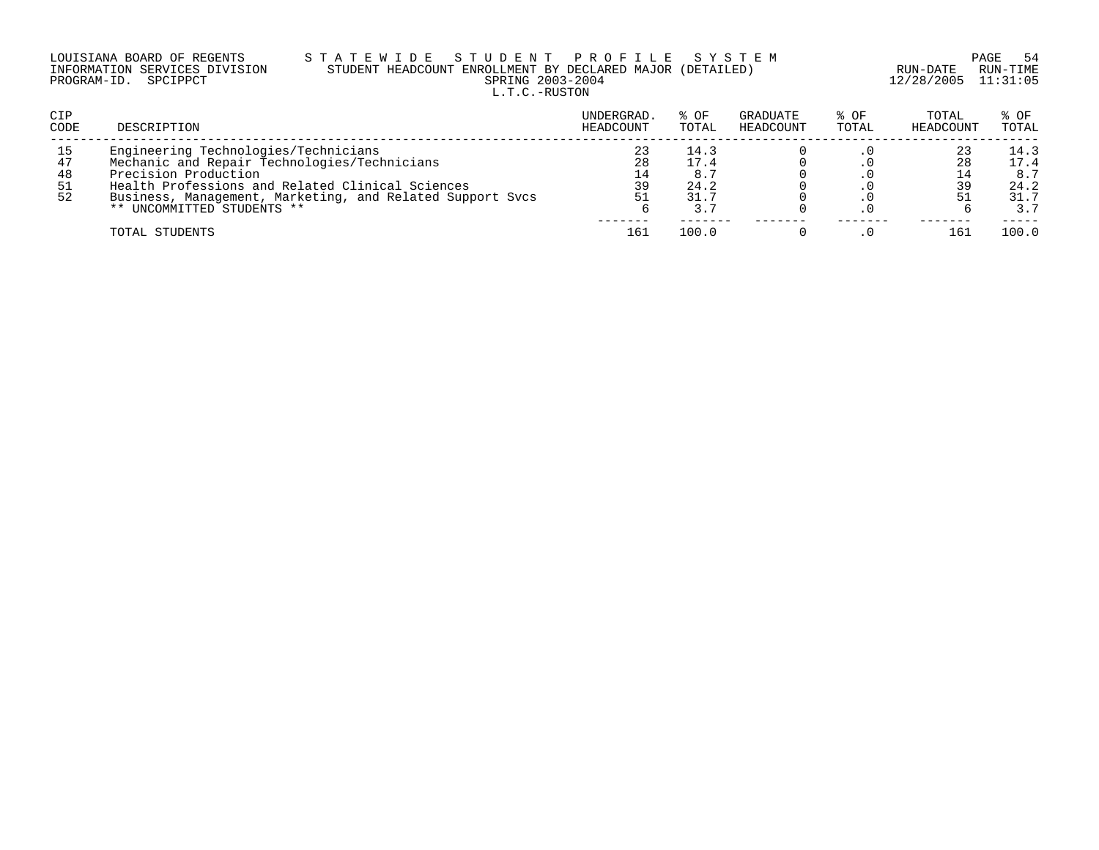| LOUISIANA BOARD OF REGENTS    |  |  |  |
|-------------------------------|--|--|--|
| INFORMATION SERVICES DIVISION |  |  |  |
| PROGRAM-ID. SPCIPPCT          |  |  |  |

### LOUISIANA BOARD OF REGENTS S T A T E W I D E S T U D E N T P R O F I L E S Y S T E M PAGE 54 INFORMATION SERVICES DIVISION STUDENT HEADCOUNT ENROLLMENT BY DECLARED MAJOR (DETAILED) RUN-DATE RUN-TIME PRING 2003-2004 12/28/2005 11:31:05 L.T.C.-RUSTON

| CIP<br>CODE                 | DESCRIPTION                                                                                                                                                                                                                                                 | UNDERGRAD.<br>HEADCOUNT | % OF<br>TOTAL                       | GRADUATE<br>HEADCOUNT | $8$ OF<br>TOTAL | TOTAL<br>HEADCOUNT | $8$ OF<br>TOTAL                            |
|-----------------------------|-------------------------------------------------------------------------------------------------------------------------------------------------------------------------------------------------------------------------------------------------------------|-------------------------|-------------------------------------|-----------------------|-----------------|--------------------|--------------------------------------------|
| 15<br>47<br>48<br>-51<br>52 | Engineering Technologies/Technicians<br>Mechanic and Repair Technologies/Technicians<br>Precision Production<br>Health Professions and Related Clinical Sciences<br>Business, Management, Marketing, and Related Support Svcs<br>** UNCOMMITTED STUDENTS ** | 23<br>28<br>39          | 14.3<br>17.4<br>24.2<br>31.7<br>3.7 |                       |                 | 28                 | 14.3<br>17.4<br>8.7<br>24.2<br>31.7<br>3.7 |
|                             | TOTAL STUDENTS                                                                                                                                                                                                                                              | 161                     | 100.0                               |                       |                 | 161                | 100.0                                      |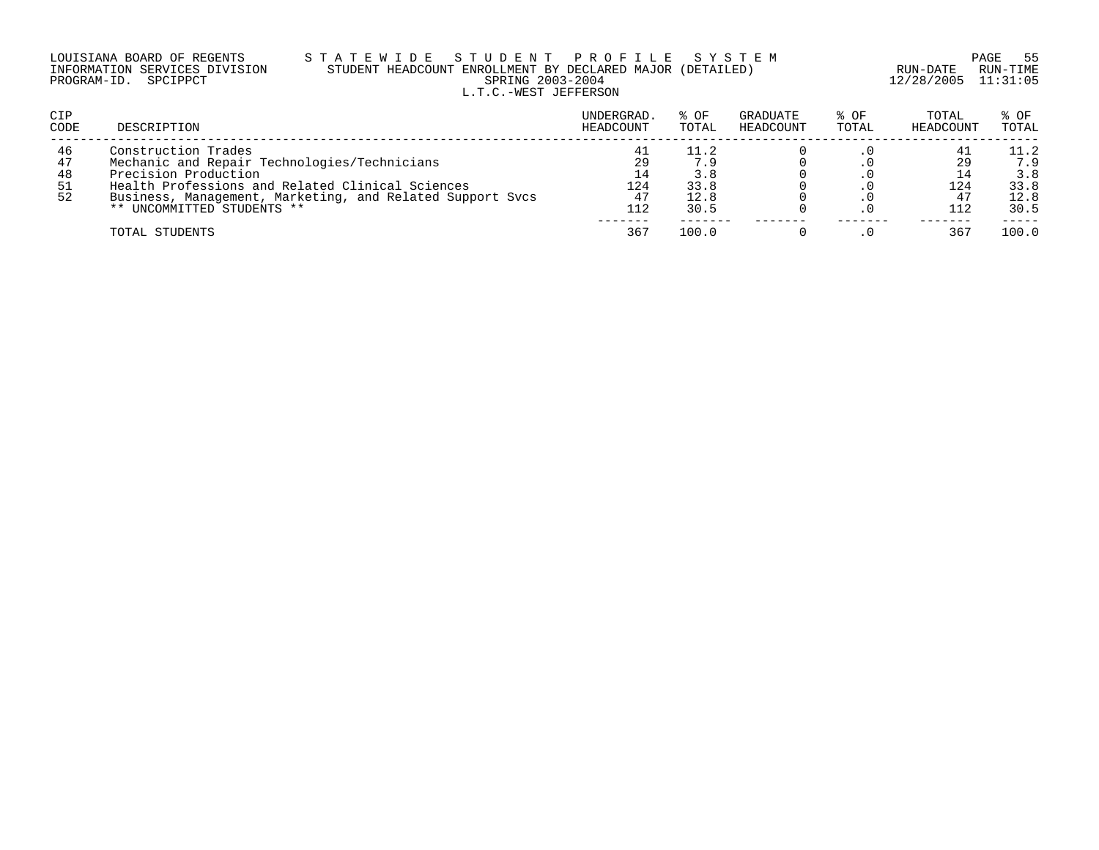| LOUISIANA BOARD OF REGENTS    |  |  |
|-------------------------------|--|--|
| INFORMATION SERVICES DIVISION |  |  |
| PROGRAM-ID. SPCIPPCT          |  |  |

### LOUISIANA BOARD OF REGENTS S T A T E W I D E S T U D E N T P R O F I L E S Y S T E M PAGE 55 INFORMATION SERVICES DIVISION STUDENT HEADCOUNT ENROLLMENT BY DECLARED MAJOR (DETAILED) RUN-DATE RUN-TIME PRING 2003-2004 12/28/2005 11:31:05 L.T.C.-WEST JEFFERSON

| <b>CIP</b><br>CODE         | DESCRIPTION                                                                                                                                                                                                                                | UNDERGRAD.<br>HEADCOUNT      | % OF<br>TOTAL                       | GRADUATE<br>HEADCOUNT | % OF<br>TOTAL | TOTAL<br>HEADCOUNT | % OF<br>TOTAL                              |
|----------------------------|--------------------------------------------------------------------------------------------------------------------------------------------------------------------------------------------------------------------------------------------|------------------------------|-------------------------------------|-----------------------|---------------|--------------------|--------------------------------------------|
| 46<br>47<br>48<br>51<br>52 | Construction Trades<br>Mechanic and Repair Technologies/Technicians<br>Precision Production<br>Health Professions and Related Clinical Sciences<br>Business, Management, Marketing, and Related Support Sycs<br>** UNCOMMITTED STUDENTS ** | 41<br>29<br>124<br>47<br>112 | 11.2<br>3.8<br>33.8<br>12.8<br>30.5 |                       |               | 124<br>112         | 11.2<br>7.9<br>3.8<br>33.8<br>12.8<br>30.5 |
|                            | TOTAL STUDENTS                                                                                                                                                                                                                             | -----<br>367                 | 100.0                               |                       |               | 36 <sup>7</sup>    | 100.0                                      |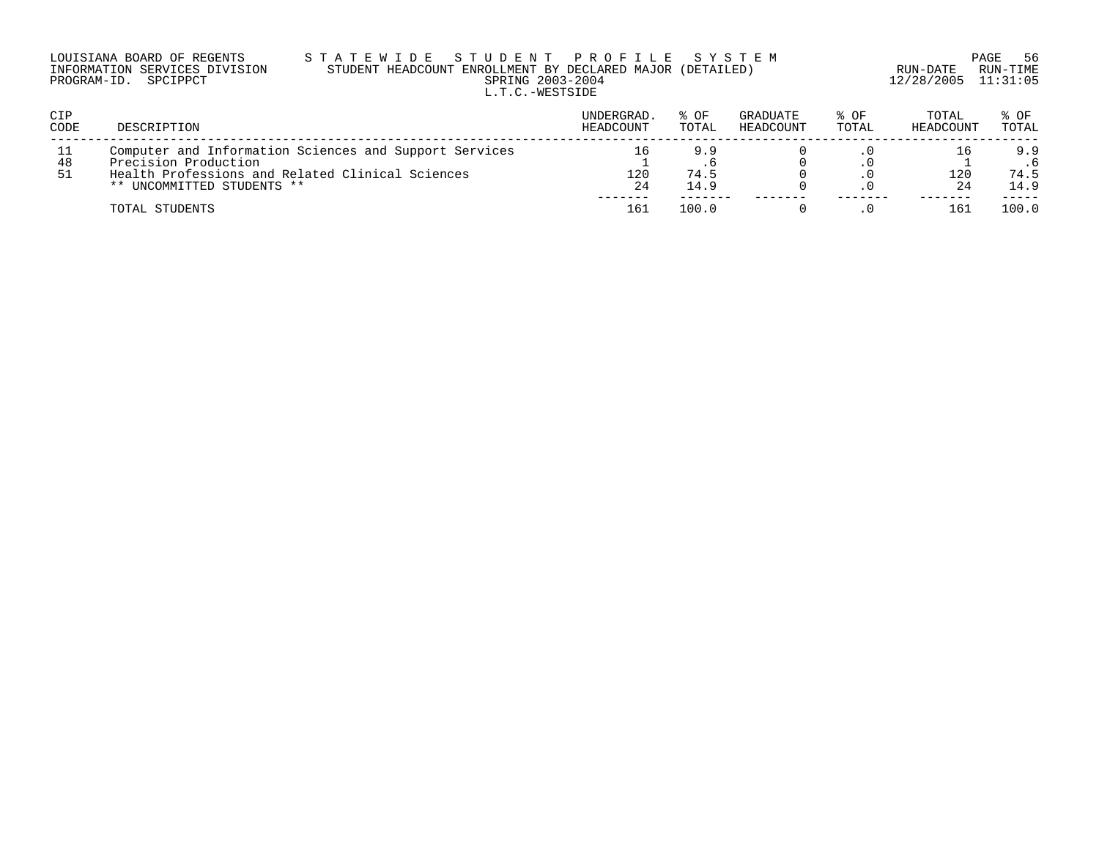| LOUISIANA BOARD OF REGENTS    | STATEWIDE STUDENT PROFILE SYSTEM                          |                         | PAGE 56  |
|-------------------------------|-----------------------------------------------------------|-------------------------|----------|
| INFORMATION SERVICES DIVISION | STUDENT HEADCOUNT ENROLLMENT BY DECLARED MAJOR (DETAILED) | RUN-DATE                | RUN-TIME |
| PROGRAM-ID. SPCIPPCT          | SPRING 2003-2004                                          | $12/28/2005$ $11:31:05$ |          |
|                               | L.T.C.-WESTSIDE                                           |                         |          |

| CIP<br><b>CODE</b> | DESCRIPTION                                                                                                                                                      | UNDERGRAD.<br>HEADCOUNT | % OF<br>TOTAL       | GRADUATE<br>HEADCOUNT | % OF<br>TOTAL | TOTAL<br>HEADCOUNT | % OF<br>TOTAL       |
|--------------------|------------------------------------------------------------------------------------------------------------------------------------------------------------------|-------------------------|---------------------|-----------------------|---------------|--------------------|---------------------|
| -11<br>48<br>-51   | Computer and Information Sciences and Support Services<br>Precision Production<br>Health Professions and Related Clinical Sciences<br>** UNCOMMITTED STUDENTS ** | 120<br>-24              | 9.9<br>74.5<br>14.9 |                       |               | 120                | 9.9<br>74.5<br>14.9 |
|                    | TOTAL STUDENTS                                                                                                                                                   | 161                     | 100.0               |                       |               | 16.                | 100.0               |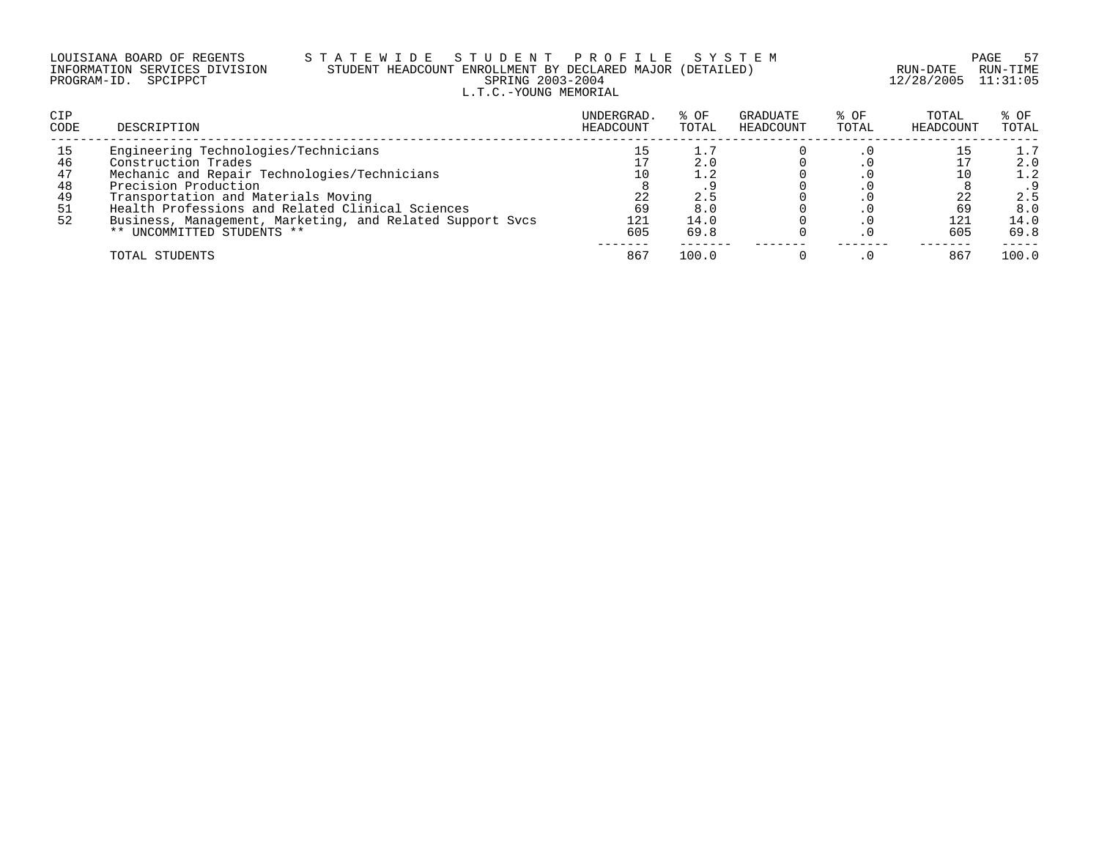### LOUISIANA BOARD OF REGENTS S T A T E W I D E S T U D E N T P R O F I L E S Y S T E M PAGE 57 INFORMATION SERVICES DIVISION STUDENT HEADCOUNT ENROLLMENT BY DECLARED MAJOR (DETAILED) RUN-DATE RUN-TIME PROGRAM-ID. SPCIPPCT SPRING 2003-2004 12/28/2005 11:31:05 L.T.C.-YOUNG MEMORIAL

| <b>CIP</b><br><b>CODE</b> | DESCRIPTION                                               | UNDERGRAD.<br>HEADCOUNT | % OF<br>TOTAL | GRADUATE<br>HEADCOUNT | $8$ OF<br>TOTAL | TOTAL<br>HEADCOUNT | $8$ OF<br>TOTAL |
|---------------------------|-----------------------------------------------------------|-------------------------|---------------|-----------------------|-----------------|--------------------|-----------------|
| 15                        | Engineering Technologies/Technicians                      | 15                      |               |                       |                 |                    | 1.7             |
| 46                        | Construction Trades                                       |                         | 2.0           |                       |                 |                    | 2.0             |
| 47                        | Mechanic and Repair Technologies/Technicians              | 10                      |               |                       |                 |                    | 1.2             |
| 48                        | Precision Production                                      |                         |               |                       |                 |                    |                 |
| 49                        | Transportation and Materials Moving                       | 22                      | 2.5           |                       |                 | 22                 | 2.5             |
| 51                        | Health Professions and Related Clinical Sciences          | 69                      | 8.0           |                       |                 | 69                 | 8.0             |
| 52                        | Business, Management, Marketing, and Related Support Sycs | 121                     | 14.0          |                       |                 | 121                | 14.0            |
|                           | ** UNCOMMITTED STUDENTS **                                | 605                     | 69.8          |                       |                 | 605                | 69.8            |
|                           | TOTAL STUDENTS                                            | 867                     | 100.0         |                       |                 | 86'                | 100.0           |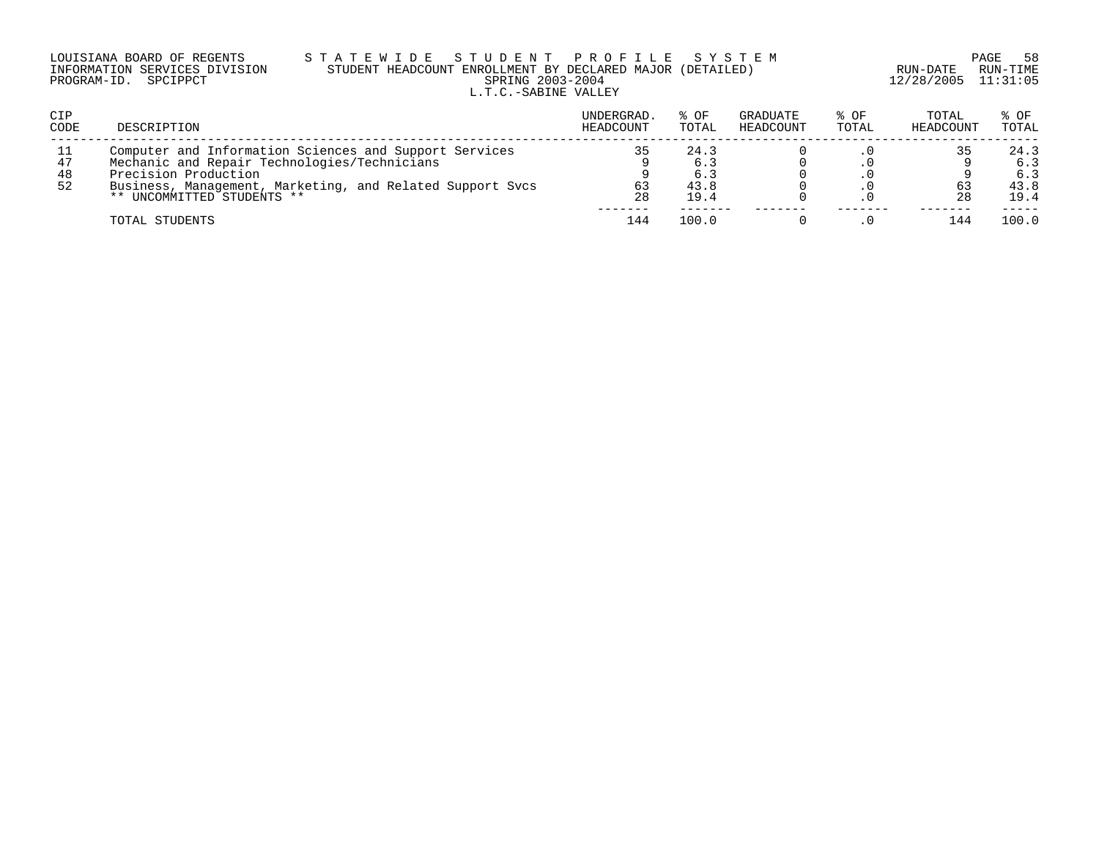| LOUISIANA BOARD OF REGENTS    | STATEWIDE STUDENT PROFILE SYSTEM                          |                     | PAGE 58  |
|-------------------------------|-----------------------------------------------------------|---------------------|----------|
| INFORMATION SERVICES DIVISION | STUDENT HEADCOUNT ENROLLMENT BY DECLARED MAJOR (DETAILED) | RUN-DATE            | RUN-TIME |
| PROGRAM-ID. SPCIPPCT          | SPRING 2003-2004                                          | 12/28/2005 11:31:05 |          |
|                               | L.T.C.-SABINE VALLEY                                      |                     |          |

| CIP<br>CODE          | DESCRIPTION                                                                                                                                                                                                               | UNDERGRAD.<br>HEADCOUNT | % OF<br>TOTAL                      | GRADUATE<br>HEADCOUNT | % OF<br>TOTAL | TOTAL<br>HEADCOUNT | % OF<br>TOTAL                      |
|----------------------|---------------------------------------------------------------------------------------------------------------------------------------------------------------------------------------------------------------------------|-------------------------|------------------------------------|-----------------------|---------------|--------------------|------------------------------------|
| 11<br>47<br>48<br>52 | Computer and Information Sciences and Support Services<br>Mechanic and Repair Technologies/Technicians<br>Precision Production<br>Business, Management, Marketing, and Related Support Sycs<br>** UNCOMMITTED STUDENTS ** | 35<br>63<br>28          | 24.3<br>6.3<br>6.3<br>43.8<br>19.4 |                       |               | 63<br>-28          | 24.3<br>6.3<br>6.3<br>43.8<br>19.4 |
|                      | TOTAL STUDENTS                                                                                                                                                                                                            | 144                     | 100.0                              |                       |               | 144                | 100.0                              |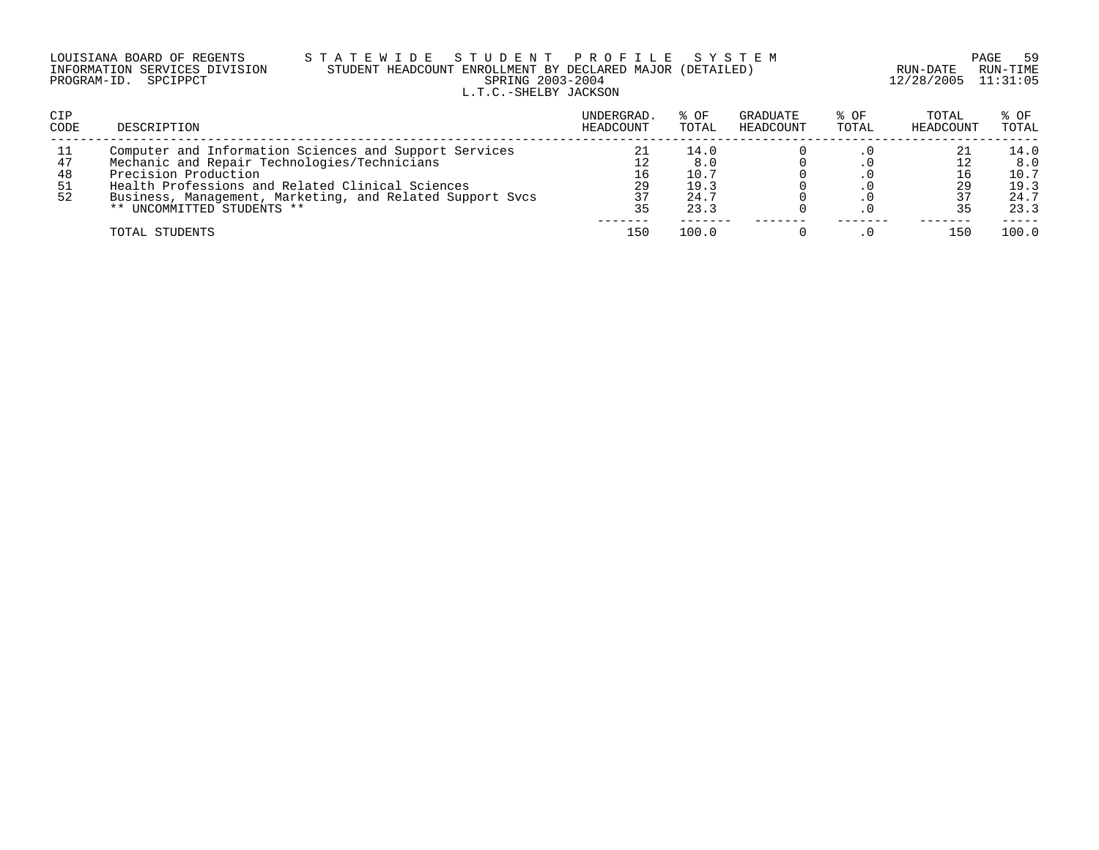|                      | LOUISIANA BOARD OF REGENTS    | STATEWID: |  |  |               |  |
|----------------------|-------------------------------|-----------|--|--|---------------|--|
|                      | INFORMATION SERVICES DIVISION |           |  |  | STUDENT HEADC |  |
| PROGRAM-ID. SPCIPPCT |                               |           |  |  |               |  |

### LOUISIANA BOARD OF REGENTS S T A T E W I D E S T U D E N T P R O F I L E S Y S T E M PAGE 59 INFORMATION SERVICES DIVISION STUDENT HEADCOUNT ENROLLMENT BY DECLARED MAJOR (DETAILED) RUN-DATE RUN-TIME PROGRAM-ID. SPCIPPCT SPRING 2003-2004 12/28/2005 11:31:05 L.T.C.-SHELBY JACKSON

| CIP<br>CODE                  | DESCRIPTION                                                                                                                                                                                                                                                                   | UNDERGRAD.<br>HEADCOUNT | % OF<br>TOTAL                               | GRADUATE<br>HEADCOUNT | % OF<br>TOTAL | TOTAL<br>HEADCOUNT | % OF<br>TOTAL                               |
|------------------------------|-------------------------------------------------------------------------------------------------------------------------------------------------------------------------------------------------------------------------------------------------------------------------------|-------------------------|---------------------------------------------|-----------------------|---------------|--------------------|---------------------------------------------|
| -11<br>47<br>48<br>-51<br>52 | Computer and Information Sciences and Support Services<br>Mechanic and Repair Technologies/Technicians<br>Precision Production<br>Health Professions and Related Clinical Sciences<br>Business, Management, Marketing, and Related Support Sycs<br>** UNCOMMITTED STUDENTS ** | 21<br>16<br>29<br>35    | 14.0<br>8.0<br>10.7<br>19.3<br>24.7<br>23.3 |                       |               | 29                 | 14.0<br>8.0<br>10.7<br>19.3<br>24.7<br>23.3 |
|                              | TOTAL STUDENTS                                                                                                                                                                                                                                                                | 150                     | 100.0                                       |                       |               | 150                | 100.0                                       |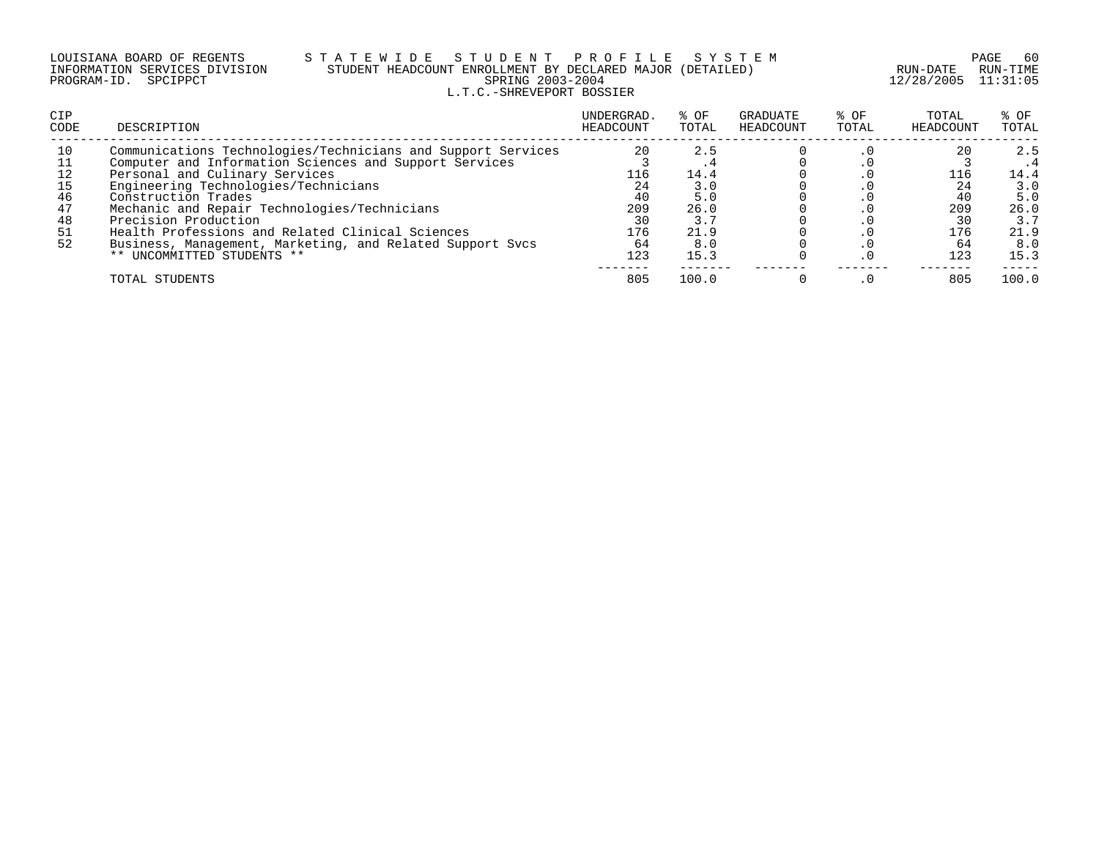### LOUISIANA BOARD OF REGENTS S T A T E W I D E S T U D E N T P R O F I L E S Y S T E M PAGE 60 INFORMATION SERVICES DIVISION STUDENT HEADCOUNT ENROLLMENT BY DECLARED MAJOR (DETAILED) RUN-DATE RUN-TIME PROGRAM-ID. SPCIPPCT SPRING 2003-2004 12/28/2005 11:31:05 L.T.C.-SHREVEPORT BOSSIER

| <b>CIP</b><br>CODE                           | DESCRIPTION                                                                                                                                                                                                                                                                                                                                                                                                                                    | UNDERGRAD.<br>HEADCOUNT                                | % OF<br>TOTAL                                                   | GRADUATE<br>HEADCOUNT | % OF<br>TOTAL | TOTAL<br>HEADCOUNT                               | % OF<br>TOTAL                                                   |
|----------------------------------------------|------------------------------------------------------------------------------------------------------------------------------------------------------------------------------------------------------------------------------------------------------------------------------------------------------------------------------------------------------------------------------------------------------------------------------------------------|--------------------------------------------------------|-----------------------------------------------------------------|-----------------------|---------------|--------------------------------------------------|-----------------------------------------------------------------|
| 10<br>12<br>15<br>46<br>47<br>48<br>51<br>52 | Communications Technologies/Technicians and Support Services<br>Computer and Information Sciences and Support Services<br>Personal and Culinary Services<br>Engineering Technologies/Technicians<br>Construction Trades<br>Mechanic and Repair Technologies/Technicians<br>Precision Production<br>Health Professions and Related Clinical Sciences<br>Business, Management, Marketing, and Related Support Svcs<br>** UNCOMMITTED STUDENTS ** | 20<br>116<br>24<br>40<br>209<br>30<br>176<br>64<br>123 | 2.5<br>14.4<br>3.0<br>5.0<br>26.0<br>3.7<br>21.9<br>8.0<br>15.3 |                       |               | 20<br>116<br>24<br>40<br>209<br>176<br>64<br>123 | 2.5<br>14.4<br>3.0<br>5.0<br>26.0<br>3.7<br>21.9<br>8.0<br>15.3 |
|                                              | TOTAL STUDENTS                                                                                                                                                                                                                                                                                                                                                                                                                                 | 805                                                    | 100.0                                                           |                       |               | 805                                              | 100.0                                                           |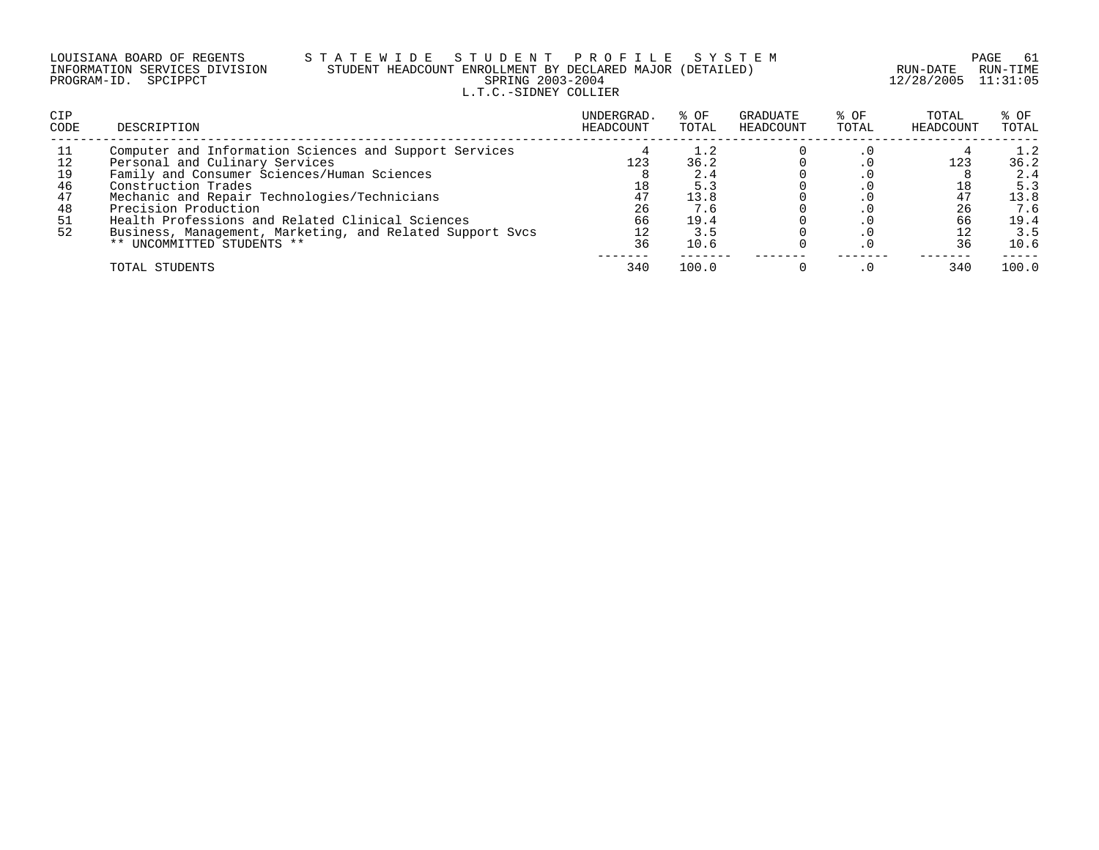|                      | LOUISIANA BOARD OF REGENTS    |
|----------------------|-------------------------------|
|                      | INFORMATION SERVICES DIVISION |
| PROGRAM-ID. SPCIPPCT |                               |

# S T A T E W I D E S T U D E N T P R O F I L E S Y S T E M PAGE 61<br>STUDENT HEADCOUNT ENROLLMENT BY DECLARED MAJOR (DETAILED) STUDENT HEADCOUNT ENROLLMENT BY DECLARED MAJOR (DETAILED)<br>SPRING 2003-2004 L.T.C.-SIDNEY COLLIER

12/28/2005 11:31:05

| <b>CIP</b><br><b>CODE</b> | DESCRIPTION                                               | UNDERGRAD.<br>HEADCOUNT | % OF<br>TOTAL | GRADUATE<br>HEADCOUNT | % OF<br>TOTAL | TOTAL<br>HEADCOUNT | $8$ OF<br>TOTAL |
|---------------------------|-----------------------------------------------------------|-------------------------|---------------|-----------------------|---------------|--------------------|-----------------|
| 11                        | Computer and Information Sciences and Support Services    |                         | 1.2           |                       |               |                    | 1.2             |
| 12                        | Personal and Culinary Services                            | 123                     | 36.2          |                       |               | 123                | 36.2            |
| 19                        | Family and Consumer Sciences/Human Sciences               |                         | 2.4           |                       |               |                    | 2.4             |
| 46                        | Construction Trades                                       | 18                      | 5.3           |                       |               |                    | 5.3             |
| 47                        | Mechanic and Repair Technologies/Technicians              | 47                      | 13.8          |                       |               | 47                 | 13.8            |
| 48                        | Precision Production                                      | 26                      | 7.6           |                       |               | 26                 | 7.6             |
| 51                        | Health Professions and Related Clinical Sciences          | 66                      | 19.4          |                       |               | 66                 | 19.4            |
| 52                        | Business, Management, Marketing, and Related Support Svcs |                         | 3.5           |                       |               |                    | 3.5             |
|                           | ** UNCOMMITTED STUDENTS **                                | 36                      | 10.6          |                       |               |                    | 10.6            |
|                           | TOTAL STUDENTS                                            | 340                     | 100.0         |                       |               | 340                | 100.0           |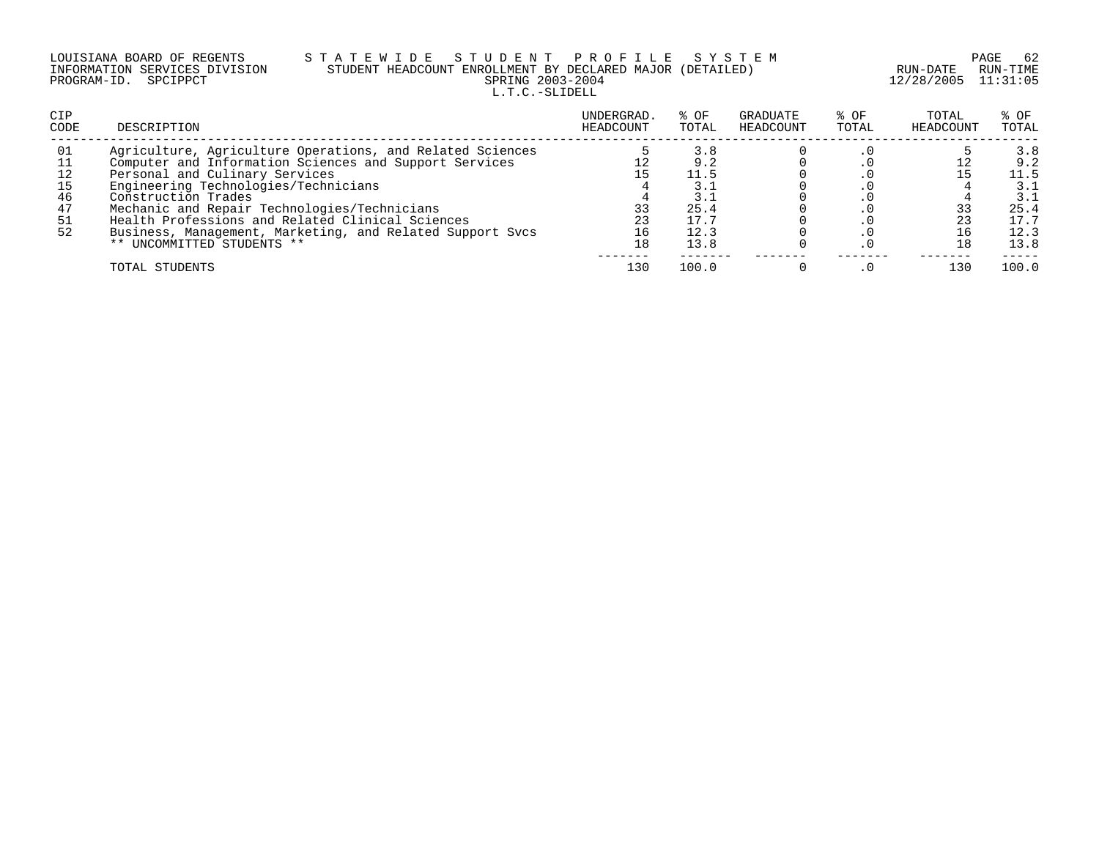| LOUISIANA BOARD OF REGENTS    |  |
|-------------------------------|--|
| INFORMATION SERVICES DIVISION |  |
| PROGRAM-ID. SPCIPPCT          |  |

## S T A T E W I D E S T U D E N T P R O F I L E S Y S T E M PAGE 62 PAGE 62<br>STUDENT HEADCOUNT ENROLLMENT BY DECLARED MAJOR (DETAILED) RUN-DATE RUN-TIME STUDENT HEADCOUNT ENROLLMENT BY DECLARED MAJOR (DETAILED)<br>SPRING 2003-2004 L.T.C.-SLIDELL

12/28/2005 11:31:05

| <b>CIP</b><br>CODE | DESCRIPTION                                               | UNDERGRAD.<br>HEADCOUNT | % OF<br>TOTAL | GRADUATE<br>HEADCOUNT | $8$ OF<br>TOTAL | TOTAL<br>HEADCOUNT | $8$ OF<br>TOTAL |
|--------------------|-----------------------------------------------------------|-------------------------|---------------|-----------------------|-----------------|--------------------|-----------------|
| 01                 | Agriculture, Agriculture Operations, and Related Sciences |                         | 3.8           |                       |                 |                    | 3.8             |
|                    | Computer and Information Sciences and Support Services    |                         | 9.2           |                       |                 |                    | 9.2             |
| 12                 | Personal and Culinary Services                            |                         | 11.5          |                       |                 |                    | 11.5            |
| 15                 | Engineering Technologies/Technicians                      |                         | 3.1           |                       |                 |                    | 3.1             |
| 46                 | Construction Trades                                       |                         | 3.1           |                       |                 |                    | 3.1             |
| 47                 | Mechanic and Repair Technologies/Technicians              |                         | 25.4          |                       |                 |                    | 25.4            |
| 51                 | Health Professions and Related Clinical Sciences          |                         | 17.7          |                       |                 |                    | 17.7            |
| 52                 | Business, Management, Marketing, and Related Support Svcs |                         | 12.3          |                       |                 |                    | 12.3            |
|                    | ** UNCOMMITTED STUDENTS **                                | 18                      | 13.8          |                       |                 |                    | 13.8            |
|                    | TOTAL STUDENTS                                            | 130                     | 100.0         |                       |                 | 130                | 100.0           |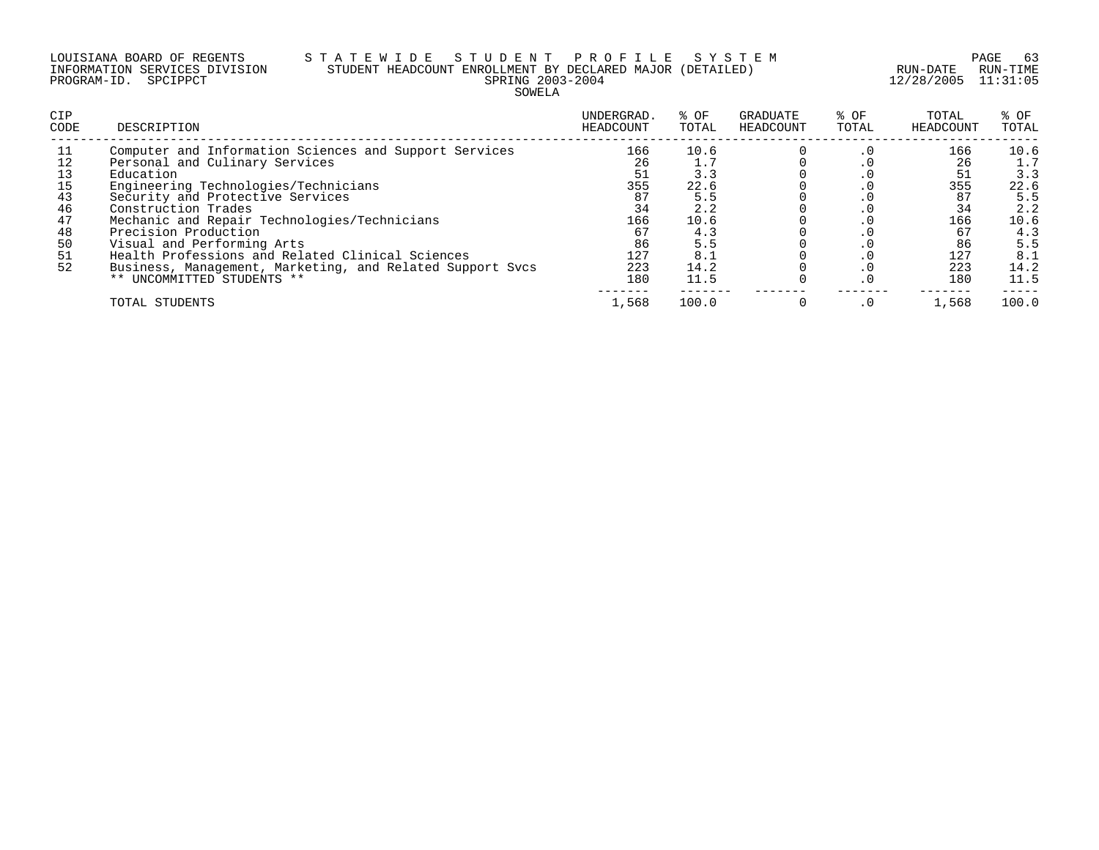### LOUISIANA BOARD OF REGENTS S T A T E W I D E S T U D E N T P R O F I L E S Y S T E M PAGE 63 INFORMATION SERVICES DIVISION STUDENT HEADCOUNT ENROLLMENT BY DECLARED MAJOR (DETAILED) RUN-DATE RUN-TIME PROGRAM-ID. SPCIPPCT SPRING 2003-2004 12/28/2005 11:31:05 SOWELA

| <b>CIP</b><br>CODE                                             | DESCRIPTION                                                                                                                                                                                                                                                                                                                                                                                                                                                   | UNDERGRAD.<br>HEADCOUNT                                                    | % OF<br>TOTAL                                                                         | GRADUATE<br>HEADCOUNT | % OF<br>TOTAL            | TOTAL<br>HEADCOUNT                                             | % OF<br>TOTAL                                                                         |
|----------------------------------------------------------------|---------------------------------------------------------------------------------------------------------------------------------------------------------------------------------------------------------------------------------------------------------------------------------------------------------------------------------------------------------------------------------------------------------------------------------------------------------------|----------------------------------------------------------------------------|---------------------------------------------------------------------------------------|-----------------------|--------------------------|----------------------------------------------------------------|---------------------------------------------------------------------------------------|
| 11<br>12<br>13<br>15<br>43<br>46<br>47<br>48<br>50<br>51<br>52 | Computer and Information Sciences and Support Services<br>Personal and Culinary Services<br>Education<br>Engineering Technologies/Technicians<br>Security and Protective Services<br>Construction Trades<br>Mechanic and Repair Technologies/Technicians<br>Precision Production<br>Visual and Performing Arts<br>Health Professions and Related Clinical Sciences<br>Business, Management, Marketing, and Related Support Sycs<br>** UNCOMMITTED STUDENTS ** | 166<br>26<br>51<br>355<br>87<br>34<br>166<br>67<br>86<br>127<br>223<br>180 | 10.6<br>1.7<br>3.3<br>22.6<br>5.5<br>2.2<br>10.6<br>4.3<br>5.5<br>8.1<br>14.2<br>11.5 |                       | . 0<br>. U<br>. 0<br>. 0 | 166<br>26<br>51<br>355<br>34<br>166<br>86<br>127<br>223<br>180 | 10.6<br>1.7<br>3.3<br>22.6<br>5.5<br>2.2<br>10.6<br>4.3<br>5.5<br>8.1<br>14.2<br>11.5 |
|                                                                | TOTAL STUDENTS                                                                                                                                                                                                                                                                                                                                                                                                                                                | 1,568                                                                      | 100.0                                                                                 |                       | $\cdot$ 0                | 1,568                                                          | 100.0                                                                                 |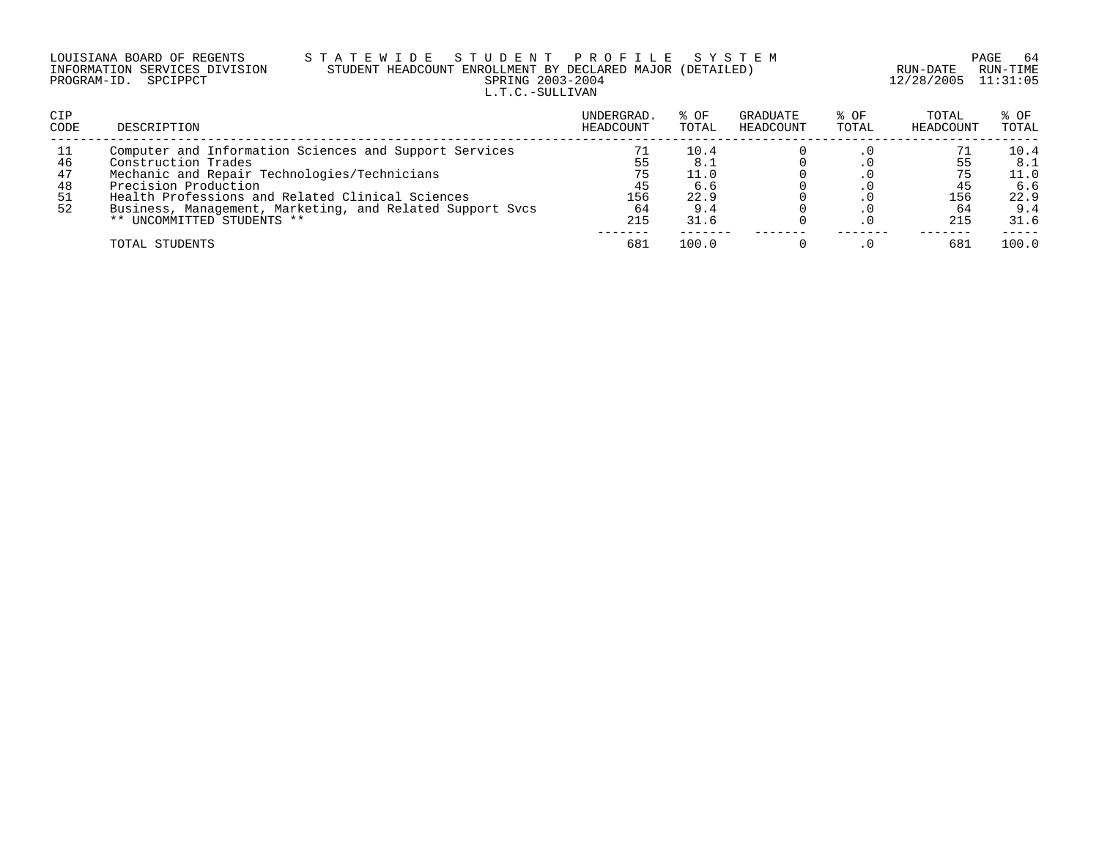| LOUISIANA BOARD OF REGENTS    |  |  |
|-------------------------------|--|--|
| INFORMATION SERVICES DIVISION |  |  |
| PROGRAM-ID. SPCIPPCT          |  |  |

## S T A T E W I D E S T U D E N T P R O F I L E S Y S T E M PAGE 64 PAGE 64 PAGE 64 STUDENT HEADCOUNT ENROLLMENT BY DECLARED MAJOR (DETAILED)<br>SPRING 2003-2004 L.T.C.-SULLIVAN

12/28/2005 11:31:05

| <b>CIP</b><br>CODE         | DESCRIPTION                                                                                                                                                                                                                                                                                          | UNDERGRAD.<br>HEADCOUNT            | % OF<br>TOTAL                                    | GRADUATE<br>HEADCOUNT | % OF<br>TOTAL | TOTAL<br>HEADCOUNT     | % OF<br>TOTAL                                     |
|----------------------------|------------------------------------------------------------------------------------------------------------------------------------------------------------------------------------------------------------------------------------------------------------------------------------------------------|------------------------------------|--------------------------------------------------|-----------------------|---------------|------------------------|---------------------------------------------------|
| 46<br>47<br>48<br>51<br>52 | Computer and Information Sciences and Support Services<br>Construction Trades<br>Mechanic and Repair Technologies/Technicians<br>Precision Production<br>Health Professions and Related Clinical Sciences<br>Business, Management, Marketing, and Related Support Sycs<br>** UNCOMMITTED STUDENTS ** | 55<br>75<br>45<br>156<br>64<br>215 | 10.4<br>8.<br>11.0<br>6.6<br>22.9<br>9.4<br>31.6 |                       |               | 45<br>156<br>64<br>215 | 10.4<br>8.3<br>11.0<br>6.6<br>22.9<br>9.4<br>31.6 |
|                            | TOTAL STUDENTS                                                                                                                                                                                                                                                                                       | 681                                | 100.0                                            |                       |               | 681                    | 100.0                                             |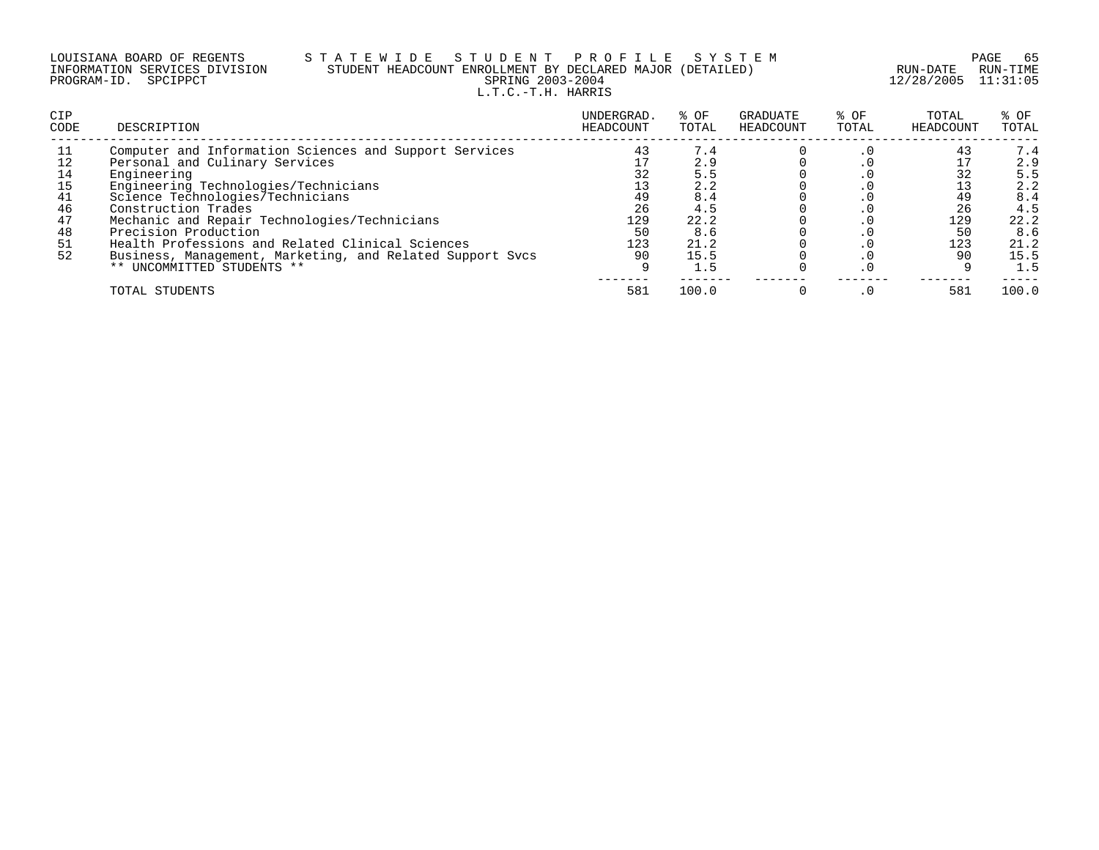| LOUISIANA BOARD OF REGENTS    |  |  |
|-------------------------------|--|--|
| INFORMATION SERVICES DIVISION |  |  |
| PROGRAM-ID. SPCIPPCT          |  |  |

### LOUISIANA BOARD OF REGENTS S T A T E W I D E S T U D E N T P R O F I L E S Y S T E M PAGE 65 INFORMATION SERVICES DIVISION STUDENT HEADCOUNT ENROLLMENT BY DECLARED MAJOR (DETAILED) RUN-DATE RUN-TIME PRING 2003-2004 12/28/2005 11:31:05 L.T.C.-T.H. HARRIS

| <b>CIP</b><br><b>CODE</b>                                 | DESCRIPTION                                                                                                                                                                                                                                                                                                                                                                                                                       | UNDERGRAD.<br>HEADCOUNT                        | % OF<br>TOTAL                                                                | GRADUATE<br>HEADCOUNT | % OF<br>TOTAL | TOTAL<br>HEADCOUNT                             | % OF<br>TOTAL                                                                |
|-----------------------------------------------------------|-----------------------------------------------------------------------------------------------------------------------------------------------------------------------------------------------------------------------------------------------------------------------------------------------------------------------------------------------------------------------------------------------------------------------------------|------------------------------------------------|------------------------------------------------------------------------------|-----------------------|---------------|------------------------------------------------|------------------------------------------------------------------------------|
| -11<br>12<br>14<br>15<br>41<br>46<br>47<br>48<br>51<br>52 | Computer and Information Sciences and Support Services<br>Personal and Culinary Services<br>Engineering<br>Engineering Technologies/Technicians<br>Science Technologies/Technicians<br>Construction Trades<br>Mechanic and Repair Technologies/Technicians<br>Precision Production<br>Health Professions and Related Clinical Sciences<br>Business, Management, Marketing, and Related Support Svcs<br>** UNCOMMITTED STUDENTS ** | 43<br>32<br>49<br>26<br>129<br>50<br>123<br>90 | 7.4<br>2.9<br>5.5<br>2.2<br>8.4<br>4.5<br>22.2<br>8.6<br>21.2<br>15.5<br>1.5 |                       | $\cdot$ 0     | 43<br>32<br>49<br>26<br>129<br>50<br>123<br>90 | 7.4<br>2.9<br>5.5<br>2.2<br>8.4<br>4.5<br>22.2<br>8.6<br>21.2<br>15.5<br>1.5 |
|                                                           | TOTAL STUDENTS                                                                                                                                                                                                                                                                                                                                                                                                                    | 581                                            | 100.0                                                                        |                       |               | 581                                            | 100.0                                                                        |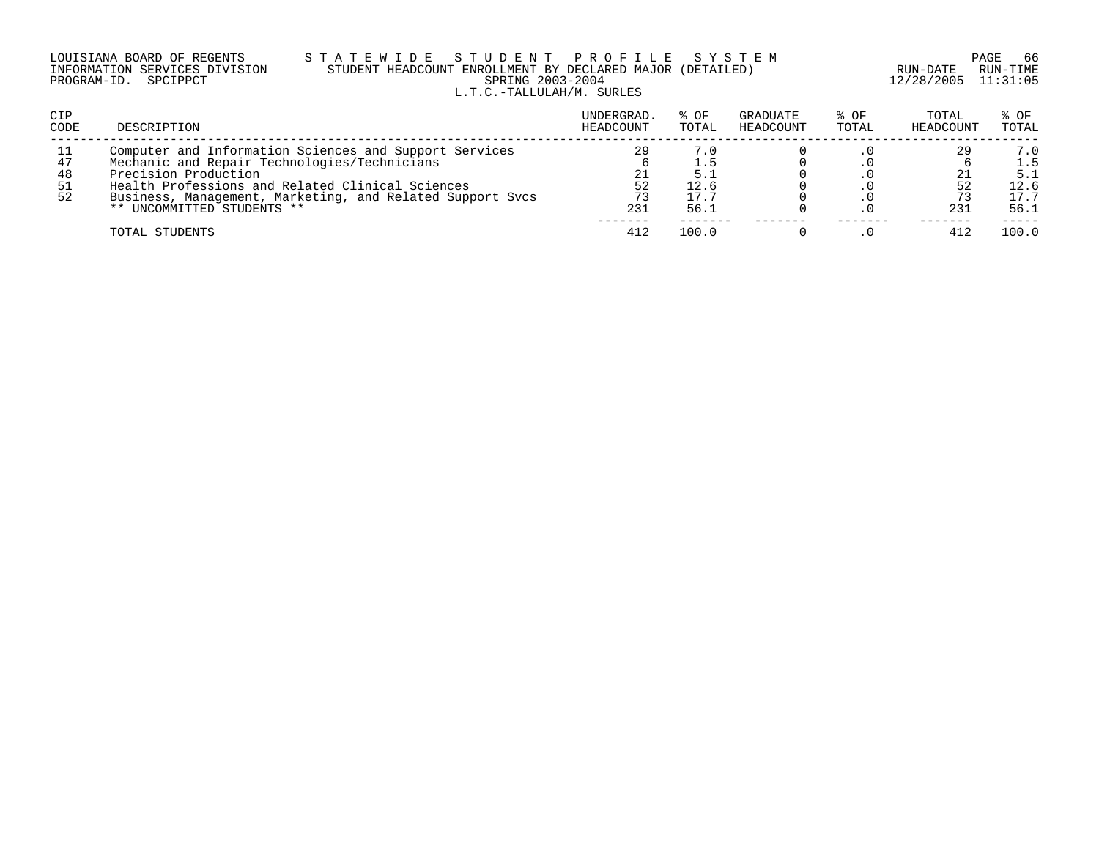| LOUISIANA BOARD OF REGENTS    |  |  |
|-------------------------------|--|--|
| INFORMATION SERVICES DIVISION |  |  |
| PROGRAM-ID. SPCIPPCT          |  |  |

### LOUISIANA BOARD OF REGENTS S T A T E W I D E S T U D E N T P R O F I L E S Y S T E M PAGE 66 INFORMATION SERVICES DIVISION STUDENT HEADCOUNT ENROLLMENT BY DECLARED MAJOR (DETAILED) RUN-DATE RUN-TIME PRING 2003-2004 12/28/2005 11:31:05 L.T.C.-TALLULAH/M. SURLES

| <b>CIP</b><br><b>CODE</b>   | DESCRIPTION                                                                                                                                                                                                                                                                   | UNDERGRAD.<br>HEADCOUNT | % OF<br>TOTAL               | GRADUATE<br>HEADCOUNT | % OF<br>TOTAL | TOTAL<br>HEADCOUNT | % OF<br>TOTAL                             |
|-----------------------------|-------------------------------------------------------------------------------------------------------------------------------------------------------------------------------------------------------------------------------------------------------------------------------|-------------------------|-----------------------------|-----------------------|---------------|--------------------|-------------------------------------------|
| 11<br>47<br>48<br>-51<br>52 | Computer and Information Sciences and Support Services<br>Mechanic and Repair Technologies/Technicians<br>Precision Production<br>Health Professions and Related Clinical Sciences<br>Business, Management, Marketing, and Related Support Svcs<br>** UNCOMMITTED STUDENTS ** | 29<br>21<br>52<br>231   | 7.0<br>12.6<br>17.7<br>56.1 |                       |               | 29<br>231          | 7.0<br>1.5<br>5.1<br>12.6<br>17.7<br>56.1 |
|                             | TOTAL STUDENTS                                                                                                                                                                                                                                                                | 412                     | 100.0                       |                       |               | 41.                | 100.0                                     |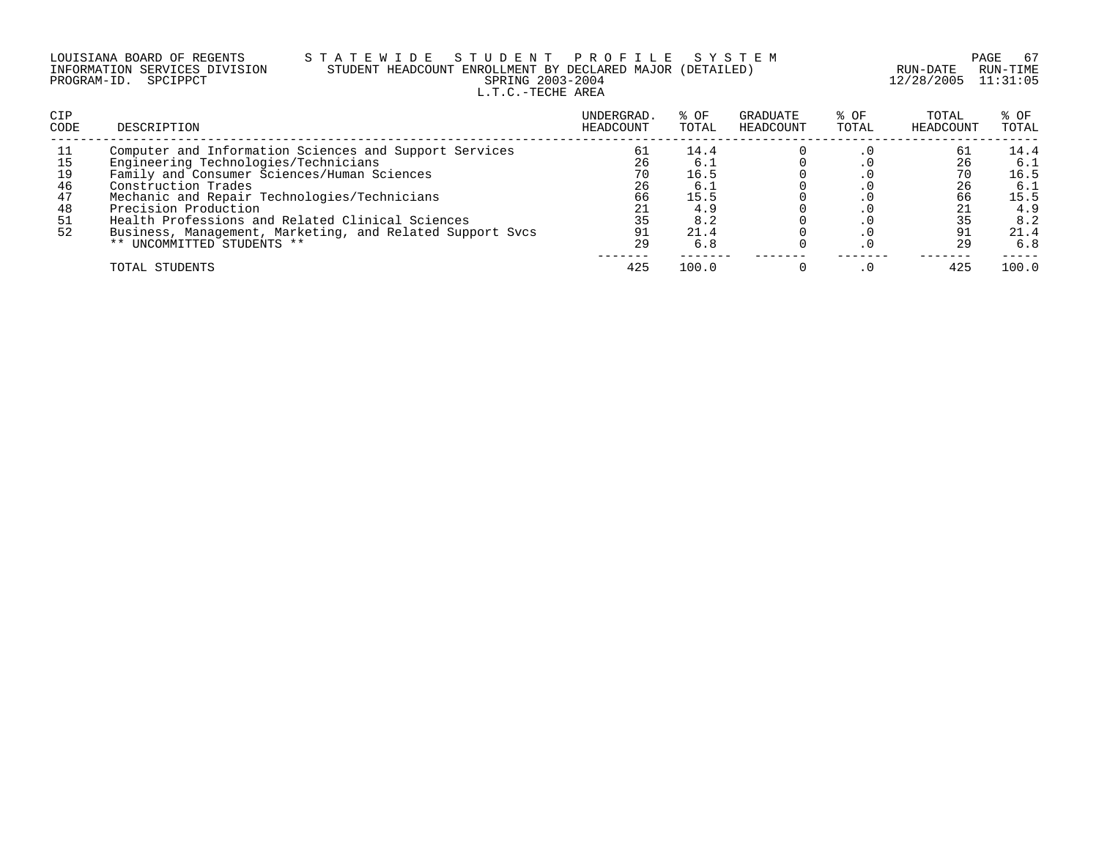| LOUISIANA BOARD OF REGENTS    | STATEWIDE STUDENT PROFILE SYSTEM                          |                     | PAGE 67  |
|-------------------------------|-----------------------------------------------------------|---------------------|----------|
| INFORMATION SERVICES DIVISION | STUDENT HEADCOUNT ENROLLMENT BY DECLARED MAJOR (DETAILED) | RUN-DATE            | RUN-TIME |
| PROGRAM-ID. SPCIPPCT          | SPRING 2003-2004                                          | 12/28/2005 11:31:05 |          |
|                               | L.T.C.-TECHE AREA                                         |                     |          |

| CIP<br>CODE | DESCRIPTION                                               | UNDERGRAD<br>HEADCOUNT | % OF<br>TOTAL | GRADUATE<br>HEADCOUNT | % OF<br>TOTAL | TOTAL<br>HEADCOUNT | % OF<br>TOTAL |
|-------------|-----------------------------------------------------------|------------------------|---------------|-----------------------|---------------|--------------------|---------------|
|             | Computer and Information Sciences and Support Services    | 61                     | 14.4          |                       |               | 61                 | 14.4          |
|             | Engineering Technologies/Technicians                      | 26                     | 6.1           |                       |               | 26                 | 6.1           |
| 19          | Family and Consumer Sciences/Human Sciences               | 70                     | 16.5          |                       |               |                    | 16.5          |
| 46          | Construction Trades                                       | 26                     | 6.1           |                       |               | 26                 | 6.1           |
| 47          | Mechanic and Repair Technologies/Technicians              | 66                     | 15.5          |                       |               | 66                 | 15.5          |
| 48          | Precision Production                                      | 21                     | 4.9           |                       |               |                    | 4.9           |
| 51          | Health Professions and Related Clinical Sciences          | 35                     | 8.2           |                       |               |                    | 8.2           |
| 52          | Business, Management, Marketing, and Related Support Sycs | 91                     | 21.4          |                       |               |                    | 21.4          |
|             | ** UNCOMMITTED STUDENTS **                                | 29                     | 6.8           |                       |               | 29                 | 6.8           |
|             | TOTAL STUDENTS                                            | 425                    | 100.0         |                       |               | 425                | 100.0         |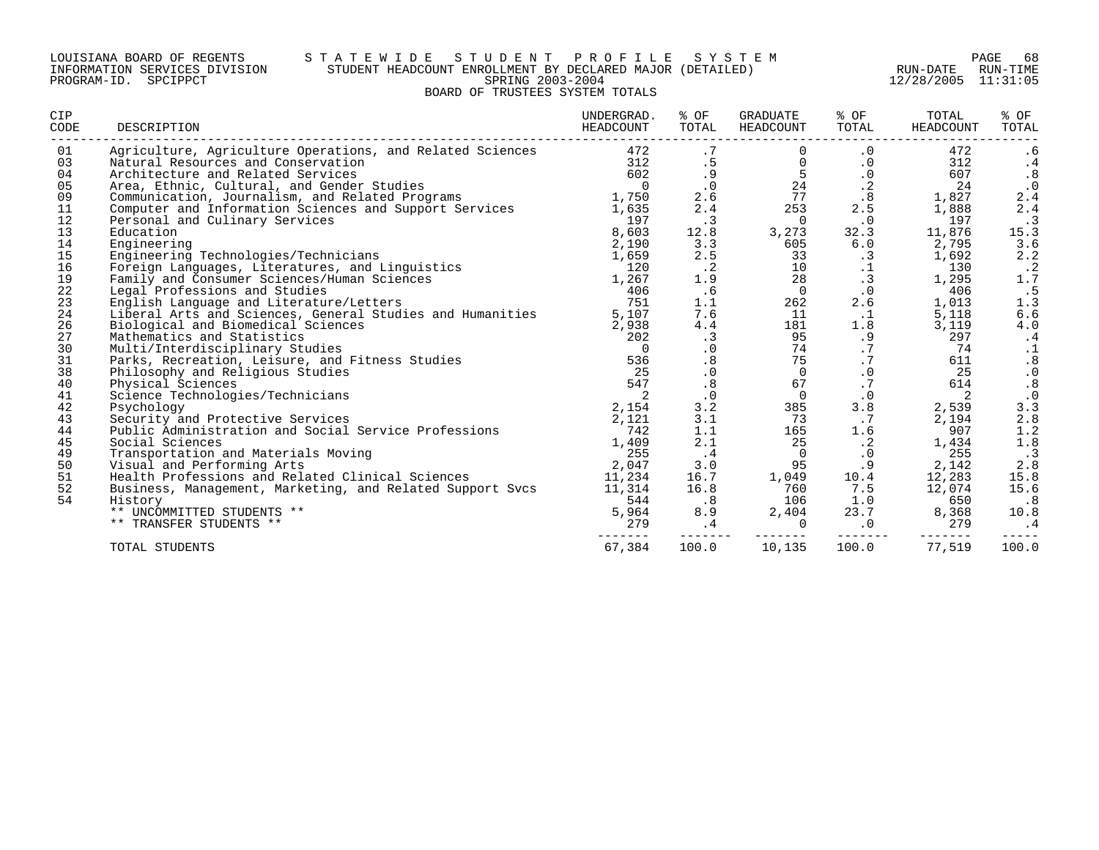#### LOUISIANA BOARD OF REGENTS S T A T E W I D E S T U D E N T P R O F I L E S Y S T E M PAGE 68 INFORMATION SERVICES DIVISION STUDENT HEADCOUNT ENROLLMENT BY DECLARED MAJOR (DETAILED) RUN-DATE RUN-TIME PROGRAM-ID. SPCIPPCT SPRING 2003-2004 12/28/2005 11:31:05 BOARD OF TRUSTEES SYSTEM TOTALS

| CIP<br>CODE | DESCRIPTION                                                             | UNDERGRAD.<br>HEADCOUNT | % OF<br>TOTAL               | GRADUATE<br>HEADCOUNT | % OF<br>TOTAL                                 | TOTAL<br>HEADCOUNT | % OF<br>TOTAL                           |
|-------------|-------------------------------------------------------------------------|-------------------------|-----------------------------|-----------------------|-----------------------------------------------|--------------------|-----------------------------------------|
| 01          | Agriculture, Agriculture Operations, and Related Sciences               | 472                     | .7                          |                       | $\cdot$ 0                                     | 472                | . 6                                     |
| 03<br>04    | Natural Resources and Conservation<br>Architecture and Related Services | 312<br>602              | .5<br>. 9                   | $\mathbf 0$<br>5      | $\cdot$ 0<br>$\cdot$ 0                        | 312<br>607         | $\cdot$ 4                               |
| 05          | Area, Ethnic, Cultural, and Gender Studies                              | $\overline{0}$          | $\cdot$ 0                   | 24                    | $\cdot$ 2                                     | 24                 | .8<br>$\cdot$ 0                         |
| 09          | Communication, Journalism, and Related Programs                         | 1,750                   | 2.6                         | 77                    | .8                                            | 1,827              | 2.4                                     |
| 11          | Computer and Information Sciences and Support Services                  | 1,635                   | 2.4                         | 253                   | 2.5                                           | 1,888              | 2.4                                     |
| 12          | Personal and Culinary Services                                          | 197                     | $\cdot$ 3                   | $\overline{0}$        | $\cdot$ 0                                     | 197                | $\cdot$ 3                               |
| 13          | Education                                                               | 8,603                   | 12.8                        | 3,273                 | 32.3                                          | 11,876             | 15.3                                    |
| 14          | Engineering                                                             | 2,190                   | 3.3                         | 605                   | 6.0                                           | 2,795              | 3.6                                     |
| 15          | Engineering Technologies/Technicians                                    | 1,659                   | 2.5                         | 33                    | $\cdot$ 3                                     | 1,692              | 2.2                                     |
| 16          | Foreign Languages, Literatures, and Linguistics                         | 120                     | $\cdot$ 2                   | 10                    | $\begin{array}{c} .1 \\ .3 \\ .0 \end{array}$ | 130                | $\cdot$ 2                               |
| 19          | Family and Consumer Sciences/Human Sciences                             | 1,267                   | 1.9                         | 28                    |                                               | 1,295              | 1.7                                     |
| 22          | Legal Professions and Studies                                           | 406                     | .6                          | $\overline{0}$        |                                               | 406                | .5                                      |
| 23          | English Language and Literature/Letters                                 | 751                     | 1.1                         | 262                   | 2.6                                           | 1,013              | 1.3                                     |
| 24          | Liberal Arts and Sciences, General Studies and Humanities               | 5,107                   | 7.6                         | 11                    | $\cdot$ 1                                     | 5,118              | $6.6$                                   |
| 26          | Biological and Biomedical Sciences                                      | 2,938                   | 4.4                         | 181                   | 1.8                                           | 3,119              | $4\,.0$                                 |
| 27          | Mathematics and Statistics                                              | 202                     | $\cdot$ 3                   | 95                    | .9                                            | 297                | $\cdot$ 4                               |
| 30          | Multi/Interdisciplinary Studies                                         | $\overline{0}$          | $\cdot$ 0                   | 74                    | .7                                            | 74                 | $\cdot$ 1                               |
| 31          | Parks, Recreation, Leisure, and Fitness Studies                         | 536                     | .8                          | 75                    | $\cdot$ 7                                     | 611                | $\begin{array}{c} .8 \\ .0 \end{array}$ |
| 38          | Philosophy and Religious Studies                                        | 25                      | $\cdot$ 0                   | $\Omega$              | $\boldsymbol{\cdot}$ 0                        | 25                 |                                         |
| 40          | Physical Sciences                                                       | 547                     | .8                          | 67                    | .7                                            | 614                | .8                                      |
| 41<br>42    | Science Technologies/Technicians                                        | 2<br>2,154              | $\cdot$ 0<br>3.2            | $\overline{0}$<br>385 | $\cdot$ 0<br>3.8                              | 2                  | $\cdot$ 0                               |
| 43          | Psychology<br>Security and Protective Services                          | 2,121                   | 3.1                         | 73                    | $\cdot$ 7                                     | 2,539<br>2,194     | 3.3<br>2.8                              |
| 44          | Public Administration and Social Service Professions                    | 742                     | 1.1                         | 165                   | 1.6                                           | 907                | 1.2                                     |
| 45          | Social Sciences                                                         | 1,409                   | 2.1                         | 25                    | $\cdot$ 2                                     | 1,434              | 1.8                                     |
| 49          | Transportation and Materials Moving                                     | 255                     | $\cdot$ 4                   | $\Omega$              | $\cdot$ 0                                     | 255                | .3                                      |
| 50          | Visual and Performing Arts                                              | 2,047                   | 3.0                         | 95                    | .9                                            | 2,142              | $2.8$                                   |
| 51          | Health Professions and Related Clinical Sciences                        | 11,234                  | 16.7                        | 1,049                 | 10.4                                          | 12,283             | 15.8                                    |
| 52          | Business, Management, Marketing, and Related Support Svcs               | 11,314                  | 16.8                        | 760                   | 7.5                                           | 12,074             | 15.6                                    |
| 54          | History                                                                 | 544                     | $\overline{\phantom{0}}$ .8 | 106                   | 1.0                                           | 650                | .8                                      |
|             | ** UNCOMMITTED STUDENTS **                                              | 5,964                   | 8.9                         | 2,404                 | 23.7                                          | 8,368              | 10.8                                    |
|             | ** TRANSFER STUDENTS **                                                 | 279                     | .4                          | $\mathbf 0$           | $\cdot$ 0                                     | 279                | . 4                                     |
|             | TOTAL STUDENTS                                                          | 67,384                  | -------<br>100.0            | -------<br>10,135     | 100.0                                         | 77,519             | 100.0                                   |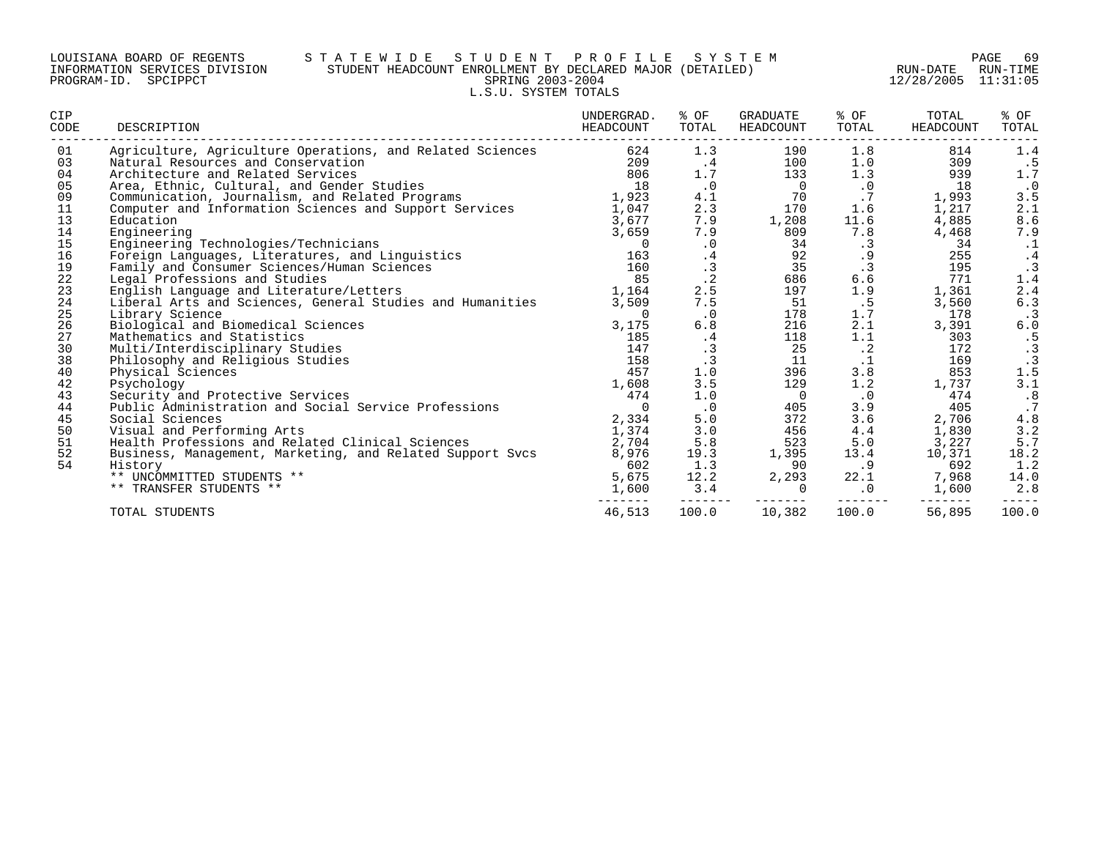### LOUISIANA BOARD OF REGENTS S T A T E W I D E S T U D E N T P R O F I L E S Y S T E M PAGE 69 INFORMATION SERVICES DIVISION STUDENT HEADCOUNT ENROLLMENT BY DECLARED MAJOR (DETAILED) RUN-DATE RUN-TIME PROGRAM-ID. SPCIPPCT SPRING 2003-2004 12/28/2005 11:31:05 L.S.U. SYSTEM TOTALS

| CIP<br>CODE | DESCRIPTION                                               | UNDERGRAD.<br>HEADCOUNT      | % OF<br>TOTAL | GRADUATE<br>HEADCOUNT | % OF<br>TOTAL | TOTAL<br>HEADCOUNT                           | % OF<br>TOTAL |
|-------------|-----------------------------------------------------------|------------------------------|---------------|-----------------------|---------------|----------------------------------------------|---------------|
| 01          | Agriculture, Agriculture Operations, and Related Sciences | ---------------------<br>624 | 1.3           | 190                   | 1.8           | -------------------------------------<br>814 | 1.4           |
| 03          | Natural Resources and Conservation                        | 209                          | .4            | 100                   | 1.0           | 309                                          | .5            |
| 04          | Architecture and Related Services                         | 806                          | 1.7           | 133                   | 1.3           | 939                                          | $1.7$         |
| 05          | Area, Ethnic, Cultural, and Gender Studies                | 18                           | $\cdot$ 0     | $\overline{0}$        | $\cdot$ 0     | 18                                           | $\,$ . $0$    |
| 09          | Communication, Journalism, and Related Programs           | 1,923                        | 4.1           | 70                    | .7            | 1,993                                        | 3.5           |
| 11          | Computer and Information Sciences and Support Services    | 1,047                        | 2.3           | 170                   | 1.6           | 1,217                                        | 2.1           |
| 13          | Education                                                 | 3,677                        | 7.9           | 1,208                 | 11.6          | 4,885                                        | 8.6           |
| 14          | Engineering                                               | 3,659                        | 7.9           | 809                   | 7.8           | 4,468                                        | 7.9           |
| 15          | Engineering Technologies/Technicians                      | $\Omega$                     | $\cdot$ 0     | 34                    | .3            | 34                                           | $\cdot$ 1     |
| 16          | Foreign Languages, Literatures, and Linguistics           | 163                          | .4            | 92                    | .9            | 255                                          | $\cdot$ 4     |
| 19          | Family and Consumer Sciences/Human Sciences               | 160                          | $\cdot$ 3     | 35                    | $\cdot$ 3     | 195                                          | $\cdot$ 3     |
| 22          | Legal Professions and Studies                             | 85                           | $\cdot$ 2     | 686                   | $6.6$         | 771                                          | 1.4           |
| 23          | English Language and Literature/Letters                   | 1,164                        | 2.5           | 197                   | 1.9           | 1,361                                        | 2.4           |
| 24          | Liberal Arts and Sciences, General Studies and Humanities | 3,509                        | $7.5\,$       | 51                    | . 5           | 3,560                                        | 6.3           |
| 25          | Library Science                                           | 0                            | $\cdot$ 0     | 178                   | 1.7           | 178                                          | $\cdot$ 3     |
| 26          | Biological and Biomedical Sciences                        | 3,175                        | 6.8           | 216                   | 2.1           | 3,391                                        | 6.0           |
| 27          | Mathematics and Statistics                                | 185                          | .4            | 118                   | 1.1           | 303                                          | .5            |
| 30          | Multi/Interdisciplinary Studies                           | 147                          | $\cdot$ 3     | 25                    | $\cdot$ 2     | 172                                          | .3            |
| 38          | Philosophy and Religious Studies                          | 158                          | .3            | 11                    | $\cdot$ 1     | 169                                          | $\cdot$ 3     |
| 40          | Physical Sciences                                         | 457                          | 1.0           | 396                   | 3.8           | 853                                          | 1.5           |
| 42          | Psychology                                                | 1,608                        | 3.5           | 129                   | 1.2           | 1,737                                        | 3.1           |
| 43          | Security and Protective Services                          | 474                          | 1.0           | $\overline{0}$        | $\cdot$ 0     | 474                                          | .8            |
| 44          | Public Administration and Social Service Professions      | $\Omega$                     | $\cdot$ 0     | 405                   | 3.9           | 405                                          | .7            |
| 45          | Social Sciences                                           | 2,334                        | 5.0           | 372                   | 3.6           | 2,706                                        | $4\,.8$       |
| 50          | Visual and Performing Arts                                | 1,374                        | 3.0           | 456                   | 4.4           | 1,830                                        | 3.2           |
| 51          | Health Professions and Related Clinical Sciences          | 2,704                        | 5.8           | 523                   | 5.0           | 3,227                                        | 5.7           |
| 52          | Business, Management, Marketing, and Related Support Svcs | 8,976                        | 19.3          | 1,395                 | 13.4          | 10,371                                       | 18.2          |
| 54          | History                                                   | 602                          | 1.3           | 90                    | .9            | 692                                          | 1.2           |
|             | ** UNCOMMITTED STUDENTS **                                | 5,675                        | 12.2          | 2,293                 | 22.1          | 7,968                                        | 14.0          |
|             | ** TRANSFER STUDENTS **                                   | 1,600                        | 3.4           | $\mathbf 0$           | $\cdot$ 0     | 1,600                                        | 2.8           |
|             | TOTAL STUDENTS                                            | 46,513                       | 100.0         | 10,382                | 100.0         | 56,895                                       | 100.0         |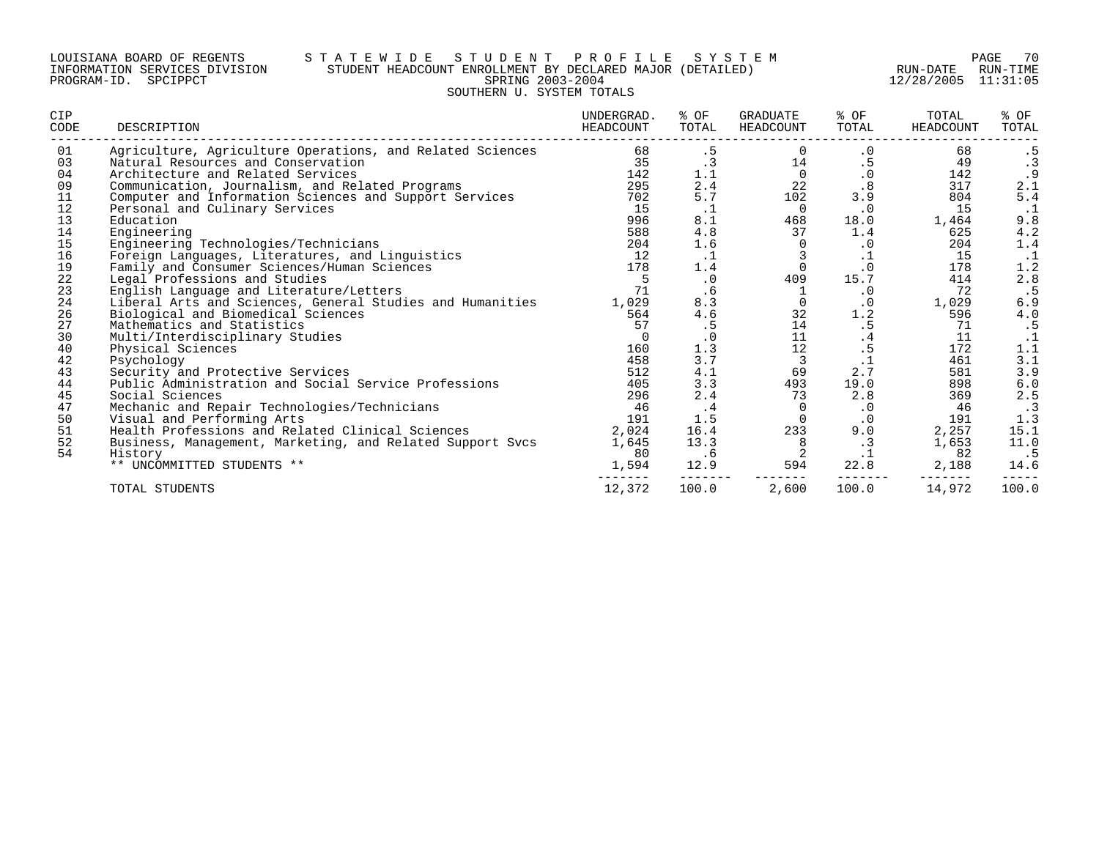### LOUISIANA BOARD OF REGENTS S T A T E W I D E S T U D E N T P R O F I L E S Y S T E M PAGE 70 INFORMATION SERVICES DIVISION STUDENT HEADCOUNT ENROLLMENT BY DECLARED MAJOR (DETAILED) RUN-DATE RUN-TIME PROGRAM-ID. SPCIPPCT SPRING 2003-2004 12/28/2005 11:31:05 SOUTHERN U. SYSTEM TOTALS

| <b>CIP</b><br>CODE | DESCRIPTION                                               | UNDERGRAD.<br>HEADCOUNT | % OF<br>TOTAL | GRADUATE<br>HEADCOUNT | % OF<br>TOTAL | TOTAL<br>HEADCOUNT | % OF<br>TOTAL |
|--------------------|-----------------------------------------------------------|-------------------------|---------------|-----------------------|---------------|--------------------|---------------|
| 01                 | Agriculture, Agriculture Operations, and Related Sciences | 68                      | .5            | $\Omega$              | $\cdot$ 0     | 68                 | . 5           |
| 03                 | Natural Resources and Conservation                        | 35                      | $\cdot$ 3     | 14                    | .5            | 49                 | $\cdot$ 3     |
| 04                 | Architecture and Related Services                         | 142                     | 1.1           | $\Omega$              | $\cdot$ 0     | 142                | .9            |
| 09                 | Communication, Journalism, and Related Programs           | 295                     | 2.4           | 22                    | .8            | 317                | 2.1           |
| 11                 | Computer and Information Sciences and Support Services    | 702                     | 5.7           | 102                   | 3.9           | 804                | 5.4           |
| 12                 | Personal and Culinary Services                            | 15                      | $\cdot$ 1     | $\Omega$              | $\cdot$ 0     | 15                 |               |
| 13                 | Education                                                 | 996                     | 8.1           | 468                   | 18.0          | 1,464              | 9.8           |
| 14                 | Engineering                                               | 588                     | 4.8           | 37                    | 1.4           | 625                | 4.2           |
| 15                 | Engineering Technologies/Technicians                      | 204                     | 1.6           | $\Omega$              | $\cdot$ 0     | 204                | 1.4           |
| 16                 | Foreign Languages, Literatures, and Linguistics           | 12                      | .1            | 3                     | $\cdot$ 1     | 15                 | $\cdot$ 1     |
| 19                 | Family and Consumer Sciences/Human Sciences               | 178                     | 1.4           | $\Omega$              | $\cdot$ 0     | 178                | 1.2           |
| $2\sqrt{2}$        | Legal Professions and Studies                             | 5                       | $\cdot$ 0     | 409                   | 15.7          | 414                | 2.8           |
| 23                 | English Language and Literature/Letters                   | 71                      | .6            |                       | $\cdot$ 0     | 72                 | .5            |
| $2\sqrt{4}$        | Liberal Arts and Sciences, General Studies and Humanities | 1,029                   | 8.3           | $\Omega$              | $\cdot$ 0     | 1,029              | 6.9           |
| 26                 | Biological and Biomedical Sciences                        | 564                     | 4.6           | 32                    | 1.2           | 596                | 4.0           |
| 27                 | Mathematics and Statistics                                | 57                      | . 5           | 14                    | .5            | 71                 | .5            |
| 30                 | Multi/Interdisciplinary Studies                           | $\Omega$                | $\cdot$ 0     | 11                    | .4            | 11                 | 1:1           |
| 40                 | Physical Sciences                                         | 160                     | 1.3           | 12                    | .5            | 172                |               |
| 42                 | Psychology                                                | 458                     | 3.7           | 3                     | $\cdot$ 1     | 461                | 3.1           |
| 43                 | Security and Protective Services                          | 512                     | 4.1           | 69                    | 2.7           | 581                | 3.9           |
| 44                 | Public Administration and Social Service Professions      | 405                     | 3.3           | 493                   | 19.0          | 898                | 6.0           |
| 45                 | Social Sciences                                           | 296                     | 2.4           | 73                    | 2.8           | 369                | 2.5           |
| 47                 | Mechanic and Repair Technologies/Technicians              | 46                      | $\cdot$ 4     | $\Omega$              | $\cdot$ 0     | 46                 | $\cdot$ 3     |
| 50                 | Visual and Performing Arts                                | 191                     | 1.5           | $\Omega$              | $\cdot$ 0     | 191                | 1.3           |
| 51                 | Health Professions and Related Clinical Sciences          | 2,024                   | 16.4          | 233                   | 9.0           | 2,257              | 15.1          |
| 52                 | Business, Management, Marketing, and Related Support Svcs | 1,645                   | 13.3          | 8                     | .3            | 1,653              | 11.0          |
| 54                 | History                                                   | 80                      | .6            | 2                     | $\cdot$ 1     | 82                 | .5            |
|                    | ** UNCOMMITTED STUDENTS **                                | 1,594                   | 12.9          | 594                   | 22.8          | 2,188              | 14.6          |
|                    | TOTAL STUDENTS                                            | 12,372                  | 100.0         | 2,600                 | 100.0         | 14,972             | 100.0         |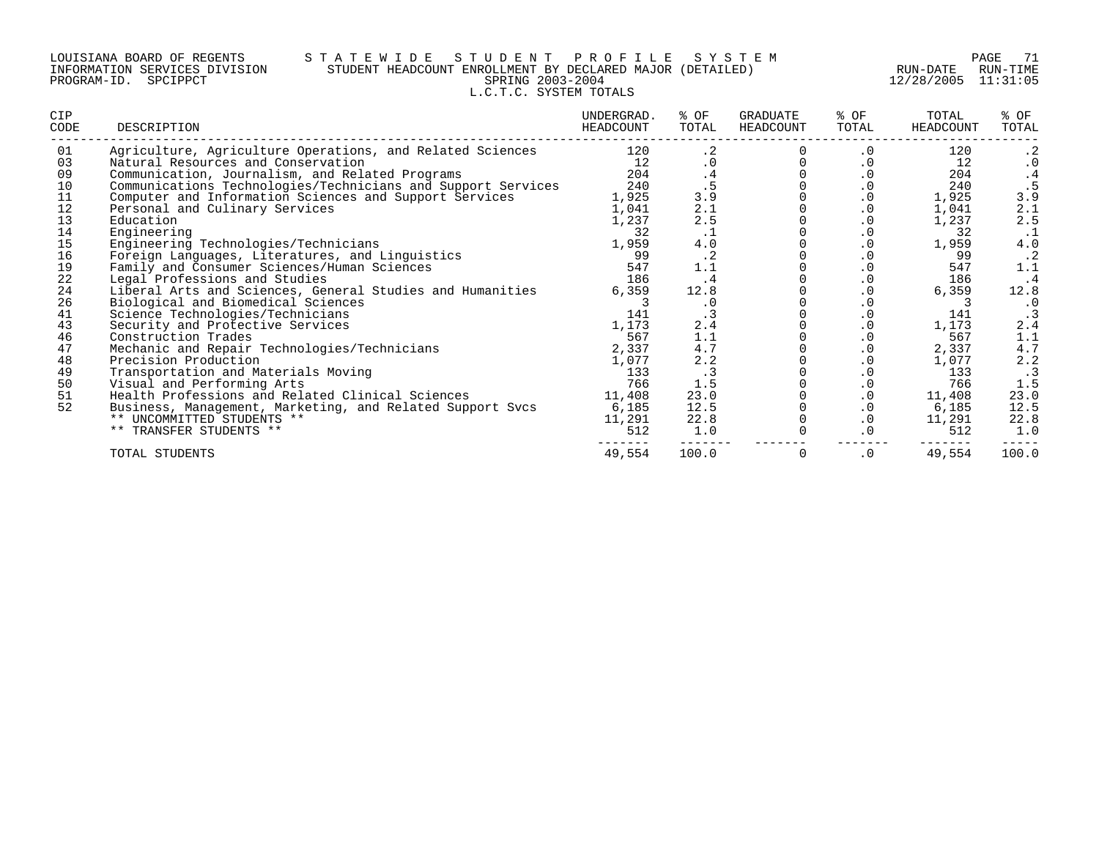### LOUISIANA BOARD OF REGENTS S T A T E W I D E S T U D E N T P R O F I L E S Y S T E M PAGE 71 INFORMATION SERVICES DIVISION STUDENT HEADCOUNT ENROLLMENT BY DECLARED MAJOR (DETAILED) RUN-DATE RUN-TIME PROGRAM-ID. SPCIPPCT SPRING 2003-2004 12/28/2005 11:31:05 L.C.T.C. SYSTEM TOTALS

| CIP<br>CODE | DESCRIPTION                                                  | UNDERGRAD.<br>HEADCOUNT | % OF<br>TOTAL | GRADUATE<br>HEADCOUNT | % OF<br>TOTAL          | TOTAL<br>HEADCOUNT | % OF<br>TOTAL |
|-------------|--------------------------------------------------------------|-------------------------|---------------|-----------------------|------------------------|--------------------|---------------|
| 01          | Agriculture, Agriculture Operations, and Related Sciences    | 120                     | $\cdot$ 2     |                       | $\cdot$ 0              | 120                | $\cdot$ 2     |
| 03          | Natural Resources and Conservation                           | 12                      |               |                       | $\cdot$ 0              | 12                 | $\cdot$ 0     |
| 09          | Communication, Journalism, and Related Programs              | 204                     | .4            |                       | $\cdot$ 0              | 204                |               |
| 10          | Communications Technologies/Technicians and Support Services | 240                     |               |                       | $\boldsymbol{\cdot}$ 0 | 240                |               |
| 11          | Computer and Information Sciences and Support Services       | 1,925                   | 3.9           |                       | $\boldsymbol{\cdot}$ 0 | 1,925              | 3.9           |
| 12          | Personal and Culinary Services                               | 1,041                   | 2.1           |                       | $\cdot$ 0              | 1,041              | 2.1           |
| 13          | Education                                                    | 1,237                   | 2.5           |                       | $\cdot$ 0              | 1,237              | 2.5           |
| 14          | Engineering                                                  | 32                      | $\cdot$ 1     |                       | $\cdot$ 0              | 32                 |               |
| 15          | Engineering Technologies/Technicians                         | 1,959                   | 4.0           |                       | $\cdot$ 0              | 1,959              | $4.0\,$       |
| 16          | Foreign Languages, Literatures, and Linguistics              | 99                      | $\cdot$ 2     |                       | .0                     | 99                 | $\cdot$ 2     |
| 19          | Family and Consumer Sciences/Human Sciences                  | 547                     | 1.1           |                       | $\cdot$ 0              | 547                | 1.1           |
| 22          | Legal Professions and Studies                                | 186                     | . 4           |                       | $\cdot$ 0              | 186                | .4            |
| 24          | Liberal Arts and Sciences, General Studies and Humanities    | 6,359                   | 12.8          |                       | $\cdot$ 0              | 6,359              | 12.8          |
| 26          | Biological and Biomedical Sciences                           |                         | $\cdot$ 0     |                       | $\cdot$ 0              |                    | $\cdot$ 0     |
| 41          | Science Technologies/Technicians                             | 141                     |               |                       | $\cdot$ 0              | 141                |               |
| 43          | Security and Protective Services                             | 1,173                   | 2.4           |                       | $\cdot$ 0              | 1,173              | 2.4           |
| 46          | Construction Trades                                          | 567                     | 1.1           |                       | $\cdot$ 0              | 567                | 1.1           |
| 47          | Mechanic and Repair Technologies/Technicians                 | 2,337                   | 4.7           |                       | $\cdot$ 0              | 2,337              | 4.7           |
| 48          | Precision Production                                         | 1,077                   | 2.2           |                       | $\cdot$ 0              | 1,077              | 2.2           |
| 49          | Transportation and Materials Moving                          | 133                     | $\cdot$ 3     |                       | $\cdot$ 0              | 133                | $\cdot$ 3     |
| 50          | Visual and Performing Arts                                   | 766                     | 1.5           |                       | $\cdot$ 0              | 766                | 1.5           |
| 51          | Health Professions and Related Clinical Sciences             | 11,408                  | 23.0          |                       | $\cdot$ 0              | 11,408             | 23.0          |
| 52          | Business, Management, Marketing, and Related Support Svcs    | 6,185                   | 12.5          |                       | $\cdot$ 0              | 6,185              | 12.5          |
|             | ** UNCOMMITTED STUDENTS **                                   | 11,291                  | 22.8          |                       | $\cdot$ 0              | 11,291             | 22.8          |
|             | ** TRANSFER STUDENTS **                                      | 512                     | 1.0           |                       | $\cdot$ 0              | 512                | 1.0           |
|             | TOTAL STUDENTS                                               | 49,554                  | 100.0         |                       | $\cdot$ 0              | 49,554             | 100.0         |